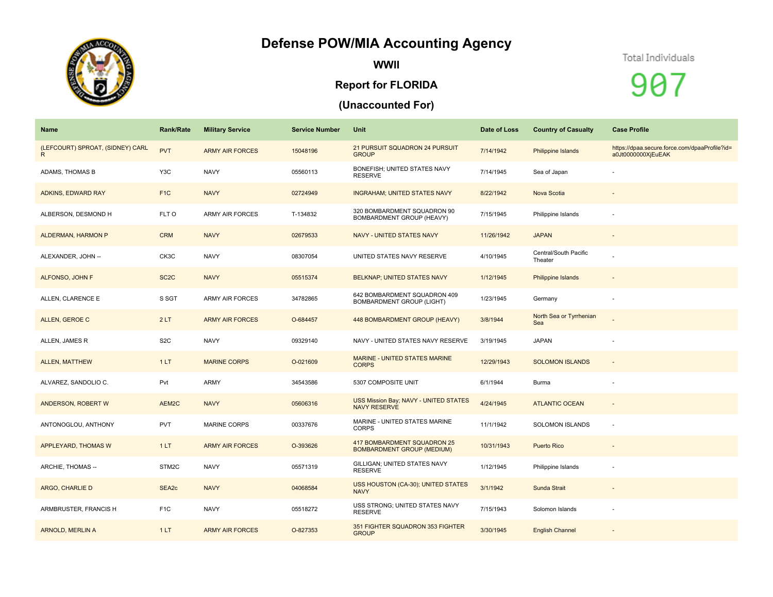## **Defense POW/MIA Accounting Agency**



**WWII**

## **Report for FLORIDA**

## **(Unaccounted For)**

## Total Individuals

907

| Name                                   | <b>Rank/Rate</b>  | <b>Military Service</b> | <b>Service Number</b> | Unit                                                             | Date of Loss | <b>Country of Casualty</b>       | <b>Case Profile</b>                                                 |
|----------------------------------------|-------------------|-------------------------|-----------------------|------------------------------------------------------------------|--------------|----------------------------------|---------------------------------------------------------------------|
| (LEFCOURT) SPROAT, (SIDNEY) CARL<br>R. | <b>PVT</b>        | <b>ARMY AIR FORCES</b>  | 15048196              | 21 PURSUIT SQUADRON 24 PURSUIT<br><b>GROUP</b>                   | 7/14/1942    | Philippine Islands               | https://dpaa.secure.force.com/dpaaProfile?id=<br>a0Jt0000000XjEuEAK |
| ADAMS, THOMAS B                        | Y3C               | <b>NAVY</b>             | 05560113              | BONEFISH; UNITED STATES NAVY<br><b>RESERVE</b>                   | 7/14/1945    | Sea of Japan                     |                                                                     |
| ADKINS, EDWARD RAY                     | F <sub>1C</sub>   | <b>NAVY</b>             | 02724949              | <b>INGRAHAM; UNITED STATES NAVY</b>                              | 8/22/1942    | Nova Scotia                      |                                                                     |
| ALBERSON, DESMOND H                    | FLT O             | <b>ARMY AIR FORCES</b>  | T-134832              | 320 BOMBARDMENT SQUADRON 90<br>BOMBARDMENT GROUP (HEAVY)         | 7/15/1945    | Philippine Islands               |                                                                     |
| ALDERMAN, HARMON P                     | <b>CRM</b>        | <b>NAVY</b>             | 02679533              | NAVY - UNITED STATES NAVY                                        | 11/26/1942   | <b>JAPAN</b>                     | $\overline{\phantom{a}}$                                            |
| ALEXANDER, JOHN --                     | CK3C              | <b>NAVY</b>             | 08307054              | UNITED STATES NAVY RESERVE                                       | 4/10/1945    | Central/South Pacific<br>Theater |                                                                     |
| ALFONSO, JOHN F                        | SC <sub>2</sub> C | <b>NAVY</b>             | 05515374              | BELKNAP; UNITED STATES NAVY                                      | 1/12/1945    | <b>Philippine Islands</b>        |                                                                     |
| ALLEN, CLARENCE E                      | S SGT             | <b>ARMY AIR FORCES</b>  | 34782865              | 642 BOMBARDMENT SQUADRON 409<br><b>BOMBARDMENT GROUP (LIGHT)</b> | 1/23/1945    | Germany                          |                                                                     |
| ALLEN, GEROE C                         | 2LT               | <b>ARMY AIR FORCES</b>  | O-684457              | 448 BOMBARDMENT GROUP (HEAVY)                                    | 3/8/1944     | North Sea or Tyrrhenian<br>Sea   |                                                                     |
| ALLEN, JAMES R                         | S <sub>2</sub> C  | <b>NAVY</b>             | 09329140              | NAVY - UNITED STATES NAVY RESERVE                                | 3/19/1945    | <b>JAPAN</b>                     |                                                                     |
| <b>ALLEN, MATTHEW</b>                  | 1LT               | <b>MARINE CORPS</b>     | O-021609              | <b>MARINE - UNITED STATES MARINE</b><br><b>CORPS</b>             | 12/29/1943   | <b>SOLOMON ISLANDS</b>           | $\overline{\phantom{a}}$                                            |
| ALVAREZ, SANDOLIO C.                   | Pvt               | ARMY                    | 34543586              | 5307 COMPOSITE UNIT                                              | 6/1/1944     | Burma                            |                                                                     |
| ANDERSON, ROBERT W                     | AEM2C             | <b>NAVY</b>             | 05606316              | USS Mission Bay; NAVY - UNITED STATES<br><b>NAVY RESERVE</b>     | 4/24/1945    | <b>ATLANTIC OCEAN</b>            | $\overline{\phantom{a}}$                                            |
| ANTONOGLOU, ANTHONY                    | <b>PVT</b>        | <b>MARINE CORPS</b>     | 00337676              | MARINE - UNITED STATES MARINE<br><b>CORPS</b>                    | 11/1/1942    | SOLOMON ISLANDS                  |                                                                     |
| <b>APPLEYARD, THOMAS W</b>             | 1LT               | <b>ARMY AIR FORCES</b>  | O-393626              | 417 BOMBARDMENT SQUADRON 25<br><b>BOMBARDMENT GROUP (MEDIUM)</b> | 10/31/1943   | <b>Puerto Rico</b>               |                                                                     |
| ARCHIE, THOMAS --                      | STM2C             | <b>NAVY</b>             | 05571319              | GILLIGAN; UNITED STATES NAVY<br><b>RESERVE</b>                   | 1/12/1945    | Philippine Islands               |                                                                     |
| ARGO, CHARLIE D                        | SEA2c             | <b>NAVY</b>             | 04068584              | USS HOUSTON (CA-30); UNITED STATES<br><b>NAVY</b>                | 3/1/1942     | Sunda Strait                     | $\sim$                                                              |
| ARMBRUSTER, FRANCIS H                  | F <sub>1</sub> C  | <b>NAVY</b>             | 05518272              | USS STRONG; UNITED STATES NAVY<br><b>RESERVE</b>                 | 7/15/1943    | Solomon Islands                  | ٠                                                                   |
| <b>ARNOLD, MERLIN A</b>                | 1LT               | <b>ARMY AIR FORCES</b>  | O-827353              | 351 FIGHTER SQUADRON 353 FIGHTER<br><b>GROUP</b>                 | 3/30/1945    | <b>English Channel</b>           |                                                                     |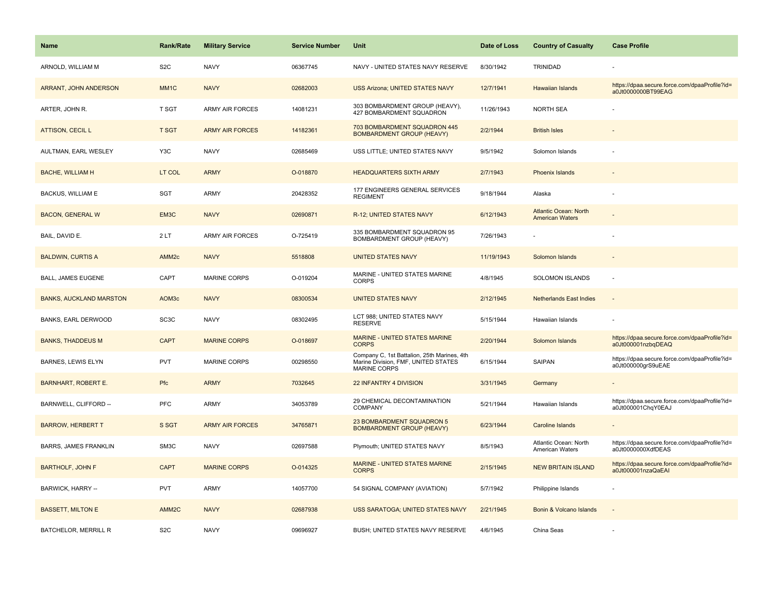| <b>Name</b>                    | <b>Rank/Rate</b>  | <b>Military Service</b> | <b>Service Number</b> | Unit                                                                                                      | Date of Loss | <b>Country of Casualty</b>                             | <b>Case Profile</b>                                                 |
|--------------------------------|-------------------|-------------------------|-----------------------|-----------------------------------------------------------------------------------------------------------|--------------|--------------------------------------------------------|---------------------------------------------------------------------|
| ARNOLD, WILLIAM M              | S <sub>2</sub> C  | <b>NAVY</b>             | 06367745              | NAVY - UNITED STATES NAVY RESERVE                                                                         | 8/30/1942    | TRINIDAD                                               |                                                                     |
| ARRANT, JOHN ANDERSON          | MM <sub>1</sub> C | <b>NAVY</b>             | 02682003              | <b>USS Arizona; UNITED STATES NAVY</b>                                                                    | 12/7/1941    | Hawaiian Islands                                       | https://dpaa.secure.force.com/dpaaProfile?id=<br>a0Jt0000000BT99EAG |
| ARTER, JOHN R.                 | T SGT             | ARMY AIR FORCES         | 14081231              | 303 BOMBARDMENT GROUP (HEAVY),<br>427 BOMBARDMENT SQUADRON                                                | 11/26/1943   | <b>NORTH SEA</b>                                       |                                                                     |
| <b>ATTISON, CECIL L</b>        | <b>T SGT</b>      | <b>ARMY AIR FORCES</b>  | 14182361              | 703 BOMBARDMENT SQUADRON 445<br><b>BOMBARDMENT GROUP (HEAVY)</b>                                          | 2/2/1944     | <b>British Isles</b>                                   |                                                                     |
| AULTMAN, EARL WESLEY           | Y3C               | <b>NAVY</b>             | 02685469              | USS LITTLE; UNITED STATES NAVY                                                                            | 9/5/1942     | Solomon Islands                                        |                                                                     |
| <b>BACHE, WILLIAM H</b>        | LT COL            | <b>ARMY</b>             | O-018870              | <b>HEADQUARTERS SIXTH ARMY</b>                                                                            | 2/7/1943     | Phoenix Islands                                        |                                                                     |
| <b>BACKUS, WILLIAM E</b>       | <b>SGT</b>        | ARMY                    | 20428352              | 177 ENGINEERS GENERAL SERVICES<br><b>REGIMENT</b>                                                         | 9/18/1944    | Alaska                                                 |                                                                     |
| <b>BACON, GENERAL W</b>        | EM3C              | <b>NAVY</b>             | 02690871              | R-12; UNITED STATES NAVY                                                                                  | 6/12/1943    | <b>Atlantic Ocean: North</b><br><b>American Waters</b> |                                                                     |
| BAIL, DAVID E.                 | 2LT               | <b>ARMY AIR FORCES</b>  | O-725419              | 335 BOMBARDMENT SQUADRON 95<br>BOMBARDMENT GROUP (HEAVY)                                                  | 7/26/1943    |                                                        |                                                                     |
| <b>BALDWIN, CURTIS A</b>       | AMM <sub>2c</sub> | <b>NAVY</b>             | 5518808               | <b>UNITED STATES NAVY</b>                                                                                 | 11/19/1943   | Solomon Islands                                        |                                                                     |
| <b>BALL, JAMES EUGENE</b>      | CAPT              | <b>MARINE CORPS</b>     | O-019204              | MARINE - UNITED STATES MARINE<br><b>CORPS</b>                                                             | 4/8/1945     | <b>SOLOMON ISLANDS</b>                                 |                                                                     |
| <b>BANKS, AUCKLAND MARSTON</b> | AOM3c             | <b>NAVY</b>             | 08300534              | <b>UNITED STATES NAVY</b>                                                                                 | 2/12/1945    | <b>Netherlands East Indies</b>                         |                                                                     |
| BANKS, EARL DERWOOD            | SC <sub>3</sub> C | <b>NAVY</b>             | 08302495              | LCT 988; UNITED STATES NAVY<br><b>RESERVE</b>                                                             | 5/15/1944    | Hawaiian Islands                                       |                                                                     |
| <b>BANKS, THADDEUS M</b>       | <b>CAPT</b>       | <b>MARINE CORPS</b>     | O-018697              | <b>MARINE - UNITED STATES MARINE</b><br><b>CORPS</b>                                                      | 2/20/1944    | Solomon Islands                                        | https://dpaa.secure.force.com/dpaaProfile?id=<br>a0Jt000001nzbqDEAQ |
| <b>BARNES, LEWIS ELYN</b>      | PVT               | <b>MARINE CORPS</b>     | 00298550              | Company C, 1st Battalion, 25th Marines, 4th<br>Marine Division, FMF, UNITED STATES<br><b>MARINE CORPS</b> | 6/15/1944    | <b>SAIPAN</b>                                          | https://dpaa.secure.force.com/dpaaProfile?id=<br>a0Jt000000grS9uEAE |
| <b>BARNHART, ROBERT E.</b>     | Pfc               | <b>ARMY</b>             | 7032645               | 22 INFANTRY 4 DIVISION                                                                                    | 3/31/1945    | Germany                                                |                                                                     |
| BARNWELL, CLIFFORD --          | <b>PFC</b>        | ARMY                    | 34053789              | 29 CHEMICAL DECONTAMINATION<br>COMPANY                                                                    | 5/21/1944    | Hawaiian Islands                                       | https://dpaa.secure.force.com/dpaaProfile?id=<br>a0Jt000001ChqY0EAJ |
| <b>BARROW, HERBERT T</b>       | S SGT             | <b>ARMY AIR FORCES</b>  | 34765871              | 23 BOMBARDMENT SQUADRON 5<br><b>BOMBARDMENT GROUP (HEAVY)</b>                                             | 6/23/1944    | <b>Caroline Islands</b>                                |                                                                     |
| <b>BARRS, JAMES FRANKLIN</b>   | SM3C              | <b>NAVY</b>             | 02697588              | Plymouth; UNITED STATES NAVY                                                                              | 8/5/1943     | Atlantic Ocean: North<br>American Waters               | https://dpaa.secure.force.com/dpaaProfile?id=<br>a0Jt0000000XdfDEAS |
| <b>BARTHOLF, JOHN F</b>        | <b>CAPT</b>       | <b>MARINE CORPS</b>     | O-014325              | MARINE - UNITED STATES MARINE<br><b>CORPS</b>                                                             | 2/15/1945    | <b>NEW BRITAIN ISLAND</b>                              | https://dpaa.secure.force.com/dpaaProfile?id=<br>a0Jt000001nzaQaEAI |
| BARWICK, HARRY --              | <b>PVT</b>        | ARMY                    | 14057700              | 54 SIGNAL COMPANY (AVIATION)                                                                              | 5/7/1942     | Philippine Islands                                     |                                                                     |
| <b>BASSETT, MILTON E</b>       | AMM <sub>2C</sub> | <b>NAVY</b>             | 02687938              | USS SARATOGA; UNITED STATES NAVY                                                                          | 2/21/1945    | Bonin & Volcano Islands                                |                                                                     |
| <b>BATCHELOR, MERRILL R</b>    | S <sub>2</sub> C  | <b>NAVY</b>             | 09696927              | BUSH; UNITED STATES NAVY RESERVE                                                                          | 4/6/1945     | China Seas                                             |                                                                     |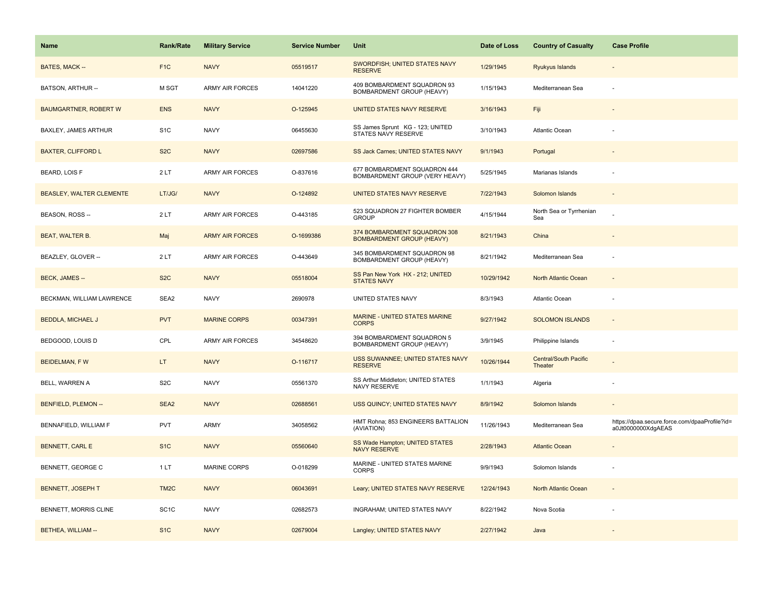| <b>Name</b>                  | <b>Rank/Rate</b>  | <b>Military Service</b> | <b>Service Number</b> | Unit                                                             | Date of Loss | <b>Country of Casualty</b>              | <b>Case Profile</b>                                                 |
|------------------------------|-------------------|-------------------------|-----------------------|------------------------------------------------------------------|--------------|-----------------------------------------|---------------------------------------------------------------------|
| BATES, MACK --               | F <sub>1</sub> C  | <b>NAVY</b>             | 05519517              | SWORDFISH; UNITED STATES NAVY<br><b>RESERVE</b>                  | 1/29/1945    | Ryukyus Islands                         |                                                                     |
| BATSON, ARTHUR --            | M SGT             | <b>ARMY AIR FORCES</b>  | 14041220              | 409 BOMBARDMENT SQUADRON 93<br>BOMBARDMENT GROUP (HEAVY)         | 1/15/1943    | Mediterranean Sea                       |                                                                     |
| <b>BAUMGARTNER, ROBERT W</b> | <b>ENS</b>        | <b>NAVY</b>             | O-125945              | UNITED STATES NAVY RESERVE                                       | 3/16/1943    | Fiji                                    |                                                                     |
| <b>BAXLEY, JAMES ARTHUR</b>  | S <sub>1</sub> C  | <b>NAVY</b>             | 06455630              | SS James Sprunt KG - 123; UNITED<br>STATES NAVY RESERVE          | 3/10/1943    | <b>Atlantic Ocean</b>                   |                                                                     |
| <b>BAXTER, CLIFFORD L</b>    | S <sub>2</sub> C  | <b>NAVY</b>             | 02697586              | SS Jack Carnes; UNITED STATES NAVY                               | 9/1/1943     | Portugal                                |                                                                     |
| BEARD, LOIS F                | 2LT               | <b>ARMY AIR FORCES</b>  | O-837616              | 677 BOMBARDMENT SQUADRON 444<br>BOMBARDMENT GROUP (VERY HEAVY)   | 5/25/1945    | Marianas Islands                        |                                                                     |
| BEASLEY, WALTER CLEMENTE     | LT/JG/            | <b>NAVY</b>             | O-124892              | UNITED STATES NAVY RESERVE                                       | 7/22/1943    | Solomon Islands                         |                                                                     |
| BEASON, ROSS --              | 2LT               | <b>ARMY AIR FORCES</b>  | O-443185              | 523 SQUADRON 27 FIGHTER BOMBER<br><b>GROUP</b>                   | 4/15/1944    | North Sea or Tyrrhenian<br>Sea          |                                                                     |
| <b>BEAT, WALTER B.</b>       | Maj               | <b>ARMY AIR FORCES</b>  | O-1699386             | 374 BOMBARDMENT SQUADRON 308<br><b>BOMBARDMENT GROUP (HEAVY)</b> | 8/21/1943    | China                                   |                                                                     |
| BEAZLEY, GLOVER --           | 2LT               | <b>ARMY AIR FORCES</b>  | O-443649              | 345 BOMBARDMENT SQUADRON 98<br>BOMBARDMENT GROUP (HEAVY)         | 8/21/1942    | Mediterranean Sea                       |                                                                     |
| <b>BECK, JAMES --</b>        | S <sub>2</sub> C  | <b>NAVY</b>             | 05518004              | SS Pan New York HX - 212; UNITED<br><b>STATES NAVY</b>           | 10/29/1942   | North Atlantic Ocean                    |                                                                     |
| BECKMAN, WILLIAM LAWRENCE    | SEA2              | <b>NAVY</b>             | 2690978               | UNITED STATES NAVY                                               | 8/3/1943     | Atlantic Ocean                          |                                                                     |
| <b>BEDDLA, MICHAEL J</b>     | <b>PVT</b>        | <b>MARINE CORPS</b>     | 00347391              | <b>MARINE - UNITED STATES MARINE</b><br><b>CORPS</b>             | 9/27/1942    | <b>SOLOMON ISLANDS</b>                  |                                                                     |
| BEDGOOD, LOUIS D             | CPL               | ARMY AIR FORCES         | 34548620              | 394 BOMBARDMENT SQUADRON 5<br>BOMBARDMENT GROUP (HEAVY)          | 3/9/1945     | Philippine Islands                      |                                                                     |
| <b>BEIDELMAN, FW</b>         | LT.               | <b>NAVY</b>             | O-116717              | USS SUWANNEE; UNITED STATES NAVY<br><b>RESERVE</b>               | 10/26/1944   | <b>Central/South Pacific</b><br>Theater |                                                                     |
| BELL, WARREN A               | S <sub>2</sub> C  | <b>NAVY</b>             | 05561370              | SS Arthur Middleton; UNITED STATES<br>NAVY RESERVE               | 1/1/1943     | Algeria                                 |                                                                     |
| <b>BENFIELD, PLEMON --</b>   | SEA <sub>2</sub>  | <b>NAVY</b>             | 02688561              | USS QUINCY; UNITED STATES NAVY                                   | 8/9/1942     | Solomon Islands                         |                                                                     |
| BENNAFIELD, WILLIAM F        | <b>PVT</b>        | ARMY                    | 34058562              | HMT Rohna; 853 ENGINEERS BATTALION<br>(AVIATION)                 | 11/26/1943   | Mediterranean Sea                       | https://dpaa.secure.force.com/dpaaProfile?id=<br>a0Jt0000000XdgAEAS |
| <b>BENNETT, CARL E</b>       | S <sub>1</sub> C  | <b>NAVY</b>             | 05560640              | SS Wade Hampton; UNITED STATES<br><b>NAVY RESERVE</b>            | 2/28/1943    | <b>Atlantic Ocean</b>                   |                                                                     |
| <b>BENNETT, GEORGE C</b>     | 1LT               | <b>MARINE CORPS</b>     | O-018299              | MARINE - UNITED STATES MARINE<br>CORPS                           | 9/9/1943     | Solomon Islands                         |                                                                     |
| <b>BENNETT, JOSEPH T</b>     | TM <sub>2</sub> C | <b>NAVY</b>             | 06043691              | Leary; UNITED STATES NAVY RESERVE                                | 12/24/1943   | North Atlantic Ocean                    |                                                                     |
| BENNETT, MORRIS CLINE        | SC <sub>1</sub> C | <b>NAVY</b>             | 02682573              | INGRAHAM; UNITED STATES NAVY                                     | 8/22/1942    | Nova Scotia                             |                                                                     |
| BETHEA, WILLIAM --           | S <sub>1</sub> C  | <b>NAVY</b>             | 02679004              | Langley; UNITED STATES NAVY                                      | 2/27/1942    | Java                                    |                                                                     |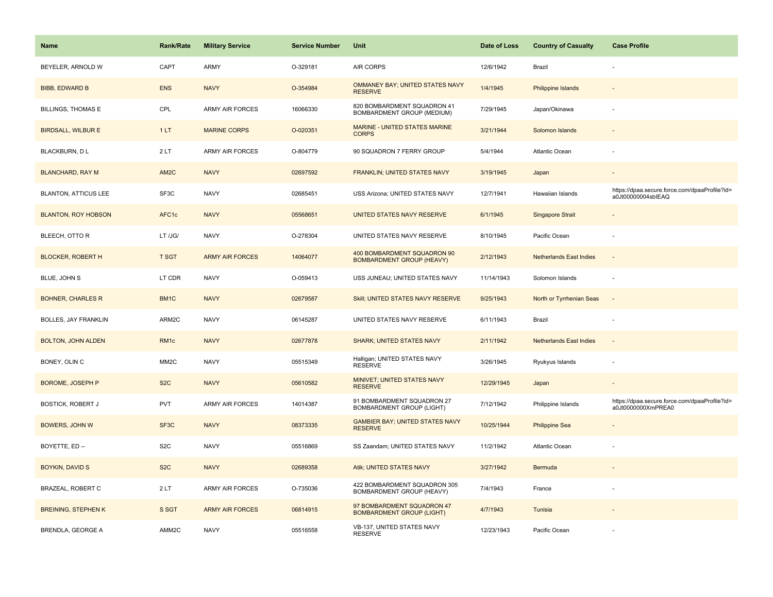| <b>Name</b>                 | <b>Rank/Rate</b>  | <b>Military Service</b> | <b>Service Number</b> | Unit                                                            | Date of Loss | <b>Country of Casualty</b>     | <b>Case Profile</b>                                                 |
|-----------------------------|-------------------|-------------------------|-----------------------|-----------------------------------------------------------------|--------------|--------------------------------|---------------------------------------------------------------------|
| BEYELER, ARNOLD W           | CAPT              | <b>ARMY</b>             | O-329181              | AIR CORPS                                                       | 12/6/1942    | Brazil                         |                                                                     |
| <b>BIBB, EDWARD B</b>       | <b>ENS</b>        | <b>NAVY</b>             | O-354984              | OMMANEY BAY; UNITED STATES NAVY<br><b>RESERVE</b>               | 1/4/1945     | <b>Philippine Islands</b>      |                                                                     |
| <b>BILLINGS, THOMAS E</b>   | CPL               | <b>ARMY AIR FORCES</b>  | 16066330              | 820 BOMBARDMENT SQUADRON 41<br>BOMBARDMENT GROUP (MEDIUM)       | 7/29/1945    | Japan/Okinawa                  |                                                                     |
| <b>BIRDSALL, WILBUR E</b>   | 1LT               | <b>MARINE CORPS</b>     | O-020351              | MARINE - UNITED STATES MARINE<br><b>CORPS</b>                   | 3/21/1944    | Solomon Islands                |                                                                     |
| BLACKBURN, D L              | 2LT               | <b>ARMY AIR FORCES</b>  | O-804779              | 90 SQUADRON 7 FERRY GROUP                                       | 5/4/1944     | Atlantic Ocean                 |                                                                     |
| <b>BLANCHARD, RAY M</b>     | AM <sub>2</sub> C | <b>NAVY</b>             | 02697592              | FRANKLIN; UNITED STATES NAVY                                    | 3/19/1945    | Japan                          |                                                                     |
| <b>BLANTON, ATTICUS LEE</b> | SF3C              | <b>NAVY</b>             | 02685451              | USS Arizona; UNITED STATES NAVY                                 | 12/7/1941    | Hawaiian Islands               | https://dpaa.secure.force.com/dpaaProfile?id=<br>a0Jt00000004sblEAQ |
| <b>BLANTON, ROY HOBSON</b>  | AFC1c             | <b>NAVY</b>             | 05568651              | UNITED STATES NAVY RESERVE                                      | 6/1/1945     | <b>Singapore Strait</b>        |                                                                     |
| BLEECH, OTTO R              | LT /JG/           | <b>NAVY</b>             | O-278304              | UNITED STATES NAVY RESERVE                                      | 8/10/1945    | Pacific Ocean                  |                                                                     |
| <b>BLOCKER, ROBERT H</b>    | <b>T SGT</b>      | <b>ARMY AIR FORCES</b>  | 14064077              | 400 BOMBARDMENT SQUADRON 90<br><b>BOMBARDMENT GROUP (HEAVY)</b> | 2/12/1943    | <b>Netherlands East Indies</b> |                                                                     |
| BLUE, JOHN S                | LT CDR            | <b>NAVY</b>             | O-059413              | USS JUNEAU; UNITED STATES NAVY                                  | 11/14/1943   | Solomon Islands                |                                                                     |
| <b>BOHNER, CHARLES R</b>    | BM1C              | <b>NAVY</b>             | 02679587              | Skill; UNITED STATES NAVY RESERVE                               | 9/25/1943    | North or Tyrrhenian Seas       | $\sim$                                                              |
| <b>BOLLES, JAY FRANKLIN</b> | ARM2C             | <b>NAVY</b>             | 06145287              | UNITED STATES NAVY RESERVE                                      | 6/11/1943    | Brazil                         |                                                                     |
| <b>BOLTON, JOHN ALDEN</b>   | RM <sub>1</sub> c | <b>NAVY</b>             | 02677878              | <b>SHARK; UNITED STATES NAVY</b>                                | 2/11/1942    | <b>Netherlands East Indies</b> | $\sim$                                                              |
| BONEY, OLIN C               | MM <sub>2</sub> C | <b>NAVY</b>             | 05515349              | Halligan; UNITED STATES NAVY<br><b>RESERVE</b>                  | 3/26/1945    | Ryukyus Islands                | ÷,                                                                  |
| BOROME, JOSEPH P            | S <sub>2</sub> C  | <b>NAVY</b>             | 05610582              | MINIVET; UNITED STATES NAVY<br><b>RESERVE</b>                   | 12/29/1945   | Japan                          |                                                                     |
| <b>BOSTICK, ROBERT J</b>    | PVT               | ARMY AIR FORCES         | 14014387              | 91 BOMBARDMENT SQUADRON 27<br><b>BOMBARDMENT GROUP (LIGHT)</b>  | 7/12/1942    | Philippine Islands             | https://dpaa.secure.force.com/dpaaProfile?id=<br>a0Jt0000000XmPREA0 |
| <b>BOWERS, JOHN W</b>       | SF3C              | <b>NAVY</b>             | 08373335              | <b>GAMBIER BAY; UNITED STATES NAVY</b><br><b>RESERVE</b>        | 10/25/1944   | <b>Philippine Sea</b>          |                                                                     |
| BOYETTE, ED --              | S <sub>2</sub> C  | <b>NAVY</b>             | 05516869              | SS Zaandam; UNITED STATES NAVY                                  | 11/2/1942    | Atlantic Ocean                 |                                                                     |
| <b>BOYKIN, DAVID S</b>      | S <sub>2</sub> C  | <b>NAVY</b>             | 02689358              | Atik; UNITED STATES NAVY                                        | 3/27/1942    | Bermuda                        |                                                                     |
| <b>BRAZEAL, ROBERT C</b>    | 2LT               | <b>ARMY AIR FORCES</b>  | O-735036              | 422 BOMBARDMENT SQUADRON 305<br>BOMBARDMENT GROUP (HEAVY)       | 7/4/1943     | France                         |                                                                     |
| <b>BREINING, STEPHEN K</b>  | S SGT             | <b>ARMY AIR FORCES</b>  | 06814915              | 97 BOMBARDMENT SQUADRON 47<br><b>BOMBARDMENT GROUP (LIGHT)</b>  | 4/7/1943     | Tunisia                        |                                                                     |
| BRENDLA, GEORGE A           | AMM2C             | <b>NAVY</b>             | 05516558              | VB-137, UNITED STATES NAVY<br><b>RESERVE</b>                    | 12/23/1943   | Pacific Ocean                  |                                                                     |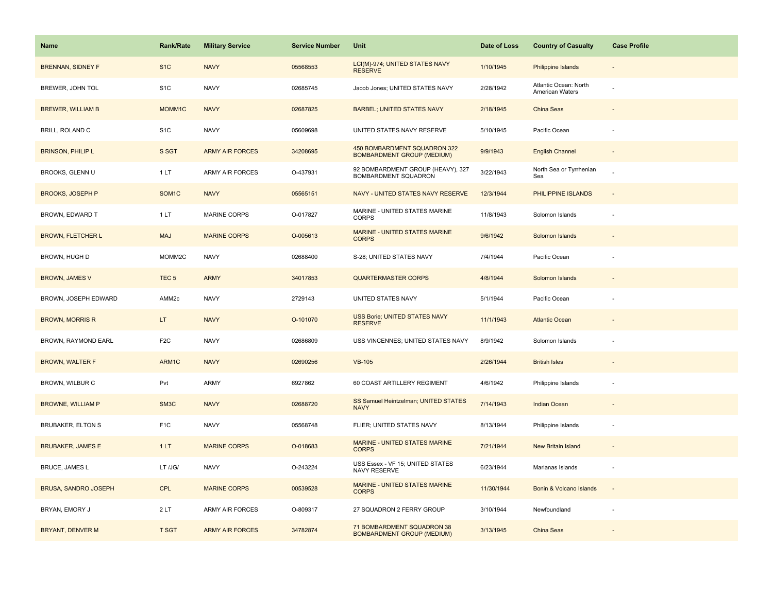| <b>Name</b>                 | <b>Rank/Rate</b>   | <b>Military Service</b> | <b>Service Number</b> | Unit                                                              | Date of Loss | <b>Country of Casualty</b>               | <b>Case Profile</b> |
|-----------------------------|--------------------|-------------------------|-----------------------|-------------------------------------------------------------------|--------------|------------------------------------------|---------------------|
| <b>BRENNAN, SIDNEY F</b>    | S <sub>1</sub> C   | <b>NAVY</b>             | 05568553              | LCI(M)-974; UNITED STATES NAVY<br><b>RESERVE</b>                  | 1/10/1945    | <b>Philippine Islands</b>                |                     |
| BREWER, JOHN TOL            | S <sub>1</sub> C   | <b>NAVY</b>             | 02685745              | Jacob Jones; UNITED STATES NAVY                                   | 2/28/1942    | Atlantic Ocean: North<br>American Waters |                     |
| <b>BREWER, WILLIAM B</b>    | MOMM1C             | <b>NAVY</b>             | 02687825              | <b>BARBEL; UNITED STATES NAVY</b>                                 | 2/18/1945    | China Seas                               |                     |
| BRILL, ROLAND C             | S <sub>1</sub> C   | <b>NAVY</b>             | 05609698              | UNITED STATES NAVY RESERVE                                        | 5/10/1945    | Pacific Ocean                            |                     |
| <b>BRINSON, PHILIP L</b>    | S SGT              | <b>ARMY AIR FORCES</b>  | 34208695              | 450 BOMBARDMENT SQUADRON 322<br><b>BOMBARDMENT GROUP (MEDIUM)</b> | 9/9/1943     | <b>English Channel</b>                   |                     |
| BROOKS, GLENN U             | 1 LT               | <b>ARMY AIR FORCES</b>  | O-437931              | 92 BOMBARDMENT GROUP (HEAVY), 327<br>BOMBARDMENT SQUADRON         | 3/22/1943    | North Sea or Tyrrhenian<br>Sea           |                     |
| <b>BROOKS, JOSEPH P</b>     | SOM <sub>1</sub> C | <b>NAVY</b>             | 05565151              | NAVY - UNITED STATES NAVY RESERVE                                 | 12/3/1944    | PHILIPPINE ISLANDS                       | $\sim$              |
| BROWN, EDWARD T             | 1 LT               | <b>MARINE CORPS</b>     | O-017827              | MARINE - UNITED STATES MARINE<br><b>CORPS</b>                     | 11/8/1943    | Solomon Islands                          |                     |
| <b>BROWN, FLETCHER L</b>    | <b>MAJ</b>         | <b>MARINE CORPS</b>     | O-005613              | MARINE - UNITED STATES MARINE<br><b>CORPS</b>                     | 9/6/1942     | Solomon Islands                          |                     |
| BROWN, HUGH D               | MOMM2C             | <b>NAVY</b>             | 02688400              | S-28; UNITED STATES NAVY                                          | 7/4/1944     | Pacific Ocean                            |                     |
| <b>BROWN, JAMES V</b>       | TEC <sub>5</sub>   | <b>ARMY</b>             | 34017853              | <b>QUARTERMASTER CORPS</b>                                        | 4/8/1944     | Solomon Islands                          |                     |
| BROWN, JOSEPH EDWARD        | AMM <sub>2c</sub>  | <b>NAVY</b>             | 2729143               | UNITED STATES NAVY                                                | 5/1/1944     | Pacific Ocean                            |                     |
| <b>BROWN, MORRIS R</b>      | LT.                | <b>NAVY</b>             | O-101070              | USS Borie; UNITED STATES NAVY<br><b>RESERVE</b>                   | 11/1/1943    | <b>Atlantic Ocean</b>                    |                     |
| BROWN, RAYMOND EARL         | F <sub>2</sub> C   | <b>NAVY</b>             | 02686809              | USS VINCENNES; UNITED STATES NAVY                                 | 8/9/1942     | Solomon Islands                          |                     |
| <b>BROWN, WALTER F</b>      | ARM1C              | <b>NAVY</b>             | 02690256              | <b>VB-105</b>                                                     | 2/26/1944    | <b>British Isles</b>                     |                     |
| BROWN, WILBUR C             | Pvt                | ARMY                    | 6927862               | 60 COAST ARTILLERY REGIMENT                                       | 4/6/1942     | Philippine Islands                       |                     |
| <b>BROWNE, WILLIAM P</b>    | SM3C               | <b>NAVY</b>             | 02688720              | SS Samuel Heintzelman; UNITED STATES<br><b>NAVY</b>               | 7/14/1943    | Indian Ocean                             |                     |
| <b>BRUBAKER, ELTON S</b>    | F <sub>1</sub> C   | <b>NAVY</b>             | 05568748              | FLIER; UNITED STATES NAVY                                         | 8/13/1944    | Philippine Islands                       |                     |
| <b>BRUBAKER, JAMES E</b>    | 1LT                | <b>MARINE CORPS</b>     | O-018683              | MARINE - UNITED STATES MARINE<br><b>CORPS</b>                     | 7/21/1944    | New Britain Island                       |                     |
| BRUCE, JAMES L              | LT /JG/            | <b>NAVY</b>             | O-243224              | USS Essex - VF 15; UNITED STATES<br>NAVY RESERVE                  | 6/23/1944    | Marianas Islands                         |                     |
| <b>BRUSA, SANDRO JOSEPH</b> | <b>CPL</b>         | <b>MARINE CORPS</b>     | 00539528              | MARINE - UNITED STATES MARINE<br><b>CORPS</b>                     | 11/30/1944   | Bonin & Volcano Islands                  | $\sim$              |
| BRYAN, EMORY J              | 2LT                | ARMY AIR FORCES         | O-809317              | 27 SQUADRON 2 FERRY GROUP                                         | 3/10/1944    | Newfoundland                             |                     |
| BRYANT, DENVER M            | <b>T SGT</b>       | <b>ARMY AIR FORCES</b>  | 34782874              | 71 BOMBARDMENT SQUADRON 38<br><b>BOMBARDMENT GROUP (MEDIUM)</b>   | 3/13/1945    | China Seas                               |                     |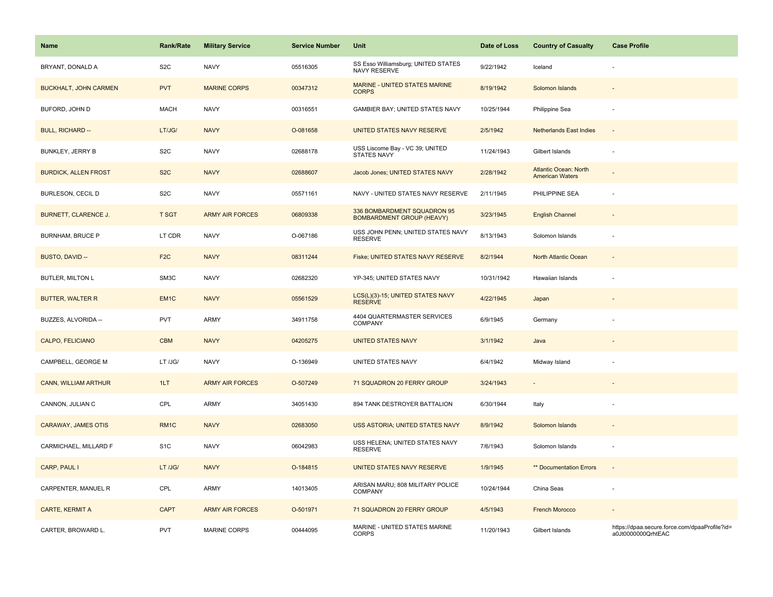| <b>Name</b>                  | <b>Rank/Rate</b> | <b>Military Service</b> | <b>Service Number</b> | Unit                                                            | Date of Loss | <b>Country of Casualty</b>                             | <b>Case Profile</b>                                                 |
|------------------------------|------------------|-------------------------|-----------------------|-----------------------------------------------------------------|--------------|--------------------------------------------------------|---------------------------------------------------------------------|
| BRYANT, DONALD A             | S <sub>2</sub> C | <b>NAVY</b>             | 05516305              | SS Esso Williamsburg; UNITED STATES<br><b>NAVY RESERVE</b>      | 9/22/1942    | Iceland                                                |                                                                     |
| <b>BUCKHALT, JOHN CARMEN</b> | <b>PVT</b>       | <b>MARINE CORPS</b>     | 00347312              | <b>MARINE - UNITED STATES MARINE</b><br><b>CORPS</b>            | 8/19/1942    | Solomon Islands                                        |                                                                     |
| BUFORD, JOHN D               | <b>MACH</b>      | <b>NAVY</b>             | 00316551              | GAMBIER BAY; UNITED STATES NAVY                                 | 10/25/1944   | Philippine Sea                                         |                                                                     |
| <b>BULL, RICHARD --</b>      | LT/JG/           | <b>NAVY</b>             | O-081658              | UNITED STATES NAVY RESERVE                                      | 2/5/1942     | <b>Netherlands East Indies</b>                         |                                                                     |
| <b>BUNKLEY, JERRY B</b>      | S <sub>2</sub> C | <b>NAVY</b>             | 02688178              | USS Liscome Bay - VC 39; UNITED<br><b>STATES NAVY</b>           | 11/24/1943   | Gilbert Islands                                        |                                                                     |
| <b>BURDICK, ALLEN FROST</b>  | S <sub>2</sub> C | <b>NAVY</b>             | 02688607              | Jacob Jones; UNITED STATES NAVY                                 | 2/28/1942    | <b>Atlantic Ocean: North</b><br><b>American Waters</b> |                                                                     |
| BURLESON, CECIL D            | S <sub>2</sub> C | <b>NAVY</b>             | 05571161              | NAVY - UNITED STATES NAVY RESERVE                               | 2/11/1945    | PHILIPPINE SEA                                         | ÷,                                                                  |
| BURNETT, CLARENCE J.         | <b>T SGT</b>     | <b>ARMY AIR FORCES</b>  | 06809338              | 336 BOMBARDMENT SQUADRON 95<br><b>BOMBARDMENT GROUP (HEAVY)</b> | 3/23/1945    | <b>English Channel</b>                                 | $\sim$                                                              |
| <b>BURNHAM, BRUCE P</b>      | LT CDR           | <b>NAVY</b>             | O-067186              | USS JOHN PENN; UNITED STATES NAVY<br><b>RESERVE</b>             | 8/13/1943    | Solomon Islands                                        | ÷.                                                                  |
| BUSTO, DAVID --              | F <sub>2</sub> C | <b>NAVY</b>             | 08311244              | Fiske; UNITED STATES NAVY RESERVE                               | 8/2/1944     | North Atlantic Ocean                                   |                                                                     |
| <b>BUTLER, MILTON L</b>      | SM3C             | <b>NAVY</b>             | 02682320              | YP-345; UNITED STATES NAVY                                      | 10/31/1942   | Hawaiian Islands                                       |                                                                     |
| <b>BUTTER, WALTER R</b>      | EM <sub>1C</sub> | <b>NAVY</b>             | 05561529              | LCS(L)(3)-15; UNITED STATES NAVY<br><b>RESERVE</b>              | 4/22/1945    | Japan                                                  |                                                                     |
| BUZZES, ALVORIDA --          | <b>PVT</b>       | <b>ARMY</b>             | 34911758              | 4404 QUARTERMASTER SERVICES<br>COMPANY                          | 6/9/1945     | Germany                                                |                                                                     |
| CALPO, FELICIANO             | <b>CBM</b>       | <b>NAVY</b>             | 04205275              | <b>UNITED STATES NAVY</b>                                       | 3/1/1942     | Java                                                   | $\overline{\phantom{a}}$                                            |
| CAMPBELL, GEORGE M           | LT /JG/          | <b>NAVY</b>             | O-136949              | UNITED STATES NAVY                                              | 6/4/1942     | Midway Island                                          |                                                                     |
| <b>CANN, WILLIAM ARTHUR</b>  | 1LT              | <b>ARMY AIR FORCES</b>  | O-507249              | 71 SQUADRON 20 FERRY GROUP                                      | 3/24/1943    |                                                        |                                                                     |
| CANNON, JULIAN C             | CPL              | <b>ARMY</b>             | 34051430              | 894 TANK DESTROYER BATTALION                                    | 6/30/1944    | Italy                                                  |                                                                     |
| CARAWAY, JAMES OTIS          | RM1C             | <b>NAVY</b>             | 02683050              | USS ASTORIA; UNITED STATES NAVY                                 | 8/9/1942     | Solomon Islands                                        |                                                                     |
| CARMICHAEL, MILLARD F        | S <sub>1</sub> C | <b>NAVY</b>             | 06042983              | USS HELENA; UNITED STATES NAVY<br><b>RESERVE</b>                | 7/6/1943     | Solomon Islands                                        |                                                                     |
| CARP, PAUL I                 | LT /JG/          | <b>NAVY</b>             | O-184815              | UNITED STATES NAVY RESERVE                                      | 1/9/1945     | ** Documentation Errors                                | $\overline{\phantom{a}}$                                            |
| CARPENTER, MANUEL R          | CPL              | ARMY                    | 14013405              | ARISAN MARU; 808 MILITARY POLICE<br>COMPANY                     | 10/24/1944   | China Seas                                             | ÷,                                                                  |
| CARTE, KERMIT A              | <b>CAPT</b>      | <b>ARMY AIR FORCES</b>  | O-501971              | 71 SQUADRON 20 FERRY GROUP                                      | 4/5/1943     | <b>French Morocco</b>                                  |                                                                     |
| CARTER, BROWARD L.           | <b>PVT</b>       | MARINE CORPS            | 00444095              | MARINE - UNITED STATES MARINE<br><b>CORPS</b>                   | 11/20/1943   | Gilbert Islands                                        | https://dpaa.secure.force.com/dpaaProfile?id=<br>a0Jt0000000QrhtEAC |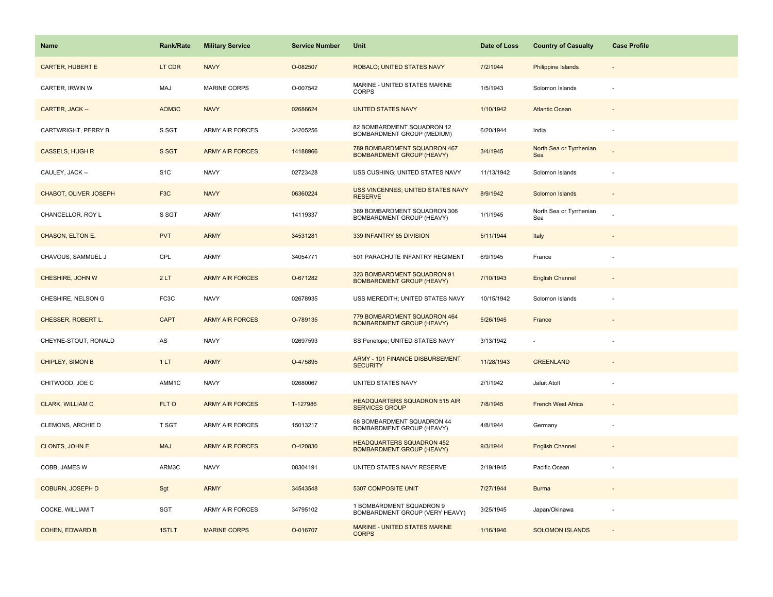| <b>Name</b>                  | <b>Rank/Rate</b> | <b>Military Service</b> | <b>Service Number</b> | Unit                                                                 | Date of Loss | <b>Country of Casualty</b>     | <b>Case Profile</b>      |
|------------------------------|------------------|-------------------------|-----------------------|----------------------------------------------------------------------|--------------|--------------------------------|--------------------------|
| <b>CARTER, HUBERT E</b>      | LT CDR           | <b>NAVY</b>             | O-082507              | ROBALO; UNITED STATES NAVY                                           | 7/2/1944     | <b>Philippine Islands</b>      |                          |
| CARTER, IRWIN W              | MAJ              | MARINE CORPS            | O-007542              | MARINE - UNITED STATES MARINE<br><b>CORPS</b>                        | 1/5/1943     | Solomon Islands                |                          |
| CARTER, JACK --              | AOM3C            | <b>NAVY</b>             | 02686624              | <b>UNITED STATES NAVY</b>                                            | 1/10/1942    | <b>Atlantic Ocean</b>          |                          |
| CARTWRIGHT, PERRY B          | S SGT            | ARMY AIR FORCES         | 34205256              | 82 BOMBARDMENT SQUADRON 12<br>BOMBARDMENT GROUP (MEDIUM)             | 6/20/1944    | India                          |                          |
| <b>CASSELS, HUGH R</b>       | S SGT            | <b>ARMY AIR FORCES</b>  | 14188966              | 789 BOMBARDMENT SQUADRON 467<br><b>BOMBARDMENT GROUP (HEAVY)</b>     | 3/4/1945     | North Sea or Tyrrhenian<br>Sea |                          |
| CAULEY, JACK --              | S <sub>1</sub> C | <b>NAVY</b>             | 02723428              | USS CUSHING; UNITED STATES NAVY                                      | 11/13/1942   | Solomon Islands                |                          |
| <b>CHABOT, OLIVER JOSEPH</b> | F <sub>3</sub> C | <b>NAVY</b>             | 06360224              | USS VINCENNES; UNITED STATES NAVY<br><b>RESERVE</b>                  | 8/9/1942     | Solomon Islands                | $\overline{\phantom{a}}$ |
| CHANCELLOR, ROY L            | S SGT            | <b>ARMY</b>             | 14119337              | 369 BOMBARDMENT SQUADRON 306<br>BOMBARDMENT GROUP (HEAVY)            | 1/1/1945     | North Sea or Tyrrhenian<br>Sea |                          |
| CHASON, ELTON E.             | <b>PVT</b>       | <b>ARMY</b>             | 34531281              | 339 INFANTRY 85 DIVISION                                             | 5/11/1944    | Italy                          |                          |
| CHAVOUS, SAMMUEL J           | CPL              | ARMY                    | 34054771              | 501 PARACHUTE INFANTRY REGIMENT                                      | 6/9/1945     | France                         |                          |
| CHESHIRE, JOHN W             | 2LT              | <b>ARMY AIR FORCES</b>  | O-671282              | 323 BOMBARDMENT SQUADRON 91<br><b>BOMBARDMENT GROUP (HEAVY)</b>      | 7/10/1943    | <b>English Channel</b>         |                          |
| CHESHIRE, NELSON G           | FC3C             | <b>NAVY</b>             | 02678935              | USS MEREDITH; UNITED STATES NAVY                                     | 10/15/1942   | Solomon Islands                |                          |
| CHESSER, ROBERT L.           | <b>CAPT</b>      | <b>ARMY AIR FORCES</b>  | O-789135              | 779 BOMBARDMENT SQUADRON 464<br><b>BOMBARDMENT GROUP (HEAVY)</b>     | 5/26/1945    | France                         |                          |
| CHEYNE-STOUT, RONALD         | AS               | <b>NAVY</b>             | 02697593              | SS Penelope; UNITED STATES NAVY                                      | 3/13/1942    |                                |                          |
| <b>CHIPLEY, SIMON B</b>      | 1LT              | <b>ARMY</b>             | O-475895              | ARMY - 101 FINANCE DISBURSEMENT<br><b>SECURITY</b>                   | 11/28/1943   | <b>GREENLAND</b>               |                          |
| CHITWOOD, JOE C              | AMM1C            | <b>NAVY</b>             | 02680067              | UNITED STATES NAVY                                                   | 2/1/1942     | Jaluit Atoll                   |                          |
| <b>CLARK, WILLIAM C</b>      | FLT O            | <b>ARMY AIR FORCES</b>  | T-127986              | <b>HEADQUARTERS SQUADRON 515 AIR</b><br><b>SERVICES GROUP</b>        | 7/8/1945     | <b>French West Africa</b>      |                          |
| CLEMONS, ARCHIE D            | T SGT            | ARMY AIR FORCES         | 15013217              | 68 BOMBARDMENT SQUADRON 44<br>BOMBARDMENT GROUP (HEAVY)              | 4/8/1944     | Germany                        |                          |
| <b>CLONTS, JOHN E</b>        | <b>MAJ</b>       | <b>ARMY AIR FORCES</b>  | O-420830              | <b>HEADQUARTERS SQUADRON 452</b><br><b>BOMBARDMENT GROUP (HEAVY)</b> | 9/3/1944     | <b>English Channel</b>         |                          |
| COBB, JAMES W                | ARM3C            | <b>NAVY</b>             | 08304191              | UNITED STATES NAVY RESERVE                                           | 2/19/1945    | Pacific Ocean                  |                          |
| <b>COBURN, JOSEPH D</b>      | Sgt              | <b>ARMY</b>             | 34543548              | 5307 COMPOSITE UNIT                                                  | 7/27/1944    | <b>Burma</b>                   |                          |
| COCKE, WILLIAM T             | SGT              | <b>ARMY AIR FORCES</b>  | 34795102              | 1 BOMBARDMENT SQUADRON 9<br>BOMBARDMENT GROUP (VERY HEAVY)           | 3/25/1945    | Japan/Okinawa                  |                          |
| <b>COHEN, EDWARD B</b>       | 1STLT            | <b>MARINE CORPS</b>     | O-016707              | MARINE - UNITED STATES MARINE<br><b>CORPS</b>                        | 1/16/1946    | <b>SOLOMON ISLANDS</b>         |                          |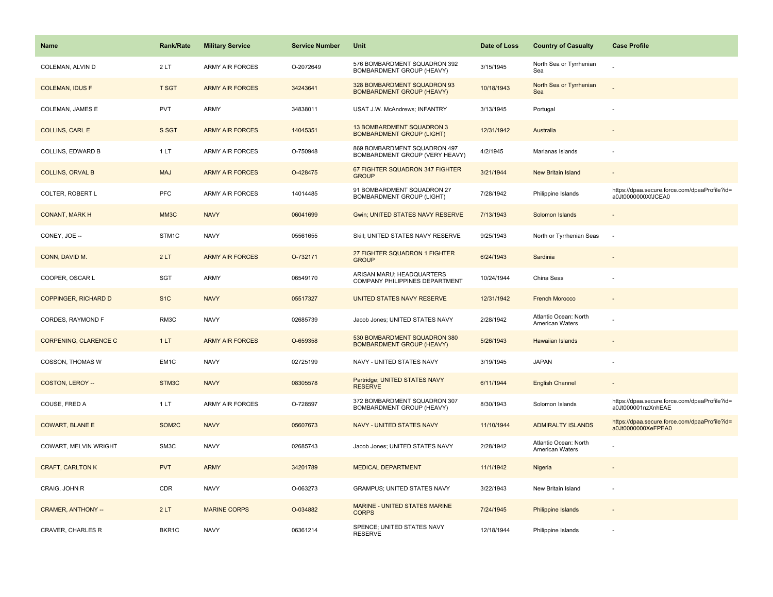| <b>Name</b>                 | <b>Rank/Rate</b> | <b>Military Service</b> | <b>Service Number</b> | Unit                                                             | Date of Loss | <b>Country of Casualty</b>                      | <b>Case Profile</b>                                                 |
|-----------------------------|------------------|-------------------------|-----------------------|------------------------------------------------------------------|--------------|-------------------------------------------------|---------------------------------------------------------------------|
| COLEMAN, ALVIN D            | 2LT              | <b>ARMY AIR FORCES</b>  | O-2072649             | 576 BOMBARDMENT SQUADRON 392<br>BOMBARDMENT GROUP (HEAVY)        | 3/15/1945    | North Sea or Tyrrhenian<br>Sea                  |                                                                     |
| <b>COLEMAN, IDUS F</b>      | <b>T SGT</b>     | <b>ARMY AIR FORCES</b>  | 34243641              | 328 BOMBARDMENT SQUADRON 93<br><b>BOMBARDMENT GROUP (HEAVY)</b>  | 10/18/1943   | North Sea or Tyrrhenian<br>Sea                  |                                                                     |
| COLEMAN, JAMES E            | <b>PVT</b>       | <b>ARMY</b>             | 34838011              | USAT J.W. McAndrews; INFANTRY                                    | 3/13/1945    | Portugal                                        |                                                                     |
| <b>COLLINS, CARL E</b>      | S SGT            | <b>ARMY AIR FORCES</b>  | 14045351              | 13 BOMBARDMENT SQUADRON 3<br><b>BOMBARDMENT GROUP (LIGHT)</b>    | 12/31/1942   | Australia                                       |                                                                     |
| COLLINS, EDWARD B           | 1 LT             | <b>ARMY AIR FORCES</b>  | O-750948              | 869 BOMBARDMENT SQUADRON 497<br>BOMBARDMENT GROUP (VERY HEAVY)   | 4/2/1945     | Marianas Islands                                |                                                                     |
| <b>COLLINS, ORVAL B</b>     | <b>MAJ</b>       | <b>ARMY AIR FORCES</b>  | O-428475              | 67 FIGHTER SQUADRON 347 FIGHTER<br><b>GROUP</b>                  | 3/21/1944    | <b>New Britain Island</b>                       |                                                                     |
| COLTER, ROBERT L            | PFC              | ARMY AIR FORCES         | 14014485              | 91 BOMBARDMENT SQUADRON 27<br><b>BOMBARDMENT GROUP (LIGHT)</b>   | 7/28/1942    | Philippine Islands                              | https://dpaa.secure.force.com/dpaaProfile?id=<br>a0Jt0000000XfJCEA0 |
| <b>CONANT, MARK H</b>       | MM3C             | <b>NAVY</b>             | 06041699              | <b>Gwin; UNITED STATES NAVY RESERVE</b>                          | 7/13/1943    | Solomon Islands                                 |                                                                     |
| CONEY, JOE --               | STM1C            | <b>NAVY</b>             | 05561655              | Skill; UNITED STATES NAVY RESERVE                                | 9/25/1943    | North or Tyrrhenian Seas                        | $\sim$                                                              |
| CONN, DAVID M.              | 2LT              | <b>ARMY AIR FORCES</b>  | O-732171              | 27 FIGHTER SQUADRON 1 FIGHTER<br><b>GROUP</b>                    | 6/24/1943    | Sardinia                                        |                                                                     |
| COOPER, OSCAR L             | SGT              | ARMY                    | 06549170              | ARISAN MARU; HEADQUARTERS<br>COMPANY PHILIPPINES DEPARTMENT      | 10/24/1944   | China Seas                                      |                                                                     |
| <b>COPPINGER, RICHARD D</b> | S <sub>1C</sub>  | <b>NAVY</b>             | 05517327              | UNITED STATES NAVY RESERVE                                       | 12/31/1942   | <b>French Morocco</b>                           |                                                                     |
| CORDES, RAYMOND F           | RM3C             | <b>NAVY</b>             | 02685739              | Jacob Jones; UNITED STATES NAVY                                  | 2/28/1942    | Atlantic Ocean: North<br>American Waters        |                                                                     |
| CORPENING, CLARENCE C       | 1LT              | <b>ARMY AIR FORCES</b>  | O-659358              | 530 BOMBARDMENT SQUADRON 380<br><b>BOMBARDMENT GROUP (HEAVY)</b> | 5/26/1943    | Hawaiian Islands                                |                                                                     |
| COSSON, THOMAS W            | EM1C             | <b>NAVY</b>             | 02725199              | NAVY - UNITED STATES NAVY                                        | 3/19/1945    | <b>JAPAN</b>                                    |                                                                     |
| COSTON, LEROY --            | STM3C            | <b>NAVY</b>             | 08305578              | Partridge; UNITED STATES NAVY<br><b>RESERVE</b>                  | 6/11/1944    | <b>English Channel</b>                          |                                                                     |
| COUSE, FRED A               | 1 LT             | <b>ARMY AIR FORCES</b>  | O-728597              | 372 BOMBARDMENT SQUADRON 307<br>BOMBARDMENT GROUP (HEAVY)        | 8/30/1943    | Solomon Islands                                 | https://dpaa.secure.force.com/dpaaProfile?id=<br>a0Jt000001nzXnhEAE |
| <b>COWART, BLANE E</b>      | SOM2C            | <b>NAVY</b>             | 05607673              | <b>NAVY - UNITED STATES NAVY</b>                                 | 11/10/1944   | <b>ADMIRALTY ISLANDS</b>                        | https://dpaa.secure.force.com/dpaaProfile?id=<br>a0Jt0000000XeFPEA0 |
| COWART, MELVIN WRIGHT       | SM3C             | <b>NAVY</b>             | 02685743              | Jacob Jones; UNITED STATES NAVY                                  | 2/28/1942    | Atlantic Ocean: North<br><b>American Waters</b> |                                                                     |
| <b>CRAFT, CARLTON K</b>     | <b>PVT</b>       | <b>ARMY</b>             | 34201789              | <b>MEDICAL DEPARTMENT</b>                                        | 11/1/1942    | Nigeria                                         |                                                                     |
| CRAIG, JOHN R               | CDR              | <b>NAVY</b>             | O-063273              | <b>GRAMPUS; UNITED STATES NAVY</b>                               | 3/22/1943    | New Britain Island                              |                                                                     |
| <b>CRAMER, ANTHONY --</b>   | 2LT              | <b>MARINE CORPS</b>     | O-034882              | MARINE - UNITED STATES MARINE<br><b>CORPS</b>                    | 7/24/1945    | <b>Philippine Islands</b>                       |                                                                     |
| <b>CRAVER, CHARLES R</b>    | BKR1C            | <b>NAVY</b>             | 06361214              | SPENCE; UNITED STATES NAVY<br><b>RESERVE</b>                     | 12/18/1944   | Philippine Islands                              |                                                                     |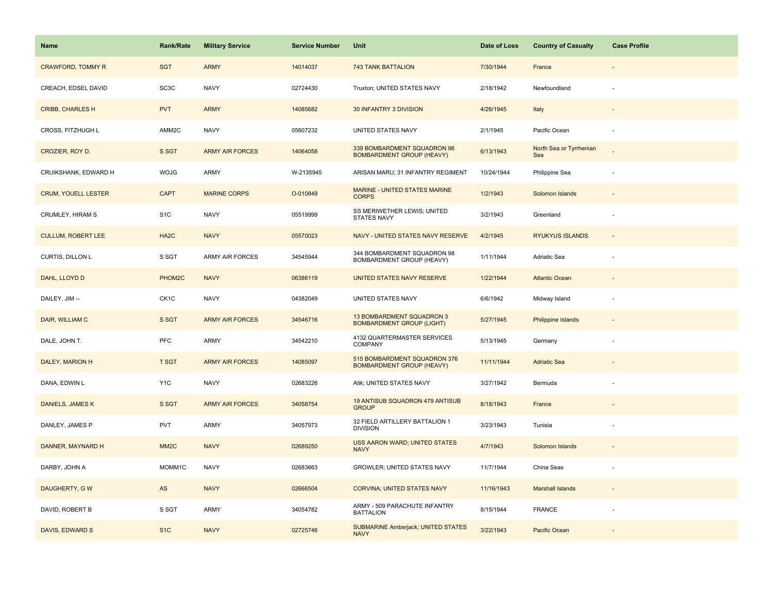| Name                       | Rank/Rate         | <b>Military Service</b> | <b>Service Number</b> | Unit                                                             | Date of Loss | <b>Country of Casualty</b>     | <b>Case Profile</b>      |
|----------------------------|-------------------|-------------------------|-----------------------|------------------------------------------------------------------|--------------|--------------------------------|--------------------------|
| <b>CRAWFORD, TOMMY R</b>   | <b>SGT</b>        | <b>ARMY</b>             | 14014037              | <b>743 TANK BATTALION</b>                                        | 7/30/1944    | France                         |                          |
| CREACH, EDSEL DAVID        | SC <sub>3</sub> C | <b>NAVY</b>             | 02724430              | Truxton; UNITED STATES NAVY                                      | 2/18/1942    | Newfoundland                   |                          |
| <b>CRIBB, CHARLES H</b>    | <b>PVT</b>        | <b>ARMY</b>             | 14085682              | <b>30 INFANTRY 3 DIVISION</b>                                    | 4/26/1945    | Italy                          |                          |
| CROSS, FITZHUGH L          | AMM2C             | <b>NAVY</b>             | 05607232              | UNITED STATES NAVY                                               | 2/1/1945     | Pacific Ocean                  |                          |
| CROZIER, ROY D.            | S SGT             | <b>ARMY AIR FORCES</b>  | 14064058              | 339 BOMBARDMENT SQUADRON 96<br><b>BOMBARDMENT GROUP (HEAVY)</b>  | 6/13/1943    | North Sea or Tyrrhenian<br>Sea |                          |
| CRUIKSHANK, EDWARD H       | <b>WOJG</b>       | ARMY                    | W-2135945             | ARISAN MARU; 31 INFANTRY REGIMENT                                | 10/24/1944   | Philippine Sea                 |                          |
| <b>CRUM, YOUELL LESTER</b> | <b>CAPT</b>       | <b>MARINE CORPS</b>     | O-010849              | <b>MARINE - UNITED STATES MARINE</b><br><b>CORPS</b>             | 1/2/1943     | Solomon Islands                | $\overline{\phantom{a}}$ |
| CRUMLEY, HIRAM S           | S <sub>1</sub> C  | <b>NAVY</b>             | 05519999              | SS MERIWETHER LEWIS; UNITED<br><b>STATES NAVY</b>                | 3/2/1943     | Greenland                      | ÷                        |
| <b>CULLUM, ROBERT LEE</b>  | HA <sub>2</sub> C | <b>NAVY</b>             | 05570023              | NAVY - UNITED STATES NAVY RESERVE                                | 4/2/1945     | <b>RYUKYUS ISLANDS</b>         | $\blacksquare$           |
| CURTIS, DILLON L           | S SGT             | <b>ARMY AIR FORCES</b>  | 34545944              | 344 BOMBARDMENT SQUADRON 98<br>BOMBARDMENT GROUP (HEAVY)         | 1/11/1944    | Adriatic Sea                   |                          |
| DAHL, LLOYD D              | PHOM2C            | <b>NAVY</b>             | 06386119              | UNITED STATES NAVY RESERVE                                       | 1/22/1944    | <b>Atlantic Ocean</b>          |                          |
| DAILEY, JIM --             | CK <sub>1</sub> C | <b>NAVY</b>             | 04382049              | UNITED STATES NAVY                                               | 6/6/1942     | Midway Island                  |                          |
| DAIR, WILLIAM C            | S SGT             | <b>ARMY AIR FORCES</b>  | 34546716              | 13 BOMBARDMENT SQUADRON 3<br><b>BOMBARDMENT GROUP (LIGHT)</b>    | 5/27/1945    | <b>Philippine Islands</b>      |                          |
| DALE, JOHN T.              | <b>PFC</b>        | <b>ARMY</b>             | 34542210              | 4132 QUARTERMASTER SERVICES<br>COMPANY                           | 5/13/1945    | Germany                        | ÷,                       |
| DALEY, MARION H            | <b>T SGT</b>      | <b>ARMY AIR FORCES</b>  | 14085097              | 515 BOMBARDMENT SQUADRON 376<br><b>BOMBARDMENT GROUP (HEAVY)</b> | 11/11/1944   | <b>Adriatic Sea</b>            |                          |
| DANA, EDWIN L              | Y <sub>1</sub> C  | <b>NAVY</b>             | 02683226              | Atik; UNITED STATES NAVY                                         | 3/27/1942    | Bermuda                        | ÷                        |
| DANIELS, JAMES K           | S SGT             | <b>ARMY AIR FORCES</b>  | 34058754              | 19 ANTISUB SQUADRON 479 ANTISUB<br><b>GROUP</b>                  | 8/18/1943    | France                         |                          |
| DANLEY, JAMES P            | <b>PVT</b>        | ARMY                    | 34057973              | 32 FIELD ARTILLERY BATTALION 1<br><b>DIVISION</b>                | 3/23/1943    | Tunisia                        |                          |
| DANNER, MAYNARD H          | MM <sub>2</sub> C | <b>NAVY</b>             | 02689250              | <b>USS AARON WARD; UNITED STATES</b><br><b>NAVY</b>              | 4/7/1943     | Solomon Islands                |                          |
| DARBY, JOHN A              | MOMM1C            | <b>NAVY</b>             | 02683663              | GROWLER; UNITED STATES NAVY                                      | 11/7/1944    | China Seas                     |                          |
| DAUGHERTY, GW              | AS                | <b>NAVY</b>             | 02666504              | CORVINA; UNITED STATES NAVY                                      | 11/16/1943   | <b>Marshall Islands</b>        |                          |
| DAVID, ROBERT B            | S SGT             | ARMY                    | 34054782              | ARMY - 509 PARACHUTE INFANTRY<br><b>BATTALION</b>                | 8/15/1944    | <b>FRANCE</b>                  |                          |
| DAVIS, EDWARD S            | S <sub>1</sub> C  | <b>NAVY</b>             | 02725746              | <b>SUBMARINE Amberjack; UNITED STATES</b><br><b>NAVY</b>         | 3/22/1943    | Pacific Ocean                  |                          |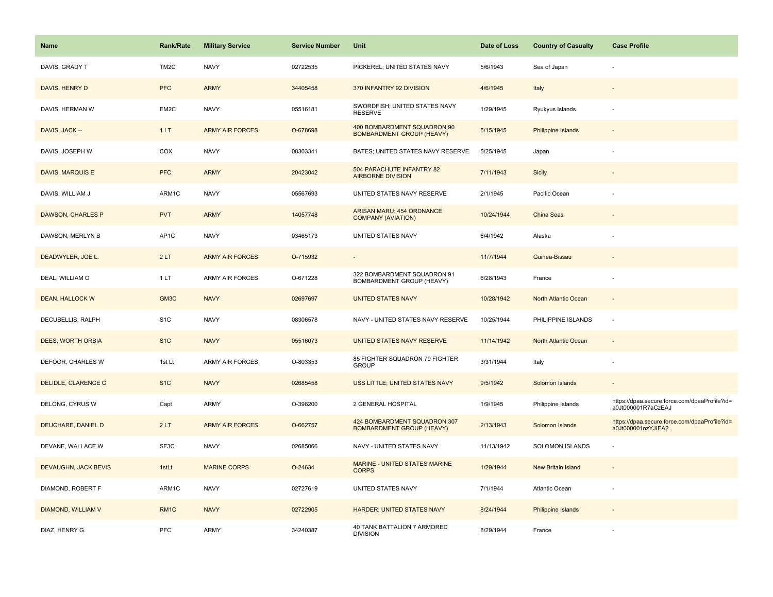| <b>Name</b>                 | <b>Rank/Rate</b>  | <b>Military Service</b> | <b>Service Number</b> | Unit                                                             | Date of Loss | <b>Country of Casualty</b> | <b>Case Profile</b>                                                 |
|-----------------------------|-------------------|-------------------------|-----------------------|------------------------------------------------------------------|--------------|----------------------------|---------------------------------------------------------------------|
| DAVIS, GRADY T              | TM <sub>2</sub> C | <b>NAVY</b>             | 02722535              | PICKEREL; UNITED STATES NAVY                                     | 5/6/1943     | Sea of Japan               |                                                                     |
| DAVIS, HENRY D              | <b>PFC</b>        | <b>ARMY</b>             | 34405458              | 370 INFANTRY 92 DIVISION                                         | 4/6/1945     | Italy                      |                                                                     |
| DAVIS, HERMAN W             | EM2C              | <b>NAVY</b>             | 05516181              | SWORDFISH; UNITED STATES NAVY<br><b>RESERVE</b>                  | 1/29/1945    | Ryukyus Islands            |                                                                     |
| DAVIS, JACK --              | 1LT               | <b>ARMY AIR FORCES</b>  | O-678698              | 400 BOMBARDMENT SQUADRON 90<br><b>BOMBARDMENT GROUP (HEAVY)</b>  | 5/15/1945    | Philippine Islands         |                                                                     |
| DAVIS, JOSEPH W             | COX               | <b>NAVY</b>             | 08303341              | BATES; UNITED STATES NAVY RESERVE                                | 5/25/1945    | Japan                      |                                                                     |
| DAVIS, MARQUIS E            | <b>PFC</b>        | <b>ARMY</b>             | 20423042              | 504 PARACHUTE INFANTRY 82<br><b>AIRBORNE DIVISION</b>            | 7/11/1943    | Sicily                     |                                                                     |
| DAVIS, WILLIAM J            | ARM1C             | <b>NAVY</b>             | 05567693              | UNITED STATES NAVY RESERVE                                       | 2/1/1945     | Pacific Ocean              |                                                                     |
| DAWSON, CHARLES P           | <b>PVT</b>        | <b>ARMY</b>             | 14057748              | ARISAN MARU; 454 ORDNANCE<br><b>COMPANY (AVIATION)</b>           | 10/24/1944   | China Seas                 |                                                                     |
| DAWSON, MERLYN B            | AP1C              | <b>NAVY</b>             | 03465173              | UNITED STATES NAVY                                               | 6/4/1942     | Alaska                     |                                                                     |
| DEADWYLER, JOE L.           | 2LT               | <b>ARMY AIR FORCES</b>  | O-715932              |                                                                  | 11/7/1944    | Guinea-Bissau              |                                                                     |
| DEAL, WILLIAM O             | 1 LT              | ARMY AIR FORCES         | O-671228              | 322 BOMBARDMENT SQUADRON 91<br>BOMBARDMENT GROUP (HEAVY)         | 6/28/1943    | France                     |                                                                     |
| <b>DEAN, HALLOCK W</b>      | GM3C              | <b>NAVY</b>             | 02697697              | <b>UNITED STATES NAVY</b>                                        | 10/28/1942   | North Atlantic Ocean       | $\sim$                                                              |
| DECUBELLIS, RALPH           | S <sub>1</sub> C  | <b>NAVY</b>             | 08306578              | NAVY - UNITED STATES NAVY RESERVE                                | 10/25/1944   | PHILIPPINE ISLANDS         | $\sim$                                                              |
| DEES, WORTH ORBIA           | S <sub>1C</sub>   | <b>NAVY</b>             | 05516073              | UNITED STATES NAVY RESERVE                                       | 11/14/1942   | North Atlantic Ocean       | $\sim$                                                              |
| DEFOOR, CHARLES W           | 1st Lt            | <b>ARMY AIR FORCES</b>  | O-803353              | 85 FIGHTER SQUADRON 79 FIGHTER<br><b>GROUP</b>                   | 3/31/1944    | Italy                      |                                                                     |
| DELIDLE, CLARENCE C         | S <sub>1C</sub>   | <b>NAVY</b>             | 02685458              | USS LITTLE; UNITED STATES NAVY                                   | 9/5/1942     | Solomon Islands            |                                                                     |
| DELONG, CYRUS W             | Capt              | ARMY                    | O-398200              | 2 GENERAL HOSPITAL                                               | 1/9/1945     | Philippine Islands         | https://dpaa.secure.force.com/dpaaProfile?id=<br>a0Jt000001R7aCzEAJ |
| DEUCHARE, DANIEL D          | 2LT               | <b>ARMY AIR FORCES</b>  | O-662757              | 424 BOMBARDMENT SQUADRON 307<br><b>BOMBARDMENT GROUP (HEAVY)</b> | 2/13/1943    | Solomon Islands            | https://dpaa.secure.force.com/dpaaProfile?id=<br>a0Jt000001nzYJIEA2 |
| DEVANE, WALLACE W           | SF3C              | <b>NAVY</b>             | 02685066              | NAVY - UNITED STATES NAVY                                        | 11/13/1942   | SOLOMON ISLANDS            |                                                                     |
| <b>DEVAUGHN, JACK BEVIS</b> | 1stLt             | <b>MARINE CORPS</b>     | O-24634               | MARINE - UNITED STATES MARINE<br><b>CORPS</b>                    | 1/29/1944    | New Britain Island         |                                                                     |
| DIAMOND, ROBERT F           | ARM1C             | <b>NAVY</b>             | 02727619              | UNITED STATES NAVY                                               | 7/1/1944     | Atlantic Ocean             |                                                                     |
| DIAMOND, WILLIAM V          | RM1C              | <b>NAVY</b>             | 02722905              | <b>HARDER; UNITED STATES NAVY</b>                                | 8/24/1944    | Philippine Islands         |                                                                     |
| DIAZ, HENRY G.              | PFC               | <b>ARMY</b>             | 34240387              | 40 TANK BATTALION 7 ARMORED<br><b>DIVISION</b>                   | 8/29/1944    | France                     |                                                                     |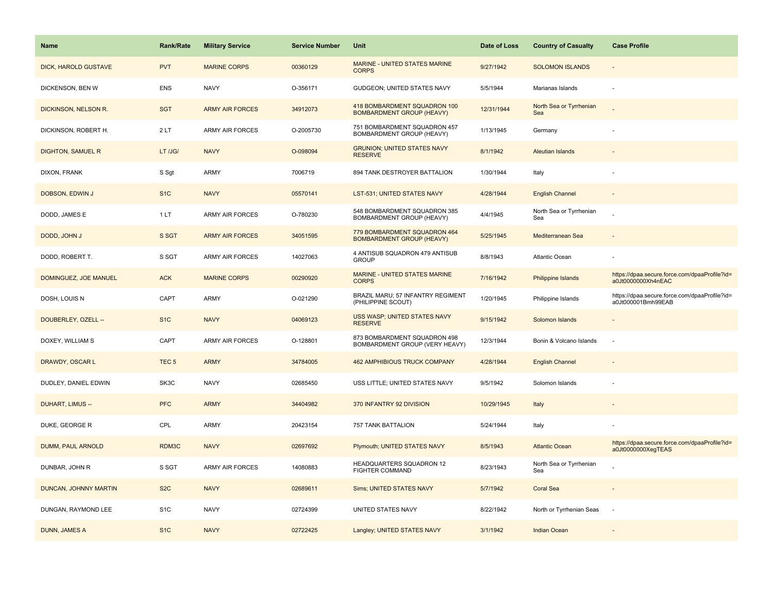| <b>Name</b>                 | <b>Rank/Rate</b> | <b>Military Service</b> | <b>Service Number</b> | Unit                                                             | Date of Loss | <b>Country of Casualty</b>     | <b>Case Profile</b>                                                 |
|-----------------------------|------------------|-------------------------|-----------------------|------------------------------------------------------------------|--------------|--------------------------------|---------------------------------------------------------------------|
| <b>DICK, HAROLD GUSTAVE</b> | <b>PVT</b>       | <b>MARINE CORPS</b>     | 00360129              | MARINE - UNITED STATES MARINE<br><b>CORPS</b>                    | 9/27/1942    | <b>SOLOMON ISLANDS</b>         |                                                                     |
| DICKENSON, BEN W            | <b>ENS</b>       | <b>NAVY</b>             | O-356171              | GUDGEON; UNITED STATES NAVY                                      | 5/5/1944     | Marianas Islands               |                                                                     |
| DICKINSON, NELSON R.        | <b>SGT</b>       | <b>ARMY AIR FORCES</b>  | 34912073              | 418 BOMBARDMENT SQUADRON 100<br><b>BOMBARDMENT GROUP (HEAVY)</b> | 12/31/1944   | North Sea or Tyrrhenian<br>Sea |                                                                     |
| DICKINSON, ROBERT H.        | 2LT              | <b>ARMY AIR FORCES</b>  | O-2005730             | 751 BOMBARDMENT SQUADRON 457<br>BOMBARDMENT GROUP (HEAVY)        | 1/13/1945    | Germany                        |                                                                     |
| DIGHTON, SAMUEL R           | LT /JG/          | <b>NAVY</b>             | O-098094              | <b>GRUNION; UNITED STATES NAVY</b><br><b>RESERVE</b>             | 8/1/1942     | Aleutian Islands               |                                                                     |
| DIXON, FRANK                | S Sgt            | ARMY                    | 7006719               | 894 TANK DESTROYER BATTALION                                     | 1/30/1944    | Italy                          |                                                                     |
| DOBSON, EDWIN J             | S <sub>1</sub> C | <b>NAVY</b>             | 05570141              | LST-531; UNITED STATES NAVY                                      | 4/28/1944    | <b>English Channel</b>         | $\sim$                                                              |
| DODD, JAMES E               | 1LT              | <b>ARMY AIR FORCES</b>  | O-780230              | 548 BOMBARDMENT SQUADRON 385<br>BOMBARDMENT GROUP (HEAVY)        | 4/4/1945     | North Sea or Tyrrhenian<br>Sea |                                                                     |
| DODD, JOHN J                | S SGT            | <b>ARMY AIR FORCES</b>  | 34051595              | 779 BOMBARDMENT SQUADRON 464<br><b>BOMBARDMENT GROUP (HEAVY)</b> | 5/25/1945    | Mediterranean Sea              |                                                                     |
| DODD, ROBERT T.             | S SGT            | ARMY AIR FORCES         | 14027063              | 4 ANTISUB SQUADRON 479 ANTISUB<br><b>GROUP</b>                   | 8/8/1943     | Atlantic Ocean                 |                                                                     |
| DOMINGUEZ, JOE MANUEL       | <b>ACK</b>       | <b>MARINE CORPS</b>     | 00290920              | MARINE - UNITED STATES MARINE<br><b>CORPS</b>                    | 7/16/1942    | <b>Philippine Islands</b>      | https://dpaa.secure.force.com/dpaaProfile?id=<br>a0Jt0000000Xh4nEAC |
| DOSH, LOUIS N               | CAPT             | <b>ARMY</b>             | O-021290              | BRAZIL MARU; 57 INFANTRY REGIMENT<br>(PHILIPPINE SCOUT)          | 1/20/1945    | Philippine Islands             | https://dpaa.secure.force.com/dpaaProfile?id=<br>a0Jt000001Bmh99EAB |
| DOUBERLEY, OZELL --         | S <sub>1</sub> C | <b>NAVY</b>             | 04069123              | USS WASP; UNITED STATES NAVY<br><b>RESERVE</b>                   | 9/15/1942    | Solomon Islands                |                                                                     |
| DOXEY, WILLIAM S            | CAPT             | ARMY AIR FORCES         | O-128801              | 873 BOMBARDMENT SQUADRON 498<br>BOMBARDMENT GROUP (VERY HEAVY)   | 12/3/1944    | Bonin & Volcano Islands        | $\sim$                                                              |
| DRAWDY, OSCAR L             | TEC <sub>5</sub> | <b>ARMY</b>             | 34784005              | <b>462 AMPHIBIOUS TRUCK COMPANY</b>                              | 4/28/1944    | <b>English Channel</b>         |                                                                     |
| DUDLEY, DANIEL EDWIN        | SK3C             | <b>NAVY</b>             | 02685450              | USS LITTLE; UNITED STATES NAVY                                   | 9/5/1942     | Solomon Islands                |                                                                     |
| <b>DUHART, LIMUS --</b>     | <b>PFC</b>       | <b>ARMY</b>             | 34404982              | 370 INFANTRY 92 DIVISION                                         | 10/29/1945   | Italy                          |                                                                     |
| DUKE, GEORGE R              | CPL              | <b>ARMY</b>             | 20423154              | 757 TANK BATTALION                                               | 5/24/1944    | Italy                          |                                                                     |
| DUMM, PAUL ARNOLD           | RDM3C            | <b>NAVY</b>             | 02697692              | Plymouth; UNITED STATES NAVY                                     | 8/5/1943     | <b>Atlantic Ocean</b>          | https://dpaa.secure.force.com/dpaaProfile?id=<br>a0Jt0000000XegTEAS |
| DUNBAR, JOHN R              | S SGT            | ARMY AIR FORCES         | 14080883              | HEADQUARTERS SQUADRON 12<br><b>FIGHTER COMMAND</b>               | 8/23/1943    | North Sea or Tyrrhenian<br>Sea |                                                                     |
| DUNCAN, JOHNNY MARTIN       | S <sub>2</sub> C | <b>NAVY</b>             | 02689611              | Sims; UNITED STATES NAVY                                         | 5/7/1942     | <b>Coral Sea</b>               | $\overline{\phantom{a}}$                                            |
| DUNGAN, RAYMOND LEE         | S <sub>1</sub> C | <b>NAVY</b>             | 02724399              | UNITED STATES NAVY                                               | 8/22/1942    | North or Tyrrhenian Seas       | $\sim$                                                              |
| <b>DUNN, JAMES A</b>        | S <sub>1C</sub>  | <b>NAVY</b>             | 02722425              | Langley; UNITED STATES NAVY                                      | 3/1/1942     | <b>Indian Ocean</b>            |                                                                     |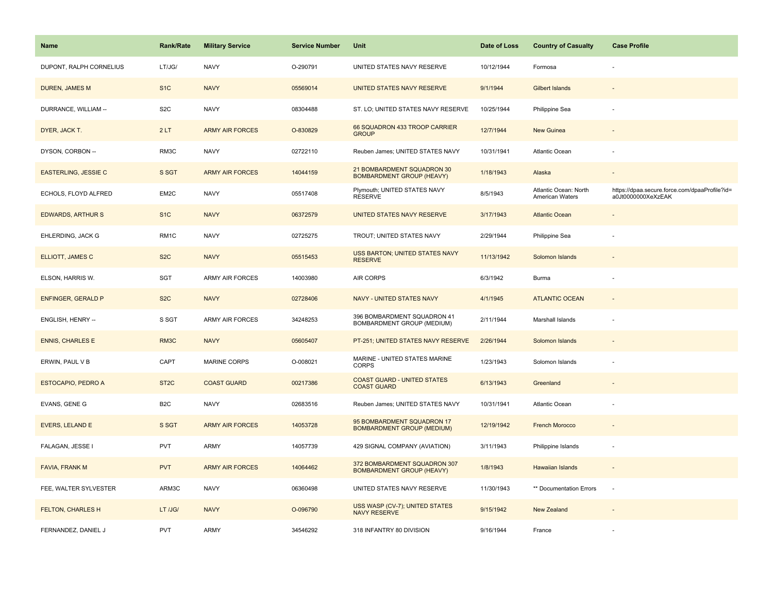| <b>Name</b>                 | <b>Rank/Rate</b>  | <b>Military Service</b> | <b>Service Number</b> | Unit                                                             | Date of Loss | <b>Country of Casualty</b>               | <b>Case Profile</b>                                                 |
|-----------------------------|-------------------|-------------------------|-----------------------|------------------------------------------------------------------|--------------|------------------------------------------|---------------------------------------------------------------------|
| DUPONT, RALPH CORNELIUS     | LT/JG/            | <b>NAVY</b>             | O-290791              | UNITED STATES NAVY RESERVE                                       | 10/12/1944   | Formosa                                  |                                                                     |
| <b>DUREN, JAMES M</b>       | S <sub>1</sub> C  | <b>NAVY</b>             | 05569014              | UNITED STATES NAVY RESERVE                                       | 9/1/1944     | <b>Gilbert Islands</b>                   |                                                                     |
| DURRANCE, WILLIAM --        | S <sub>2</sub> C  | <b>NAVY</b>             | 08304488              | ST. LO; UNITED STATES NAVY RESERVE                               | 10/25/1944   | Philippine Sea                           |                                                                     |
| DYER, JACK T.               | 2LT               | <b>ARMY AIR FORCES</b>  | O-830829              | 66 SQUADRON 433 TROOP CARRIER<br><b>GROUP</b>                    | 12/7/1944    | <b>New Guinea</b>                        |                                                                     |
| DYSON, CORBON --            | RM3C              | <b>NAVY</b>             | 02722110              | Reuben James; UNITED STATES NAVY                                 | 10/31/1941   | Atlantic Ocean                           |                                                                     |
| <b>EASTERLING, JESSIE C</b> | S SGT             | <b>ARMY AIR FORCES</b>  | 14044159              | 21 BOMBARDMENT SQUADRON 30<br><b>BOMBARDMENT GROUP (HEAVY)</b>   | 1/18/1943    | Alaska                                   | $\blacksquare$                                                      |
| ECHOLS, FLOYD ALFRED        | EM2C              | <b>NAVY</b>             | 05517408              | Plymouth; UNITED STATES NAVY<br><b>RESERVE</b>                   | 8/5/1943     | Atlantic Ocean: North<br>American Waters | https://dpaa.secure.force.com/dpaaProfile?id=<br>a0Jt0000000XeXzEAK |
| <b>EDWARDS, ARTHUR S</b>    | S <sub>1C</sub>   | <b>NAVY</b>             | 06372579              | UNITED STATES NAVY RESERVE                                       | 3/17/1943    | <b>Atlantic Ocean</b>                    |                                                                     |
| EHLERDING, JACK G           | RM <sub>1</sub> C | <b>NAVY</b>             | 02725275              | TROUT; UNITED STATES NAVY                                        | 2/29/1944    | Philippine Sea                           |                                                                     |
| ELLIOTT, JAMES C            | S <sub>2</sub> C  | <b>NAVY</b>             | 05515453              | USS BARTON; UNITED STATES NAVY<br><b>RESERVE</b>                 | 11/13/1942   | Solomon Islands                          |                                                                     |
| ELSON, HARRIS W.            | SGT               | <b>ARMY AIR FORCES</b>  | 14003980              | <b>AIR CORPS</b>                                                 | 6/3/1942     | Burma                                    |                                                                     |
| <b>ENFINGER, GERALD P</b>   | S <sub>2</sub> C  | <b>NAVY</b>             | 02728406              | NAVY - UNITED STATES NAVY                                        | 4/1/1945     | <b>ATLANTIC OCEAN</b>                    | $\sim$                                                              |
| ENGLISH, HENRY --           | S SGT             | <b>ARMY AIR FORCES</b>  | 34248253              | 396 BOMBARDMENT SQUADRON 41<br>BOMBARDMENT GROUP (MEDIUM)        | 2/11/1944    | Marshall Islands                         |                                                                     |
| <b>ENNIS, CHARLES E</b>     | RM <sub>3</sub> C | <b>NAVY</b>             | 05605407              | PT-251; UNITED STATES NAVY RESERVE                               | 2/26/1944    | Solomon Islands                          |                                                                     |
| ERWIN, PAUL V B             | CAPT              | MARINE CORPS            | O-008021              | MARINE - UNITED STATES MARINE<br><b>CORPS</b>                    | 1/23/1943    | Solomon Islands                          | $\sim$                                                              |
| <b>ESTOCAPIO, PEDRO A</b>   | ST <sub>2</sub> C | <b>COAST GUARD</b>      | 00217386              | <b>COAST GUARD - UNITED STATES</b><br><b>COAST GUARD</b>         | 6/13/1943    | Greenland                                |                                                                     |
| EVANS, GENE G               | B <sub>2</sub> C  | <b>NAVY</b>             | 02683516              | Reuben James; UNITED STATES NAVY                                 | 10/31/1941   | Atlantic Ocean                           |                                                                     |
| <b>EVERS, LELAND E</b>      | S SGT             | <b>ARMY AIR FORCES</b>  | 14053728              | 95 BOMBARDMENT SQUADRON 17<br><b>BOMBARDMENT GROUP (MEDIUM)</b>  | 12/19/1942   | <b>French Morocco</b>                    |                                                                     |
| FALAGAN, JESSE I            | <b>PVT</b>        | <b>ARMY</b>             | 14057739              | 429 SIGNAL COMPANY (AVIATION)                                    | 3/11/1943    | Philippine Islands                       | ÷.                                                                  |
| FAVIA, FRANK M              | <b>PVT</b>        | <b>ARMY AIR FORCES</b>  | 14064462              | 372 BOMBARDMENT SQUADRON 307<br><b>BOMBARDMENT GROUP (HEAVY)</b> | 1/8/1943     | Hawaiian Islands                         |                                                                     |
| FEE, WALTER SYLVESTER       | ARM3C             | <b>NAVY</b>             | 06360498              | UNITED STATES NAVY RESERVE                                       | 11/30/1943   | ** Documentation Errors                  | $\overline{\phantom{a}}$                                            |
| <b>FELTON, CHARLES H</b>    | LT /JG/           | <b>NAVY</b>             | O-096790              | USS WASP (CV-7); UNITED STATES<br><b>NAVY RESERVE</b>            | 9/15/1942    | <b>New Zealand</b>                       |                                                                     |
| FERNANDEZ, DANIEL J         | <b>PVT</b>        | <b>ARMY</b>             | 34546292              | 318 INFANTRY 80 DIVISION                                         | 9/16/1944    | France                                   |                                                                     |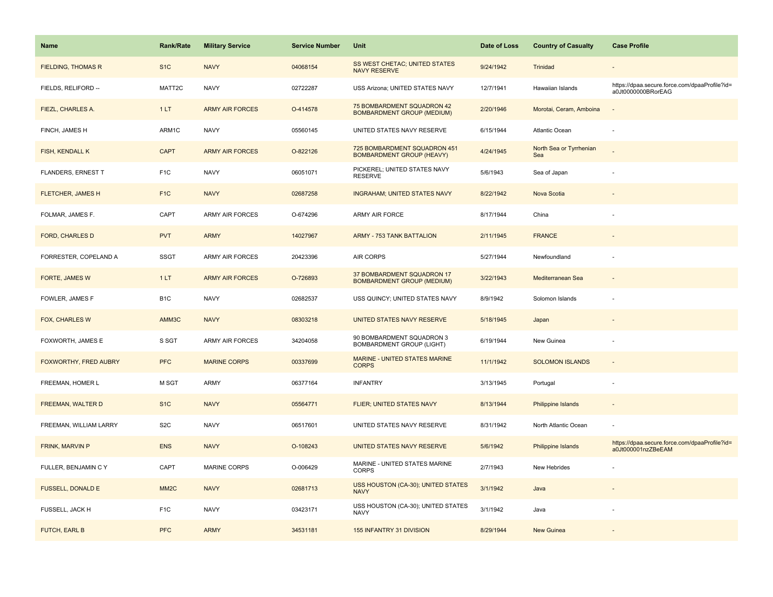| Name                      | <b>Rank/Rate</b>  | <b>Military Service</b> | <b>Service Number</b> | Unit                                                             | Date of Loss | <b>Country of Casualty</b>     | <b>Case Profile</b>                                                 |
|---------------------------|-------------------|-------------------------|-----------------------|------------------------------------------------------------------|--------------|--------------------------------|---------------------------------------------------------------------|
| <b>FIELDING, THOMAS R</b> | S <sub>1</sub> C  | <b>NAVY</b>             | 04068154              | SS WEST CHETAC; UNITED STATES<br><b>NAVY RESERVE</b>             | 9/24/1942    | Trinidad                       |                                                                     |
| FIELDS, RELIFORD --       | MATT2C            | <b>NAVY</b>             | 02722287              | USS Arizona; UNITED STATES NAVY                                  | 12/7/1941    | Hawaiian Islands               | https://dpaa.secure.force.com/dpaaProfile?id=<br>a0Jt0000000BRorEAG |
| FIEZL, CHARLES A.         | 1LT               | <b>ARMY AIR FORCES</b>  | O-414578              | 75 BOMBARDMENT SQUADRON 42<br><b>BOMBARDMENT GROUP (MEDIUM)</b>  | 2/20/1946    | Morotai, Ceram, Amboina        |                                                                     |
| FINCH, JAMES H            | ARM1C             | <b>NAVY</b>             | 05560145              | UNITED STATES NAVY RESERVE                                       | 6/15/1944    | <b>Atlantic Ocean</b>          |                                                                     |
| <b>FISH, KENDALL K</b>    | <b>CAPT</b>       | <b>ARMY AIR FORCES</b>  | O-822126              | 725 BOMBARDMENT SQUADRON 451<br><b>BOMBARDMENT GROUP (HEAVY)</b> | 4/24/1945    | North Sea or Tyrrhenian<br>Sea |                                                                     |
| FLANDERS, ERNEST T        | F <sub>1</sub> C  | <b>NAVY</b>             | 06051071              | PICKEREL; UNITED STATES NAVY<br><b>RESERVE</b>                   | 5/6/1943     | Sea of Japan                   |                                                                     |
| <b>FLETCHER, JAMES H</b>  | F <sub>1C</sub>   | <b>NAVY</b>             | 02687258              | <b>INGRAHAM; UNITED STATES NAVY</b>                              | 8/22/1942    | Nova Scotia                    |                                                                     |
| FOLMAR, JAMES F.          | CAPT              | <b>ARMY AIR FORCES</b>  | O-674296              | <b>ARMY AIR FORCE</b>                                            | 8/17/1944    | China                          |                                                                     |
| <b>FORD, CHARLES D</b>    | <b>PVT</b>        | <b>ARMY</b>             | 14027967              | <b>ARMY - 753 TANK BATTALION</b>                                 | 2/11/1945    | <b>FRANCE</b>                  |                                                                     |
| FORRESTER, COPELAND A     | <b>SSGT</b>       | <b>ARMY AIR FORCES</b>  | 20423396              | <b>AIR CORPS</b>                                                 | 5/27/1944    | Newfoundland                   |                                                                     |
| FORTE, JAMES W            | 1LT               | <b>ARMY AIR FORCES</b>  | O-726893              | 37 BOMBARDMENT SQUADRON 17<br><b>BOMBARDMENT GROUP (MEDIUM)</b>  | 3/22/1943    | Mediterranean Sea              |                                                                     |
| FOWLER, JAMES F           | B <sub>1</sub> C  | <b>NAVY</b>             | 02682537              | USS QUINCY; UNITED STATES NAVY                                   | 8/9/1942     | Solomon Islands                |                                                                     |
| FOX, CHARLES W            | AMM3C             | <b>NAVY</b>             | 08303218              | UNITED STATES NAVY RESERVE                                       | 5/18/1945    | Japan                          |                                                                     |
| FOXWORTH, JAMES E         | S SGT             | ARMY AIR FORCES         | 34204058              | 90 BOMBARDMENT SQUADRON 3<br><b>BOMBARDMENT GROUP (LIGHT)</b>    | 6/19/1944    | New Guinea                     |                                                                     |
| FOXWORTHY, FRED AUBRY     | <b>PFC</b>        | <b>MARINE CORPS</b>     | 00337699              | MARINE - UNITED STATES MARINE<br><b>CORPS</b>                    | 11/1/1942    | <b>SOLOMON ISLANDS</b>         | $\overline{\phantom{a}}$                                            |
| FREEMAN, HOMER L          | M SGT             | <b>ARMY</b>             | 06377164              | <b>INFANTRY</b>                                                  | 3/13/1945    | Portugal                       |                                                                     |
| FREEMAN, WALTER D         | S <sub>1C</sub>   | <b>NAVY</b>             | 05564771              | FLIER; UNITED STATES NAVY                                        | 8/13/1944    | Philippine Islands             |                                                                     |
| FREEMAN, WILLIAM LARRY    | S <sub>2</sub> C  | <b>NAVY</b>             | 06517601              | UNITED STATES NAVY RESERVE                                       | 8/31/1942    | North Atlantic Ocean           |                                                                     |
| FRINK, MARVIN P           | <b>ENS</b>        | <b>NAVY</b>             | O-108243              | UNITED STATES NAVY RESERVE                                       | 5/6/1942     | Philippine Islands             | https://dpaa.secure.force.com/dpaaProfile?id=<br>a0Jt000001nzZBeEAM |
| FULLER, BENJAMIN C Y      | CAPT              | MARINE CORPS            | O-006429              | MARINE - UNITED STATES MARINE<br><b>CORPS</b>                    | 2/7/1943     | New Hebrides                   |                                                                     |
| <b>FUSSELL, DONALD E</b>  | MM <sub>2</sub> C | <b>NAVY</b>             | 02681713              | USS HOUSTON (CA-30); UNITED STATES<br><b>NAVY</b>                | 3/1/1942     | Java                           |                                                                     |
| FUSSELL, JACK H           | F <sub>1</sub> C  | <b>NAVY</b>             | 03423171              | USS HOUSTON (CA-30); UNITED STATES<br><b>NAVY</b>                | 3/1/1942     | Java                           |                                                                     |
| FUTCH, EARL B             | <b>PFC</b>        | <b>ARMY</b>             | 34531181              | 155 INFANTRY 31 DIVISION                                         | 8/29/1944    | <b>New Guinea</b>              |                                                                     |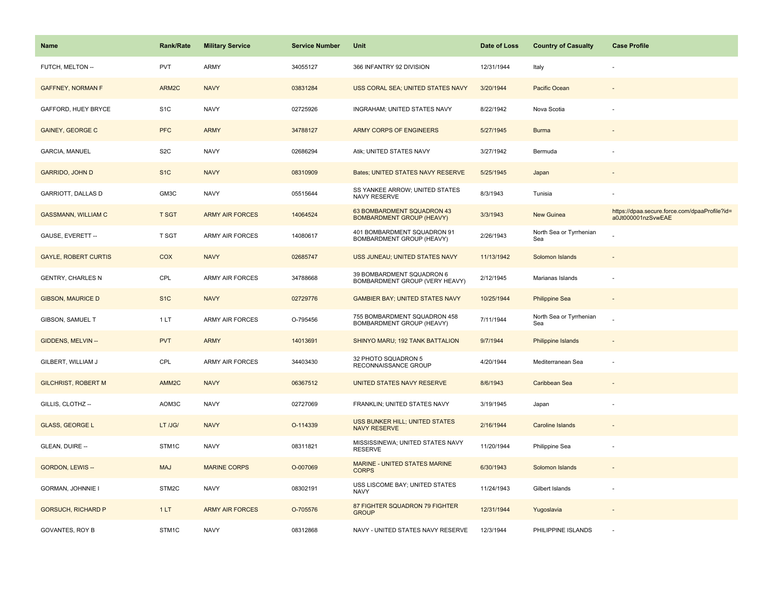| <b>Name</b>                 | Rank/Rate         | <b>Military Service</b> | <b>Service Number</b> | Unit                                                           | Date of Loss | <b>Country of Casualty</b>     | <b>Case Profile</b>                                                 |
|-----------------------------|-------------------|-------------------------|-----------------------|----------------------------------------------------------------|--------------|--------------------------------|---------------------------------------------------------------------|
| FUTCH, MELTON --            | <b>PVT</b>        | ARMY                    | 34055127              | 366 INFANTRY 92 DIVISION                                       | 12/31/1944   | Italy                          |                                                                     |
| <b>GAFFNEY, NORMAN F</b>    | ARM2C             | <b>NAVY</b>             | 03831284              | USS CORAL SEA; UNITED STATES NAVY                              | 3/20/1944    | Pacific Ocean                  |                                                                     |
| GAFFORD, HUEY BRYCE         | S <sub>1</sub> C  | <b>NAVY</b>             | 02725926              | <b>INGRAHAM; UNITED STATES NAVY</b>                            | 8/22/1942    | Nova Scotia                    |                                                                     |
| <b>GAINEY, GEORGE C</b>     | <b>PFC</b>        | <b>ARMY</b>             | 34788127              | ARMY CORPS OF ENGINEERS                                        | 5/27/1945    | <b>Burma</b>                   |                                                                     |
| <b>GARCIA, MANUEL</b>       | S <sub>2</sub> C  | <b>NAVY</b>             | 02686294              | Atik; UNITED STATES NAVY                                       | 3/27/1942    | Bermuda                        |                                                                     |
| <b>GARRIDO, JOHN D</b>      | S <sub>1</sub> C  | <b>NAVY</b>             | 08310909              | Bates; UNITED STATES NAVY RESERVE                              | 5/25/1945    | Japan                          |                                                                     |
| GARRIOTT, DALLAS D          | GM3C              | <b>NAVY</b>             | 05515644              | SS YANKEE ARROW; UNITED STATES<br>NAVY RESERVE                 | 8/3/1943     | Tunisia                        |                                                                     |
| <b>GASSMANN, WILLIAM C</b>  | <b>T SGT</b>      | <b>ARMY AIR FORCES</b>  | 14064524              | 63 BOMBARDMENT SQUADRON 43<br><b>BOMBARDMENT GROUP (HEAVY)</b> | 3/3/1943     | <b>New Guinea</b>              | https://dpaa.secure.force.com/dpaaProfile?id=<br>a0Jt000001nzSvwEAE |
| GAUSE, EVERETT --           | T SGT             | <b>ARMY AIR FORCES</b>  | 14080617              | 401 BOMBARDMENT SQUADRON 91<br>BOMBARDMENT GROUP (HEAVY)       | 2/26/1943    | North Sea or Tyrrhenian<br>Sea |                                                                     |
| <b>GAYLE, ROBERT CURTIS</b> | <b>COX</b>        | <b>NAVY</b>             | 02685747              | USS JUNEAU; UNITED STATES NAVY                                 | 11/13/1942   | Solomon Islands                |                                                                     |
| <b>GENTRY, CHARLES N</b>    | CPL               | <b>ARMY AIR FORCES</b>  | 34788668              | 39 BOMBARDMENT SQUADRON 6<br>BOMBARDMENT GROUP (VERY HEAVY)    | 2/12/1945    | Marianas Islands               |                                                                     |
| <b>GIBSON, MAURICE D</b>    | S <sub>1</sub> C  | <b>NAVY</b>             | 02729776              | <b>GAMBIER BAY; UNITED STATES NAVY</b>                         | 10/25/1944   | <b>Philippine Sea</b>          | ÷                                                                   |
| GIBSON, SAMUEL T            | 1LT               | <b>ARMY AIR FORCES</b>  | O-795456              | 755 BOMBARDMENT SQUADRON 458<br>BOMBARDMENT GROUP (HEAVY)      | 7/11/1944    | North Sea or Tyrrhenian<br>Sea |                                                                     |
| GIDDENS, MELVIN --          | <b>PVT</b>        | <b>ARMY</b>             | 14013691              | SHINYO MARU; 192 TANK BATTALION                                | 9/7/1944     | Philippine Islands             |                                                                     |
| GILBERT, WILLIAM J          | CPL               | <b>ARMY AIR FORCES</b>  | 34403430              | 32 PHOTO SQUADRON 5<br>RECONNAISSANCE GROUP                    | 4/20/1944    | Mediterranean Sea              | $\sim$                                                              |
| <b>GILCHRIST, ROBERT M</b>  | AMM <sub>2C</sub> | <b>NAVY</b>             | 06367512              | <b>UNITED STATES NAVY RESERVE</b>                              | 8/6/1943     | Caribbean Sea                  |                                                                     |
| GILLIS, CLOTHZ --           | AOM3C             | <b>NAVY</b>             | 02727069              | FRANKLIN; UNITED STATES NAVY                                   | 3/19/1945    | Japan                          |                                                                     |
| <b>GLASS, GEORGE L</b>      | LT /JG/           | <b>NAVY</b>             | O-114339              | <b>USS BUNKER HILL; UNITED STATES</b><br><b>NAVY RESERVE</b>   | 2/16/1944    | Caroline Islands               |                                                                     |
| GLEAN, DUIRE --             | STM1C             | <b>NAVY</b>             | 08311821              | MISSISSINEWA; UNITED STATES NAVY<br><b>RESERVE</b>             | 11/20/1944   | Philippine Sea                 | ÷,                                                                  |
| <b>GORDON, LEWIS --</b>     | <b>MAJ</b>        | <b>MARINE CORPS</b>     | O-007069              | MARINE - UNITED STATES MARINE<br><b>CORPS</b>                  | 6/30/1943    | Solomon Islands                |                                                                     |
| GORMAN, JOHNNIE I           | STM2C             | <b>NAVY</b>             | 08302191              | USS LISCOME BAY; UNITED STATES<br><b>NAVY</b>                  | 11/24/1943   | Gilbert Islands                |                                                                     |
| <b>GORSUCH, RICHARD P</b>   | 1LT               | <b>ARMY AIR FORCES</b>  | O-705576              | 87 FIGHTER SQUADRON 79 FIGHTER<br><b>GROUP</b>                 | 12/31/1944   | Yugoslavia                     |                                                                     |
| <b>GOVANTES, ROY B</b>      | STM1C             | <b>NAVY</b>             | 08312868              | NAVY - UNITED STATES NAVY RESERVE                              | 12/3/1944    | PHILIPPINE ISLANDS             |                                                                     |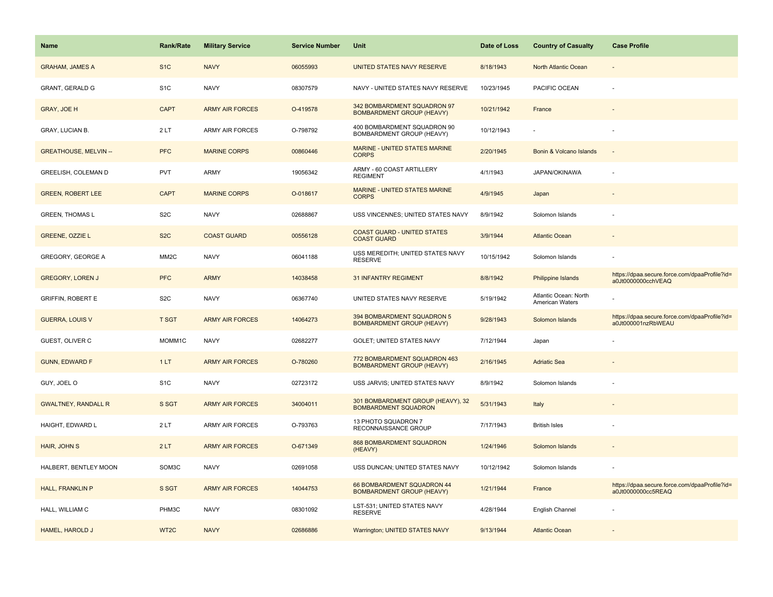| <b>Name</b>                  | <b>Rank/Rate</b>  | <b>Military Service</b> | <b>Service Number</b> | Unit                                                             | Date of Loss | <b>Country of Casualty</b>               | <b>Case Profile</b>                                                 |
|------------------------------|-------------------|-------------------------|-----------------------|------------------------------------------------------------------|--------------|------------------------------------------|---------------------------------------------------------------------|
| <b>GRAHAM, JAMES A</b>       | S <sub>1</sub> C  | <b>NAVY</b>             | 06055993              | UNITED STATES NAVY RESERVE                                       | 8/18/1943    | North Atlantic Ocean                     |                                                                     |
| <b>GRANT, GERALD G</b>       | S <sub>1</sub> C  | <b>NAVY</b>             | 08307579              | NAVY - UNITED STATES NAVY RESERVE                                | 10/23/1945   | PACIFIC OCEAN                            |                                                                     |
| <b>GRAY, JOE H</b>           | <b>CAPT</b>       | <b>ARMY AIR FORCES</b>  | O-419578              | 342 BOMBARDMENT SQUADRON 97<br><b>BOMBARDMENT GROUP (HEAVY)</b>  | 10/21/1942   | France                                   |                                                                     |
| <b>GRAY, LUCIAN B.</b>       | 2LT               | <b>ARMY AIR FORCES</b>  | O-798792              | 400 BOMBARDMENT SQUADRON 90<br>BOMBARDMENT GROUP (HEAVY)         | 10/12/1943   |                                          |                                                                     |
| <b>GREATHOUSE, MELVIN --</b> | <b>PFC</b>        | <b>MARINE CORPS</b>     | 00860446              | <b>MARINE - UNITED STATES MARINE</b><br><b>CORPS</b>             | 2/20/1945    | Bonin & Volcano Islands                  |                                                                     |
| GREELISH, COLEMAN D          | <b>PVT</b>        | ARMY                    | 19056342              | ARMY - 60 COAST ARTILLERY<br><b>REGIMENT</b>                     | 4/1/1943     | JAPAN/OKINAWA                            |                                                                     |
| <b>GREEN, ROBERT LEE</b>     | <b>CAPT</b>       | <b>MARINE CORPS</b>     | O-018617              | MARINE - UNITED STATES MARINE<br><b>CORPS</b>                    | 4/9/1945     | Japan                                    |                                                                     |
| <b>GREEN, THOMAS L</b>       | S <sub>2</sub> C  | <b>NAVY</b>             | 02688867              | USS VINCENNES; UNITED STATES NAVY                                | 8/9/1942     | Solomon Islands                          |                                                                     |
| GREENE, OZZIE L              | S <sub>2</sub> C  | <b>COAST GUARD</b>      | 00556128              | <b>COAST GUARD - UNITED STATES</b><br><b>COAST GUARD</b>         | 3/9/1944     | <b>Atlantic Ocean</b>                    |                                                                     |
| <b>GREGORY, GEORGE A</b>     | MM <sub>2</sub> C | <b>NAVY</b>             | 06041188              | USS MEREDITH; UNITED STATES NAVY<br><b>RESERVE</b>               | 10/15/1942   | Solomon Islands                          |                                                                     |
| <b>GREGORY, LOREN J</b>      | <b>PFC</b>        | <b>ARMY</b>             | 14038458              | 31 INFANTRY REGIMENT                                             | 8/8/1942     | <b>Philippine Islands</b>                | https://dpaa.secure.force.com/dpaaProfile?id=<br>a0Jt0000000cchVEAQ |
| <b>GRIFFIN, ROBERT E</b>     | S <sub>2</sub> C  | <b>NAVY</b>             | 06367740              | UNITED STATES NAVY RESERVE                                       | 5/19/1942    | Atlantic Ocean: North<br>American Waters |                                                                     |
| <b>GUERRA, LOUIS V</b>       | <b>T SGT</b>      | <b>ARMY AIR FORCES</b>  | 14064273              | 394 BOMBARDMENT SQUADRON 5<br><b>BOMBARDMENT GROUP (HEAVY)</b>   | 9/28/1943    | Solomon Islands                          | https://dpaa.secure.force.com/dpaaProfile?id=<br>a0Jt000001nzRbWEAU |
| GUEST, OLIVER C              | MOMM1C            | <b>NAVY</b>             | 02682277              | GOLET; UNITED STATES NAVY                                        | 7/12/1944    | Japan                                    |                                                                     |
| <b>GUNN, EDWARD F</b>        | 1LT               | <b>ARMY AIR FORCES</b>  | O-780260              | 772 BOMBARDMENT SQUADRON 463<br><b>BOMBARDMENT GROUP (HEAVY)</b> | 2/16/1945    | <b>Adriatic Sea</b>                      |                                                                     |
| GUY, JOEL O                  | S <sub>1</sub> C  | <b>NAVY</b>             | 02723172              | USS JARVIS; UNITED STATES NAVY                                   | 8/9/1942     | Solomon Islands                          |                                                                     |
| <b>GWALTNEY, RANDALL R</b>   | S SGT             | <b>ARMY AIR FORCES</b>  | 34004011              | 301 BOMBARDMENT GROUP (HEAVY), 32<br><b>BOMBARDMENT SQUADRON</b> | 5/31/1943    | Italy                                    |                                                                     |
| HAIGHT, EDWARD L             | 2LT               | <b>ARMY AIR FORCES</b>  | O-793763              | 13 PHOTO SQUADRON 7<br>RECONNAISSANCE GROUP                      | 7/17/1943    | <b>British Isles</b>                     |                                                                     |
| HAIR, JOHN S                 | 2LT               | <b>ARMY AIR FORCES</b>  | O-671349              | 868 BOMBARDMENT SQUADRON<br>(HEAVY)                              | 1/24/1946    | Solomon Islands                          |                                                                     |
| HALBERT, BENTLEY MOON        | SOM3C             | <b>NAVY</b>             | 02691058              | USS DUNCAN; UNITED STATES NAVY                                   | 10/12/1942   | Solomon Islands                          |                                                                     |
| <b>HALL, FRANKLIN P</b>      | S SGT             | <b>ARMY AIR FORCES</b>  | 14044753              | 66 BOMBARDMENT SQUADRON 44<br><b>BOMBARDMENT GROUP (HEAVY)</b>   | 1/21/1944    | France                                   | https://dpaa.secure.force.com/dpaaProfile?id=<br>a0Jt0000000cc5REAQ |
| HALL, WILLIAM C              | PHM3C             | <b>NAVY</b>             | 08301092              | LST-531; UNITED STATES NAVY<br><b>RESERVE</b>                    | 4/28/1944    | English Channel                          |                                                                     |
| <b>HAMEL, HAROLD J</b>       | WT <sub>2</sub> C | <b>NAVY</b>             | 02686886              | Warrington; UNITED STATES NAVY                                   | 9/13/1944    | <b>Atlantic Ocean</b>                    |                                                                     |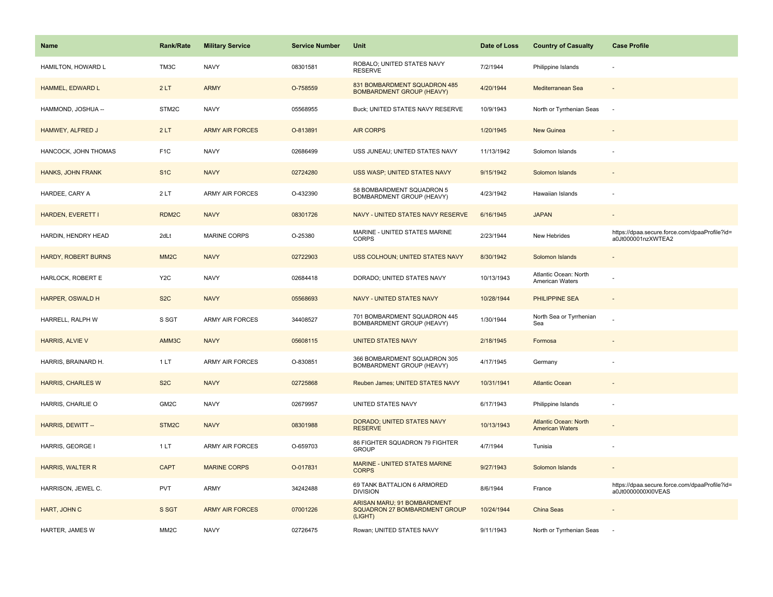| <b>Name</b>                | <b>Rank/Rate</b>   | <b>Military Service</b> | <b>Service Number</b> | Unit                                                                    | Date of Loss | <b>Country of Casualty</b>                             | <b>Case Profile</b>                                                 |
|----------------------------|--------------------|-------------------------|-----------------------|-------------------------------------------------------------------------|--------------|--------------------------------------------------------|---------------------------------------------------------------------|
| HAMILTON, HOWARD L         | TM3C               | <b>NAVY</b>             | 08301581              | ROBALO; UNITED STATES NAVY<br><b>RESERVE</b>                            | 7/2/1944     | Philippine Islands                                     |                                                                     |
| HAMMEL, EDWARD L           | 2LT                | <b>ARMY</b>             | O-758559              | 831 BOMBARDMENT SQUADRON 485<br><b>BOMBARDMENT GROUP (HEAVY)</b>        | 4/20/1944    | Mediterranean Sea                                      | $\overline{\phantom{a}}$                                            |
| HAMMOND, JOSHUA --         | STM2C              | <b>NAVY</b>             | 05568955              | Buck; UNITED STATES NAVY RESERVE                                        | 10/9/1943    | North or Tyrrhenian Seas                               | ÷.                                                                  |
| HAMWEY, ALFRED J           | 2LT                | <b>ARMY AIR FORCES</b>  | O-813891              | <b>AIR CORPS</b>                                                        | 1/20/1945    | New Guinea                                             |                                                                     |
| HANCOCK, JOHN THOMAS       | F <sub>1</sub> C   | <b>NAVY</b>             | 02686499              | USS JUNEAU; UNITED STATES NAVY                                          | 11/13/1942   | Solomon Islands                                        |                                                                     |
| HANKS, JOHN FRANK          | S <sub>1</sub> C   | <b>NAVY</b>             | 02724280              | USS WASP; UNITED STATES NAVY                                            | 9/15/1942    | Solomon Islands                                        |                                                                     |
| HARDEE, CARY A             | 2LT                | <b>ARMY AIR FORCES</b>  | O-432390              | 58 BOMBARDMENT SQUADRON 5<br>BOMBARDMENT GROUP (HEAVY)                  | 4/23/1942    | Hawaiian Islands                                       |                                                                     |
| HARDEN, EVERETT I          | RDM <sub>2C</sub>  | <b>NAVY</b>             | 08301726              | NAVY - UNITED STATES NAVY RESERVE                                       | 6/16/1945    | <b>JAPAN</b>                                           |                                                                     |
| HARDIN, HENDRY HEAD        | 2dLt               | <b>MARINE CORPS</b>     | O-25380               | MARINE - UNITED STATES MARINE<br>CORPS                                  | 2/23/1944    | New Hebrides                                           | https://dpaa.secure.force.com/dpaaProfile?id=<br>a0Jt000001nzXWTEA2 |
| <b>HARDY, ROBERT BURNS</b> | MM <sub>2</sub> C  | <b>NAVY</b>             | 02722903              | USS COLHOUN; UNITED STATES NAVY                                         | 8/30/1942    | Solomon Islands                                        |                                                                     |
| HARLOCK, ROBERT E          | Y <sub>2</sub> C   | <b>NAVY</b>             | 02684418              | DORADO; UNITED STATES NAVY                                              | 10/13/1943   | Atlantic Ocean: North<br>American Waters               |                                                                     |
| HARPER, OSWALD H           | S <sub>2</sub> C   | <b>NAVY</b>             | 05568693              | NAVY - UNITED STATES NAVY                                               | 10/28/1944   | <b>PHILIPPINE SEA</b>                                  | $\overline{\phantom{a}}$                                            |
| HARRELL, RALPH W           | S SGT              | <b>ARMY AIR FORCES</b>  | 34408527              | 701 BOMBARDMENT SQUADRON 445<br>BOMBARDMENT GROUP (HEAVY)               | 1/30/1944    | North Sea or Tyrrhenian<br>Sea                         |                                                                     |
| HARRIS, ALVIE V            | AMM3C              | <b>NAVY</b>             | 05608115              | <b>UNITED STATES NAVY</b>                                               | 2/18/1945    | Formosa                                                |                                                                     |
| HARRIS, BRAINARD H.        | 1LT                | <b>ARMY AIR FORCES</b>  | O-830851              | 366 BOMBARDMENT SQUADRON 305<br>BOMBARDMENT GROUP (HEAVY)               | 4/17/1945    | Germany                                                |                                                                     |
| <b>HARRIS, CHARLES W</b>   | S <sub>2</sub> C   | <b>NAVY</b>             | 02725868              | Reuben James; UNITED STATES NAVY                                        | 10/31/1941   | <b>Atlantic Ocean</b>                                  |                                                                     |
| HARRIS, CHARLIE O          | GM <sub>2</sub> C  | <b>NAVY</b>             | 02679957              | UNITED STATES NAVY                                                      | 6/17/1943    | Philippine Islands                                     |                                                                     |
| HARRIS, DEWITT --          | STM <sub>2</sub> C | <b>NAVY</b>             | 08301988              | DORADO; UNITED STATES NAVY<br><b>RESERVE</b>                            | 10/13/1943   | <b>Atlantic Ocean: North</b><br><b>American Waters</b> |                                                                     |
| HARRIS, GEORGE I           | 1LT                | ARMY AIR FORCES         | O-659703              | 86 FIGHTER SQUADRON 79 FIGHTER<br><b>GROUP</b>                          | 4/7/1944     | Tunisia                                                |                                                                     |
| HARRIS, WALTER R           | <b>CAPT</b>        | <b>MARINE CORPS</b>     | O-017831              | MARINE - UNITED STATES MARINE<br><b>CORPS</b>                           | 9/27/1943    | Solomon Islands                                        |                                                                     |
| HARRISON, JEWEL C.         | PVT                | ARMY                    | 34242488              | 69 TANK BATTALION 6 ARMORED<br><b>DIVISION</b>                          | 8/6/1944     | France                                                 | https://dpaa.secure.force.com/dpaaProfile?id=<br>a0Jt0000000XI0VEAS |
| HART, JOHN C               | S SGT              | <b>ARMY AIR FORCES</b>  | 07001226              | ARISAN MARU; 91 BOMBARDMENT<br>SQUADRON 27 BOMBARDMENT GROUP<br>(LIGHT) | 10/24/1944   | China Seas                                             |                                                                     |
| HARTER, JAMES W            | MM <sub>2</sub> C  | <b>NAVY</b>             | 02726475              | Rowan; UNITED STATES NAVY                                               | 9/11/1943    | North or Tyrrhenian Seas                               |                                                                     |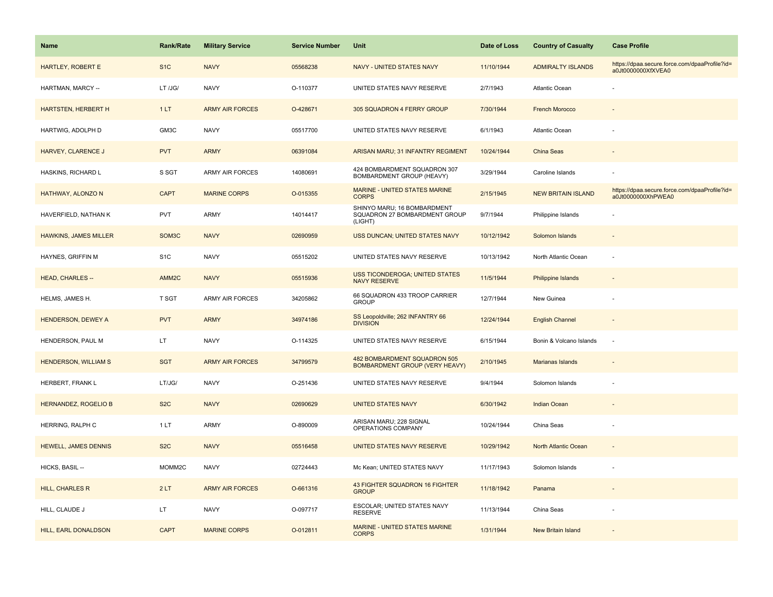| Name                         | <b>Rank/Rate</b>   | <b>Military Service</b> | <b>Service Number</b> | Unit                                                                    | Date of Loss | <b>Country of Casualty</b> | <b>Case Profile</b>                                                 |
|------------------------------|--------------------|-------------------------|-----------------------|-------------------------------------------------------------------------|--------------|----------------------------|---------------------------------------------------------------------|
| HARTLEY, ROBERT E            | S <sub>1</sub> C   | <b>NAVY</b>             | 05568238              | NAVY - UNITED STATES NAVY                                               | 11/10/1944   | <b>ADMIRALTY ISLANDS</b>   | https://dpaa.secure.force.com/dpaaProfile?id=<br>a0Jt0000000XfXVEA0 |
| HARTMAN, MARCY --            | LT /JG/            | <b>NAVY</b>             | O-110377              | UNITED STATES NAVY RESERVE                                              | 2/7/1943     | Atlantic Ocean             |                                                                     |
| <b>HARTSTEN, HERBERT H</b>   | 1LT                | <b>ARMY AIR FORCES</b>  | O-428671              | 305 SQUADRON 4 FERRY GROUP                                              | 7/30/1944    | <b>French Morocco</b>      |                                                                     |
| HARTWIG, ADOLPH D            | GM3C               | <b>NAVY</b>             | 05517700              | UNITED STATES NAVY RESERVE                                              | 6/1/1943     | Atlantic Ocean             |                                                                     |
| HARVEY, CLARENCE J           | <b>PVT</b>         | <b>ARMY</b>             | 06391084              | ARISAN MARU; 31 INFANTRY REGIMENT                                       | 10/24/1944   | China Seas                 |                                                                     |
| HASKINS, RICHARD L           | S SGT              | <b>ARMY AIR FORCES</b>  | 14080691              | 424 BOMBARDMENT SQUADRON 307<br>BOMBARDMENT GROUP (HEAVY)               | 3/29/1944    | Caroline Islands           |                                                                     |
| HATHWAY, ALONZO N            | <b>CAPT</b>        | <b>MARINE CORPS</b>     | O-015355              | MARINE - UNITED STATES MARINE<br><b>CORPS</b>                           | 2/15/1945    | <b>NEW BRITAIN ISLAND</b>  | https://dpaa.secure.force.com/dpaaProfile?id=<br>a0Jt0000000XhPWEA0 |
| HAVERFIELD, NATHAN K         | <b>PVT</b>         | ARMY                    | 14014417              | SHINYO MARU; 16 BOMBARDMENT<br>SQUADRON 27 BOMBARDMENT GROUP<br>(LIGHT) | 9/7/1944     | Philippine Islands         |                                                                     |
| <b>HAWKINS, JAMES MILLER</b> | SOM <sub>3</sub> C | <b>NAVY</b>             | 02690959              | USS DUNCAN; UNITED STATES NAVY                                          | 10/12/1942   | Solomon Islands            |                                                                     |
| HAYNES, GRIFFIN M            | S <sub>1</sub> C   | <b>NAVY</b>             | 05515202              | UNITED STATES NAVY RESERVE                                              | 10/13/1942   | North Atlantic Ocean       |                                                                     |
| <b>HEAD, CHARLES --</b>      | AMM <sub>2C</sub>  | <b>NAVY</b>             | 05515936              | <b>USS TICONDEROGA; UNITED STATES</b><br><b>NAVY RESERVE</b>            | 11/5/1944    | <b>Philippine Islands</b>  |                                                                     |
| HELMS, JAMES H.              | T SGT              | <b>ARMY AIR FORCES</b>  | 34205862              | 66 SQUADRON 433 TROOP CARRIER<br><b>GROUP</b>                           | 12/7/1944    | New Guinea                 |                                                                     |
| <b>HENDERSON, DEWEY A</b>    | <b>PVT</b>         | <b>ARMY</b>             | 34974186              | SS Leopoldville; 262 INFANTRY 66<br><b>DIVISION</b>                     | 12/24/1944   | <b>English Channel</b>     |                                                                     |
| HENDERSON, PAUL M            | LT.                | <b>NAVY</b>             | O-114325              | UNITED STATES NAVY RESERVE                                              | 6/15/1944    | Bonin & Volcano Islands    | ÷.                                                                  |
| <b>HENDERSON, WILLIAM S</b>  | <b>SGT</b>         | <b>ARMY AIR FORCES</b>  | 34799579              | 482 BOMBARDMENT SQUADRON 505<br>BOMBARDMENT GROUP (VERY HEAVY)          | 2/10/1945    | Marianas Islands           | $\overline{\phantom{a}}$                                            |
| HERBERT, FRANK L             | LT/JG/             | <b>NAVY</b>             | O-251436              | UNITED STATES NAVY RESERVE                                              | 9/4/1944     | Solomon Islands            |                                                                     |
| <b>HERNANDEZ, ROGELIO B</b>  | S <sub>2</sub> C   | <b>NAVY</b>             | 02690629              | <b>UNITED STATES NAVY</b>                                               | 6/30/1942    | Indian Ocean               |                                                                     |
| HERRING, RALPH C             | 1LT                | ARMY                    | O-890009              | ARISAN MARU; 228 SIGNAL<br>OPERATIONS COMPANY                           | 10/24/1944   | China Seas                 |                                                                     |
| <b>HEWELL, JAMES DENNIS</b>  | S <sub>2</sub> C   | <b>NAVY</b>             | 05516458              | UNITED STATES NAVY RESERVE                                              | 10/29/1942   | North Atlantic Ocean       |                                                                     |
| HICKS, BASIL --              | MOMM2C             | <b>NAVY</b>             | 02724443              | Mc Kean; UNITED STATES NAVY                                             | 11/17/1943   | Solomon Islands            |                                                                     |
| HILL, CHARLES R              | 2LT                | <b>ARMY AIR FORCES</b>  | O-661316              | 43 FIGHTER SQUADRON 16 FIGHTER<br><b>GROUP</b>                          | 11/18/1942   | Panama                     |                                                                     |
| HILL, CLAUDE J               | LT.                | <b>NAVY</b>             | O-097717              | ESCOLAR; UNITED STATES NAVY<br><b>RESERVE</b>                           | 11/13/1944   | China Seas                 |                                                                     |
| HILL, EARL DONALDSON         | <b>CAPT</b>        | <b>MARINE CORPS</b>     | O-012811              | MARINE - UNITED STATES MARINE<br><b>CORPS</b>                           | 1/31/1944    | <b>New Britain Island</b>  |                                                                     |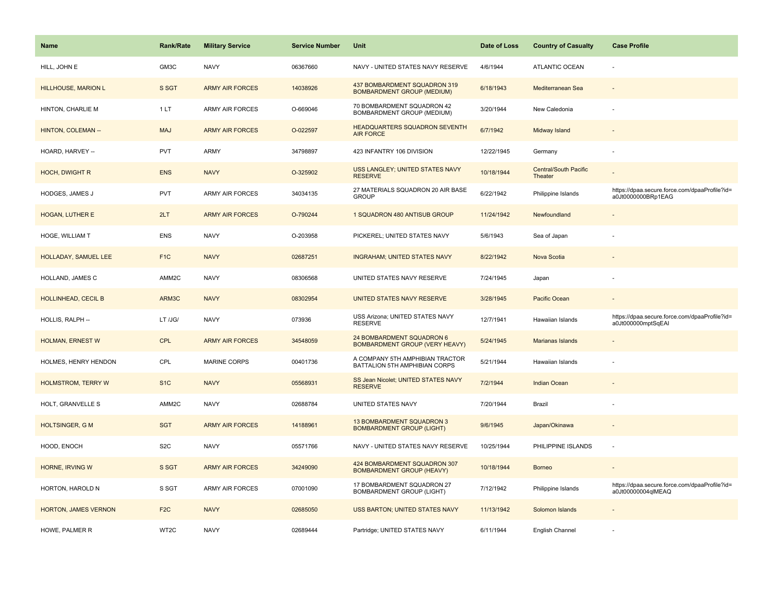| <b>Name</b>                | <b>Rank/Rate</b> | <b>Military Service</b> | <b>Service Number</b> | Unit                                                               | Date of Loss | <b>Country of Casualty</b>              | <b>Case Profile</b>                                                 |
|----------------------------|------------------|-------------------------|-----------------------|--------------------------------------------------------------------|--------------|-----------------------------------------|---------------------------------------------------------------------|
| HILL, JOHN E               | GM3C             | <b>NAVY</b>             | 06367660              | NAVY - UNITED STATES NAVY RESERVE                                  | 4/6/1944     | <b>ATLANTIC OCEAN</b>                   |                                                                     |
| <b>HILLHOUSE, MARION L</b> | S SGT            | <b>ARMY AIR FORCES</b>  | 14038926              | 437 BOMBARDMENT SQUADRON 319<br><b>BOMBARDMENT GROUP (MEDIUM)</b>  | 6/18/1943    | Mediterranean Sea                       |                                                                     |
| HINTON, CHARLIE M          | 1LT              | ARMY AIR FORCES         | O-669046              | 70 BOMBARDMENT SQUADRON 42<br>BOMBARDMENT GROUP (MEDIUM)           | 3/20/1944    | New Caledonia                           |                                                                     |
| HINTON, COLEMAN --         | <b>MAJ</b>       | <b>ARMY AIR FORCES</b>  | O-022597              | HEADQUARTERS SQUADRON SEVENTH<br><b>AIR FORCE</b>                  | 6/7/1942     | Midway Island                           |                                                                     |
| HOARD, HARVEY --           | <b>PVT</b>       | <b>ARMY</b>             | 34798897              | 423 INFANTRY 106 DIVISION                                          | 12/22/1945   | Germany                                 |                                                                     |
| <b>HOCH, DWIGHT R</b>      | <b>ENS</b>       | <b>NAVY</b>             | O-325902              | USS LANGLEY; UNITED STATES NAVY<br><b>RESERVE</b>                  | 10/18/1944   | <b>Central/South Pacific</b><br>Theater |                                                                     |
| HODGES, JAMES J            | <b>PVT</b>       | ARMY AIR FORCES         | 34034135              | 27 MATERIALS SQUADRON 20 AIR BASE<br><b>GROUP</b>                  | 6/22/1942    | Philippine Islands                      | https://dpaa.secure.force.com/dpaaProfile?id=<br>a0Jt0000000BRp1EAG |
| <b>HOGAN, LUTHER E</b>     | 2LT              | <b>ARMY AIR FORCES</b>  | O-790244              | 1 SQUADRON 480 ANTISUB GROUP                                       | 11/24/1942   | Newfoundland                            |                                                                     |
| HOGE, WILLIAM T            | <b>ENS</b>       | <b>NAVY</b>             | O-203958              | PICKEREL; UNITED STATES NAVY                                       | 5/6/1943     | Sea of Japan                            |                                                                     |
| HOLLADAY, SAMUEL LEE       | F <sub>1</sub> C | <b>NAVY</b>             | 02687251              | <b>INGRAHAM; UNITED STATES NAVY</b>                                | 8/22/1942    | Nova Scotia                             |                                                                     |
| HOLLAND, JAMES C           | AMM2C            | <b>NAVY</b>             | 08306568              | UNITED STATES NAVY RESERVE                                         | 7/24/1945    | Japan                                   |                                                                     |
| <b>HOLLINHEAD, CECIL B</b> | ARM3C            | <b>NAVY</b>             | 08302954              | UNITED STATES NAVY RESERVE                                         | 3/28/1945    | Pacific Ocean                           |                                                                     |
| HOLLIS, RALPH --           | LT /JG/          | <b>NAVY</b>             | 073936                | USS Arizona; UNITED STATES NAVY<br><b>RESERVE</b>                  | 12/7/1941    | Hawaiian Islands                        | https://dpaa.secure.force.com/dpaaProfile?id=<br>a0Jt000000mptSqEAI |
| <b>HOLMAN, ERNEST W</b>    | <b>CPL</b>       | <b>ARMY AIR FORCES</b>  | 34548059              | 24 BOMBARDMENT SQUADRON 6<br><b>BOMBARDMENT GROUP (VERY HEAVY)</b> | 5/24/1945    | Marianas Islands                        |                                                                     |
| HOLMES, HENRY HENDON       | CPL              | <b>MARINE CORPS</b>     | 00401736              | A COMPANY 5TH AMPHIBIAN TRACTOR<br>BATTALION 5TH AMPHIBIAN CORPS   | 5/21/1944    | Hawaiian Islands                        |                                                                     |
| <b>HOLMSTROM, TERRY W</b>  | S <sub>1</sub> C | <b>NAVY</b>             | 05568931              | SS Jean Nicolet; UNITED STATES NAVY<br><b>RESERVE</b>              | 7/2/1944     | <b>Indian Ocean</b>                     |                                                                     |
| HOLT, GRANVELLE S          | AMM2C            | <b>NAVY</b>             | 02688784              | UNITED STATES NAVY                                                 | 7/20/1944    | Brazil                                  |                                                                     |
| <b>HOLTSINGER, G M</b>     | <b>SGT</b>       | <b>ARMY AIR FORCES</b>  | 14188961              | 13 BOMBARDMENT SQUADRON 3<br><b>BOMBARDMENT GROUP (LIGHT)</b>      | 9/6/1945     | Japan/Okinawa                           |                                                                     |
| HOOD, ENOCH                | S <sub>2</sub> C | <b>NAVY</b>             | 05571766              | NAVY - UNITED STATES NAVY RESERVE                                  | 10/25/1944   | PHILIPPINE ISLANDS                      |                                                                     |
| <b>HORNE, IRVING W</b>     | S SGT            | <b>ARMY AIR FORCES</b>  | 34249090              | 424 BOMBARDMENT SQUADRON 307<br><b>BOMBARDMENT GROUP (HEAVY)</b>   | 10/18/1944   | <b>Borneo</b>                           |                                                                     |
| HORTON, HAROLD N           | S SGT            | ARMY AIR FORCES         | 07001090              | 17 BOMBARDMENT SQUADRON 27<br><b>BOMBARDMENT GROUP (LIGHT)</b>     | 7/12/1942    | Philippine Islands                      | https://dpaa.secure.force.com/dpaaProfile?id=<br>a0Jt00000004qlMEAQ |
| HORTON, JAMES VERNON       | F <sub>2</sub> C | <b>NAVY</b>             | 02685050              | USS BARTON; UNITED STATES NAVY                                     | 11/13/1942   | Solomon Islands                         |                                                                     |
| HOWE, PALMER R             | WT2C             | <b>NAVY</b>             | 02689444              | Partridge; UNITED STATES NAVY                                      | 6/11/1944    | English Channel                         |                                                                     |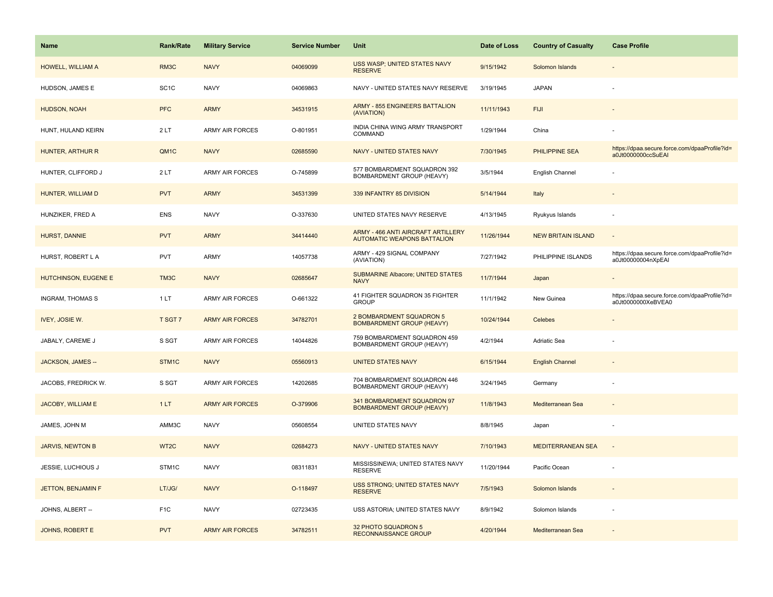| <b>Name</b>               | Rank/Rate         | <b>Military Service</b> | <b>Service Number</b> | Unit                                                                     | Date of Loss | <b>Country of Casualty</b> | <b>Case Profile</b>                                                 |
|---------------------------|-------------------|-------------------------|-----------------------|--------------------------------------------------------------------------|--------------|----------------------------|---------------------------------------------------------------------|
| HOWELL, WILLIAM A         | RM3C              | <b>NAVY</b>             | 04069099              | USS WASP; UNITED STATES NAVY<br><b>RESERVE</b>                           | 9/15/1942    | Solomon Islands            |                                                                     |
| HUDSON, JAMES E           | SC <sub>1</sub> C | <b>NAVY</b>             | 04069863              | NAVY - UNITED STATES NAVY RESERVE                                        | 3/19/1945    | <b>JAPAN</b>               |                                                                     |
| <b>HUDSON, NOAH</b>       | <b>PFC</b>        | <b>ARMY</b>             | 34531915              | <b>ARMY - 855 ENGINEERS BATTALION</b><br>(AVIATION)                      | 11/11/1943   | <b>FIJI</b>                |                                                                     |
| HUNT, HULAND KEIRN        | 2LT               | <b>ARMY AIR FORCES</b>  | O-801951              | INDIA CHINA WING ARMY TRANSPORT<br>COMMAND                               | 1/29/1944    | China                      |                                                                     |
| HUNTER, ARTHUR R          | QM <sub>1</sub> C | <b>NAVY</b>             | 02685590              | <b>NAVY - UNITED STATES NAVY</b>                                         | 7/30/1945    | PHILIPPINE SEA             | https://dpaa.secure.force.com/dpaaProfile?id=<br>a0Jt0000000ccSuEAI |
| HUNTER, CLIFFORD J        | 2LT               | <b>ARMY AIR FORCES</b>  | O-745899              | 577 BOMBARDMENT SQUADRON 392<br>BOMBARDMENT GROUP (HEAVY)                | 3/5/1944     | English Channel            |                                                                     |
| HUNTER, WILLIAM D         | <b>PVT</b>        | <b>ARMY</b>             | 34531399              | 339 INFANTRY 85 DIVISION                                                 | 5/14/1944    | Italy                      |                                                                     |
| HUNZIKER, FRED A          | <b>ENS</b>        | <b>NAVY</b>             | O-337630              | UNITED STATES NAVY RESERVE                                               | 4/13/1945    | Ryukyus Islands            |                                                                     |
| HURST, DANNIE             | <b>PVT</b>        | <b>ARMY</b>             | 34414440              | ARMY - 466 ANTI AIRCRAFT ARTILLERY<br><b>AUTOMATIC WEAPONS BATTALION</b> | 11/26/1944   | <b>NEW BRITAIN ISLAND</b>  | $\overline{\phantom{a}}$                                            |
| HURST, ROBERT L A         | <b>PVT</b>        | ARMY                    | 14057738              | ARMY - 429 SIGNAL COMPANY<br>(AVIATION)                                  | 7/27/1942    | PHILIPPINE ISLANDS         | https://dpaa.secure.force.com/dpaaProfile?id=<br>a0Jt00000004nXpEAI |
| HUTCHINSON, EUGENE E      | TM3C              | <b>NAVY</b>             | 02685647              | <b>SUBMARINE Albacore; UNITED STATES</b><br><b>NAVY</b>                  | 11/7/1944    | Japan                      |                                                                     |
| <b>INGRAM, THOMAS S</b>   | 1LT               | <b>ARMY AIR FORCES</b>  | O-661322              | 41 FIGHTER SQUADRON 35 FIGHTER<br><b>GROUP</b>                           | 11/1/1942    | New Guinea                 | https://dpaa.secure.force.com/dpaaProfile?id=<br>a0Jt0000000XeBVEA0 |
| <b>IVEY, JOSIE W.</b>     | T SGT 7           | <b>ARMY AIR FORCES</b>  | 34782701              | 2 BOMBARDMENT SQUADRON 5<br><b>BOMBARDMENT GROUP (HEAVY)</b>             | 10/24/1944   | Celebes                    |                                                                     |
| JABALY, CAREME J          | S SGT             | ARMY AIR FORCES         | 14044826              | 759 BOMBARDMENT SQUADRON 459<br>BOMBARDMENT GROUP (HEAVY)                | 4/2/1944     | Adriatic Sea               |                                                                     |
| JACKSON, JAMES --         | STM1C             | <b>NAVY</b>             | 05560913              | <b>UNITED STATES NAVY</b>                                                | 6/15/1944    | <b>English Channel</b>     |                                                                     |
| JACOBS, FREDRICK W.       | S SGT             | <b>ARMY AIR FORCES</b>  | 14202685              | 704 BOMBARDMENT SQUADRON 446<br>BOMBARDMENT GROUP (HEAVY)                | 3/24/1945    | Germany                    |                                                                     |
| JACOBY, WILLIAM E         | 1LT               | <b>ARMY AIR FORCES</b>  | O-379906              | 341 BOMBARDMENT SQUADRON 97<br><b>BOMBARDMENT GROUP (HEAVY)</b>          | 11/8/1943    | Mediterranean Sea          |                                                                     |
| JAMES, JOHN M             | AMM3C             | <b>NAVY</b>             | 05608554              | UNITED STATES NAVY                                                       | 8/8/1945     | Japan                      |                                                                     |
| <b>JARVIS, NEWTON B</b>   | WT <sub>2C</sub>  | <b>NAVY</b>             | 02684273              | NAVY - UNITED STATES NAVY                                                | 7/10/1943    | MEDITERRANEAN SEA          |                                                                     |
| <b>JESSIE, LUCHIOUS J</b> | STM1C             | <b>NAVY</b>             | 08311831              | MISSISSINEWA; UNITED STATES NAVY<br><b>RESERVE</b>                       | 11/20/1944   | Pacific Ocean              |                                                                     |
| JETTON, BENJAMIN F        | LT/JG/            | <b>NAVY</b>             | O-118497              | USS STRONG; UNITED STATES NAVY<br><b>RESERVE</b>                         | 7/5/1943     | Solomon Islands            | $\sim$                                                              |
| JOHNS, ALBERT --          | F <sub>1</sub> C  | <b>NAVY</b>             | 02723435              | USS ASTORIA; UNITED STATES NAVY                                          | 8/9/1942     | Solomon Islands            |                                                                     |
| JOHNS, ROBERT E           | <b>PVT</b>        | <b>ARMY AIR FORCES</b>  | 34782511              | 32 PHOTO SQUADRON 5<br><b>RECONNAISSANCE GROUP</b>                       | 4/20/1944    | Mediterranean Sea          |                                                                     |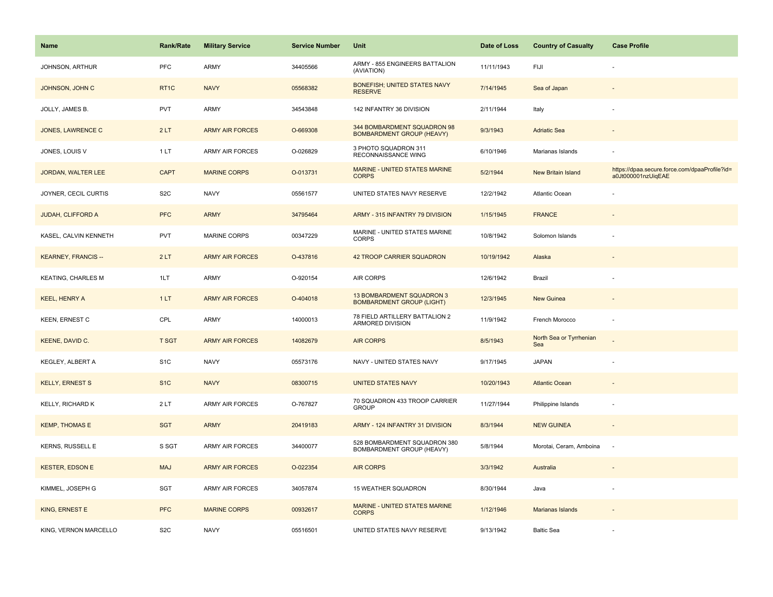| <b>Name</b>                | Rank/Rate        | <b>Military Service</b> | <b>Service Number</b> | Unit                                                            | Date of Loss | <b>Country of Casualty</b>     | <b>Case Profile</b>                                                 |
|----------------------------|------------------|-------------------------|-----------------------|-----------------------------------------------------------------|--------------|--------------------------------|---------------------------------------------------------------------|
| JOHNSON, ARTHUR            | PFC              | ARMY                    | 34405566              | ARMY - 855 ENGINEERS BATTALION<br>(AVIATION)                    | 11/11/1943   | FIJI                           |                                                                     |
| JOHNSON, JOHN C            | RT <sub>1C</sub> | <b>NAVY</b>             | 05568382              | <b>BONEFISH; UNITED STATES NAVY</b><br><b>RESERVE</b>           | 7/14/1945    | Sea of Japan                   |                                                                     |
| JOLLY, JAMES B.            | <b>PVT</b>       | ARMY                    | 34543848              | 142 INFANTRY 36 DIVISION                                        | 2/11/1944    | Italy                          |                                                                     |
| <b>JONES, LAWRENCE C</b>   | 2LT              | <b>ARMY AIR FORCES</b>  | O-669308              | 344 BOMBARDMENT SQUADRON 98<br><b>BOMBARDMENT GROUP (HEAVY)</b> | 9/3/1943     | <b>Adriatic Sea</b>            |                                                                     |
| JONES, LOUIS V             | 1LT              | <b>ARMY AIR FORCES</b>  | O-026829              | 3 PHOTO SQUADRON 311<br>RECONNAISSANCE WING                     | 6/10/1946    | Marianas Islands               |                                                                     |
| <b>JORDAN, WALTER LEE</b>  | <b>CAPT</b>      | <b>MARINE CORPS</b>     | O-013731              | MARINE - UNITED STATES MARINE<br><b>CORPS</b>                   | 5/2/1944     | New Britain Island             | https://dpaa.secure.force.com/dpaaProfile?id=<br>a0Jt000001nzUiqEAE |
| JOYNER, CECIL CURTIS       | S <sub>2</sub> C | <b>NAVY</b>             | 05561577              | UNITED STATES NAVY RESERVE                                      | 12/2/1942    | Atlantic Ocean                 |                                                                     |
| JUDAH, CLIFFORD A          | <b>PFC</b>       | <b>ARMY</b>             | 34795464              | ARMY - 315 INFANTRY 79 DIVISION                                 | 1/15/1945    | <b>FRANCE</b>                  |                                                                     |
| KASEL, CALVIN KENNETH      | <b>PVT</b>       | <b>MARINE CORPS</b>     | 00347229              | MARINE - UNITED STATES MARINE<br><b>CORPS</b>                   | 10/8/1942    | Solomon Islands                |                                                                     |
| <b>KEARNEY, FRANCIS --</b> | 2LT              | <b>ARMY AIR FORCES</b>  | O-437816              | 42 TROOP CARRIER SQUADRON                                       | 10/19/1942   | Alaska                         |                                                                     |
| <b>KEATING, CHARLES M</b>  | 1LT              | ARMY                    | O-920154              | AIR CORPS                                                       | 12/6/1942    | Brazil                         |                                                                     |
| <b>KEEL, HENRY A</b>       | 1LT              | <b>ARMY AIR FORCES</b>  | O-404018              | 13 BOMBARDMENT SQUADRON 3<br><b>BOMBARDMENT GROUP (LIGHT)</b>   | 12/3/1945    | New Guinea                     |                                                                     |
| KEEN, ERNEST C             | CPL              | ARMY                    | 14000013              | 78 FIELD ARTILLERY BATTALION 2<br>ARMORED DIVISION              | 11/9/1942    | French Morocco                 | ÷,                                                                  |
| KEENE, DAVID C.            | <b>T SGT</b>     | <b>ARMY AIR FORCES</b>  | 14082679              | <b>AIR CORPS</b>                                                | 8/5/1943     | North Sea or Tyrrhenian<br>Sea |                                                                     |
| KEGLEY, ALBERT A           | S <sub>1</sub> C | <b>NAVY</b>             | 05573176              | NAVY - UNITED STATES NAVY                                       | 9/17/1945    | <b>JAPAN</b>                   |                                                                     |
| <b>KELLY, ERNEST S</b>     | S <sub>1</sub> C | <b>NAVY</b>             | 08300715              | <b>UNITED STATES NAVY</b>                                       | 10/20/1943   | <b>Atlantic Ocean</b>          |                                                                     |
| KELLY, RICHARD K           | 2LT              | <b>ARMY AIR FORCES</b>  | O-767827              | 70 SQUADRON 433 TROOP CARRIER<br><b>GROUP</b>                   | 11/27/1944   | Philippine Islands             |                                                                     |
| <b>KEMP, THOMAS E</b>      | <b>SGT</b>       | <b>ARMY</b>             | 20419183              | ARMY - 124 INFANTRY 31 DIVISION                                 | 8/3/1944     | <b>NEW GUINEA</b>              | $\overline{\phantom{a}}$                                            |
| <b>KERNS, RUSSELL E</b>    | S SGT            | <b>ARMY AIR FORCES</b>  | 34400077              | 528 BOMBARDMENT SQUADRON 380<br>BOMBARDMENT GROUP (HEAVY)       | 5/8/1944     | Morotai, Ceram, Amboina        | $\sim$                                                              |
| <b>KESTER, EDSON E</b>     | <b>MAJ</b>       | <b>ARMY AIR FORCES</b>  | O-022354              | <b>AIR CORPS</b>                                                | 3/3/1942     | Australia                      |                                                                     |
| KIMMEL, JOSEPH G           | SGT              | ARMY AIR FORCES         | 34057874              | 15 WEATHER SQUADRON                                             | 8/30/1944    | Java                           |                                                                     |
| KING, ERNEST E             | <b>PFC</b>       | <b>MARINE CORPS</b>     | 00932617              | <b>MARINE - UNITED STATES MARINE</b><br><b>CORPS</b>            | 1/12/1946    | Marianas Islands               |                                                                     |
| KING, VERNON MARCELLO      | S <sub>2</sub> C | <b>NAVY</b>             | 05516501              | UNITED STATES NAVY RESERVE                                      | 9/13/1942    | <b>Baltic Sea</b>              |                                                                     |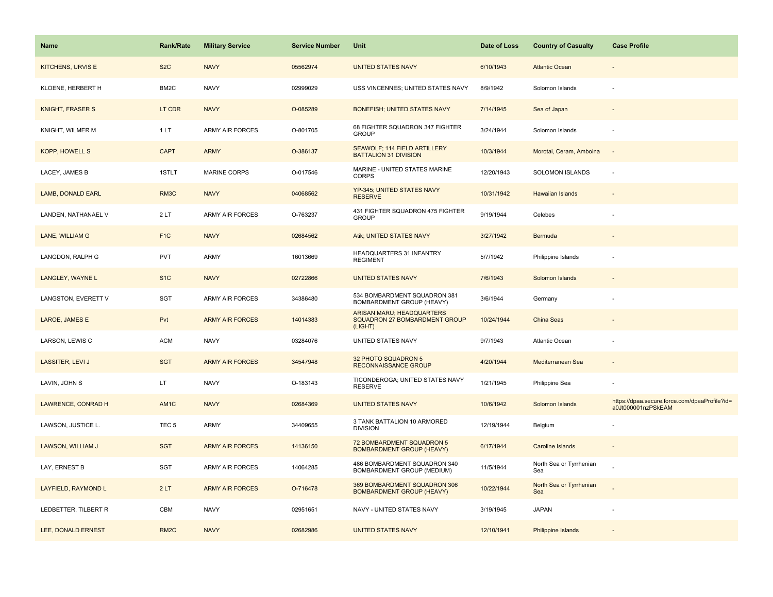| <b>Name</b>              | <b>Rank/Rate</b>  | <b>Military Service</b> | <b>Service Number</b> | Unit                                                                  | Date of Loss | <b>Country of Casualty</b>     | <b>Case Profile</b>                                                 |
|--------------------------|-------------------|-------------------------|-----------------------|-----------------------------------------------------------------------|--------------|--------------------------------|---------------------------------------------------------------------|
| <b>KITCHENS, URVIS E</b> | S <sub>2</sub> C  | <b>NAVY</b>             | 05562974              | <b>UNITED STATES NAVY</b>                                             | 6/10/1943    | <b>Atlantic Ocean</b>          |                                                                     |
| KLOENE, HERBERT H        | BM2C              | <b>NAVY</b>             | 02999029              | USS VINCENNES; UNITED STATES NAVY                                     | 8/9/1942     | Solomon Islands                |                                                                     |
| <b>KNIGHT, FRASER S</b>  | LT CDR            | <b>NAVY</b>             | O-085289              | <b>BONEFISH; UNITED STATES NAVY</b>                                   | 7/14/1945    | Sea of Japan                   |                                                                     |
| KNIGHT, WILMER M         | 1LT               | <b>ARMY AIR FORCES</b>  | O-801705              | 68 FIGHTER SQUADRON 347 FIGHTER<br><b>GROUP</b>                       | 3/24/1944    | Solomon Islands                |                                                                     |
| KOPP, HOWELL S           | <b>CAPT</b>       | <b>ARMY</b>             | O-386137              | SEAWOLF; 114 FIELD ARTILLERY<br><b>BATTALION 31 DIVISION</b>          | 10/3/1944    | Morotai, Ceram, Amboina        | $\sim$                                                              |
| LACEY, JAMES B           | 1STLT             | <b>MARINE CORPS</b>     | O-017546              | MARINE - UNITED STATES MARINE<br><b>CORPS</b>                         | 12/20/1943   | <b>SOLOMON ISLANDS</b>         |                                                                     |
| LAMB, DONALD EARL        | RM3C              | <b>NAVY</b>             | 04068562              | YP-345; UNITED STATES NAVY<br><b>RESERVE</b>                          | 10/31/1942   | <b>Hawaiian Islands</b>        |                                                                     |
| LANDEN, NATHANAEL V      | 2LT               | <b>ARMY AIR FORCES</b>  | O-763237              | 431 FIGHTER SQUADRON 475 FIGHTER<br><b>GROUP</b>                      | 9/19/1944    | Celebes                        |                                                                     |
| LANE, WILLIAM G          | F <sub>1C</sub>   | <b>NAVY</b>             | 02684562              | Atik; UNITED STATES NAVY                                              | 3/27/1942    | Bermuda                        |                                                                     |
| LANGDON, RALPH G         | <b>PVT</b>        | ARMY                    | 16013669              | HEADQUARTERS 31 INFANTRY<br><b>REGIMENT</b>                           | 5/7/1942     | Philippine Islands             |                                                                     |
| LANGLEY, WAYNE L         | S <sub>1</sub> C  | <b>NAVY</b>             | 02722866              | <b>UNITED STATES NAVY</b>                                             | 7/6/1943     | Solomon Islands                |                                                                     |
| LANGSTON, EVERETT V      | SGT               | ARMY AIR FORCES         | 34386480              | 534 BOMBARDMENT SQUADRON 381<br>BOMBARDMENT GROUP (HEAVY)             | 3/6/1944     | Germany                        |                                                                     |
| LAROE, JAMES E           | Pvt               | <b>ARMY AIR FORCES</b>  | 14014383              | ARISAN MARU; HEADQUARTERS<br>SQUADRON 27 BOMBARDMENT GROUP<br>(LIGHT) | 10/24/1944   | <b>China Seas</b>              |                                                                     |
| LARSON, LEWIS C          | <b>ACM</b>        | <b>NAVY</b>             | 03284076              | UNITED STATES NAVY                                                    | 9/7/1943     | Atlantic Ocean                 |                                                                     |
| <b>LASSITER, LEVI J</b>  | <b>SGT</b>        | <b>ARMY AIR FORCES</b>  | 34547948              | 32 PHOTO SQUADRON 5<br><b>RECONNAISSANCE GROUP</b>                    | 4/20/1944    | Mediterranean Sea              |                                                                     |
| LAVIN, JOHN S            | LT.               | <b>NAVY</b>             | O-183143              | TICONDEROGA; UNITED STATES NAVY<br><b>RESERVE</b>                     | 1/21/1945    | Philippine Sea                 |                                                                     |
| LAWRENCE, CONRAD H       | AM1C              | <b>NAVY</b>             | 02684369              | <b>UNITED STATES NAVY</b>                                             | 10/6/1942    | Solomon Islands                | https://dpaa.secure.force.com/dpaaProfile?id=<br>a0Jt000001nzPSkEAM |
| LAWSON, JUSTICE L.       | TEC <sub>5</sub>  | ARMY                    | 34409655              | 3 TANK BATTALION 10 ARMORED<br><b>DIVISION</b>                        | 12/19/1944   | Belgium                        |                                                                     |
| LAWSON, WILLIAM J        | <b>SGT</b>        | <b>ARMY AIR FORCES</b>  | 14136150              | 72 BOMBARDMENT SQUADRON 5<br><b>BOMBARDMENT GROUP (HEAVY)</b>         | 6/17/1944    | <b>Caroline Islands</b>        |                                                                     |
| LAY, ERNEST B            | SGT               | ARMY AIR FORCES         | 14064285              | 486 BOMBARDMENT SQUADRON 340<br>BOMBARDMENT GROUP (MEDIUM)            | 11/5/1944    | North Sea or Tyrrhenian<br>Sea |                                                                     |
| LAYFIELD, RAYMOND L      | 2LT               | <b>ARMY AIR FORCES</b>  | O-716478              | 369 BOMBARDMENT SQUADRON 306<br><b>BOMBARDMENT GROUP (HEAVY)</b>      | 10/22/1944   | North Sea or Tyrrhenian<br>Sea |                                                                     |
| LEDBETTER, TILBERT R     | CBM               | <b>NAVY</b>             | 02951651              | NAVY - UNITED STATES NAVY                                             | 3/19/1945    | <b>JAPAN</b>                   |                                                                     |
| LEE, DONALD ERNEST       | RM <sub>2</sub> C | <b>NAVY</b>             | 02682986              | <b>UNITED STATES NAVY</b>                                             | 12/10/1941   | Philippine Islands             |                                                                     |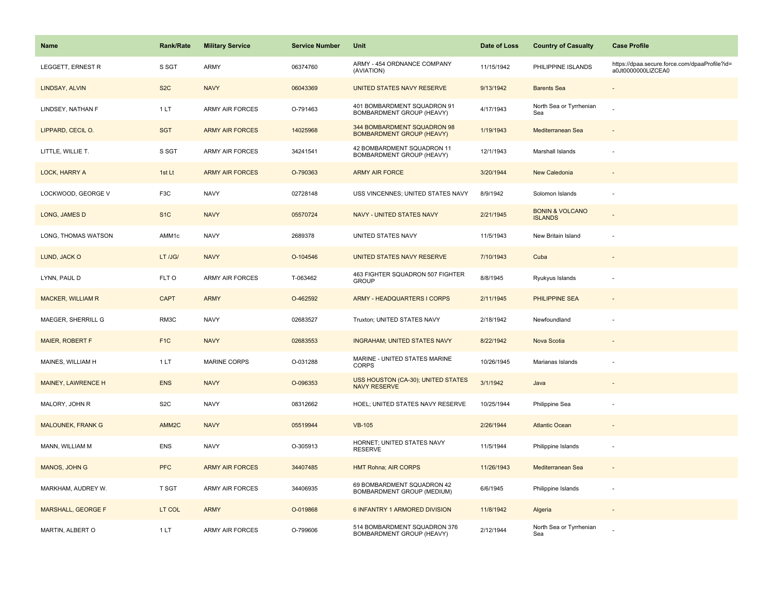| <b>Name</b>               | Rank/Rate         | <b>Military Service</b> | <b>Service Number</b> | Unit                                                            | Date of Loss | <b>Country of Casualty</b>                   | <b>Case Profile</b>                                                 |
|---------------------------|-------------------|-------------------------|-----------------------|-----------------------------------------------------------------|--------------|----------------------------------------------|---------------------------------------------------------------------|
| LEGGETT, ERNEST R         | S SGT             | ARMY                    | 06374760              | ARMY - 454 ORDNANCE COMPANY<br>(AVIATION)                       | 11/15/1942   | PHILIPPINE ISLANDS                           | https://dpaa.secure.force.com/dpaaProfile?id=<br>a0Jt0000000LIZCEA0 |
| LINDSAY, ALVIN            | S <sub>2</sub> C  | <b>NAVY</b>             | 06043369              | UNITED STATES NAVY RESERVE                                      | 9/13/1942    | <b>Barents Sea</b>                           |                                                                     |
| LINDSEY, NATHAN F         | 1LT               | <b>ARMY AIR FORCES</b>  | O-791463              | 401 BOMBARDMENT SQUADRON 91<br>BOMBARDMENT GROUP (HEAVY)        | 4/17/1943    | North Sea or Tyrrhenian<br>Sea               |                                                                     |
| LIPPARD, CECIL O.         | <b>SGT</b>        | <b>ARMY AIR FORCES</b>  | 14025968              | 344 BOMBARDMENT SQUADRON 98<br><b>BOMBARDMENT GROUP (HEAVY)</b> | 1/19/1943    | Mediterranean Sea                            |                                                                     |
| LITTLE, WILLIE T.         | S SGT             | <b>ARMY AIR FORCES</b>  | 34241541              | 42 BOMBARDMENT SQUADRON 11<br>BOMBARDMENT GROUP (HEAVY)         | 12/1/1943    | Marshall Islands                             |                                                                     |
| LOCK, HARRY A             | 1st Lt            | <b>ARMY AIR FORCES</b>  | O-790363              | <b>ARMY AIR FORCE</b>                                           | 3/20/1944    | New Caledonia                                |                                                                     |
| LOCKWOOD, GEORGE V        | F3C               | <b>NAVY</b>             | 02728148              | USS VINCENNES; UNITED STATES NAVY                               | 8/9/1942     | Solomon Islands                              | ÷,                                                                  |
| LONG, JAMES D             | S <sub>1</sub> C  | <b>NAVY</b>             | 05570724              | NAVY - UNITED STATES NAVY                                       | 2/21/1945    | <b>BONIN &amp; VOLCANO</b><br><b>ISLANDS</b> |                                                                     |
| LONG, THOMAS WATSON       | AMM1c             | <b>NAVY</b>             | 2689378               | UNITED STATES NAVY                                              | 11/5/1943    | New Britain Island                           |                                                                     |
| LUND, JACK O              | LT /JG/           | <b>NAVY</b>             | O-104546              | UNITED STATES NAVY RESERVE                                      | 7/10/1943    | Cuba                                         |                                                                     |
| LYNN, PAUL D              | FLT O             | <b>ARMY AIR FORCES</b>  | T-063462              | 463 FIGHTER SQUADRON 507 FIGHTER<br><b>GROUP</b>                | 8/8/1945     | Ryukyus Islands                              |                                                                     |
| <b>MACKER, WILLIAM R</b>  | <b>CAPT</b>       | <b>ARMY</b>             | O-462592              | <b>ARMY - HEADQUARTERS I CORPS</b>                              | 2/11/1945    | <b>PHILIPPINE SEA</b>                        |                                                                     |
| MAEGER, SHERRILL G        | RM3C              | <b>NAVY</b>             | 02683527              | Truxton; UNITED STATES NAVY                                     | 2/18/1942    | Newfoundland                                 |                                                                     |
| <b>MAIER, ROBERT F</b>    | F <sub>1C</sub>   | <b>NAVY</b>             | 02683553              | <b>INGRAHAM; UNITED STATES NAVY</b>                             | 8/22/1942    | Nova Scotia                                  | $\overline{a}$                                                      |
| MAINES, WILLIAM H         | 1LT               | MARINE CORPS            | O-031288              | MARINE - UNITED STATES MARINE<br><b>CORPS</b>                   | 10/26/1945   | Marianas Islands                             |                                                                     |
| MAINEY, LAWRENCE H        | <b>ENS</b>        | <b>NAVY</b>             | O-096353              | USS HOUSTON (CA-30); UNITED STATES<br><b>NAVY RESERVE</b>       | 3/1/1942     | Java                                         |                                                                     |
| MALORY, JOHN R            | S <sub>2</sub> C  | <b>NAVY</b>             | 08312662              | HOEL; UNITED STATES NAVY RESERVE                                | 10/25/1944   | Philippine Sea                               |                                                                     |
| <b>MALOUNEK, FRANK G</b>  | AMM <sub>2C</sub> | <b>NAVY</b>             | 05519944              | <b>VB-105</b>                                                   | 2/26/1944    | <b>Atlantic Ocean</b>                        |                                                                     |
| MANN, WILLIAM M           | <b>ENS</b>        | <b>NAVY</b>             | O-305913              | HORNET; UNITED STATES NAVY<br><b>RESERVE</b>                    | 11/5/1944    | Philippine Islands                           |                                                                     |
| MANOS, JOHN G             | <b>PFC</b>        | <b>ARMY AIR FORCES</b>  | 34407485              | <b>HMT Rohna; AIR CORPS</b>                                     | 11/26/1943   | Mediterranean Sea                            | $\sim$                                                              |
| MARKHAM, AUDREY W.        | T SGT             | <b>ARMY AIR FORCES</b>  | 34406935              | 69 BOMBARDMENT SQUADRON 42<br>BOMBARDMENT GROUP (MEDIUM)        | 6/6/1945     | Philippine Islands                           | ÷                                                                   |
| <b>MARSHALL, GEORGE F</b> | LT COL            | <b>ARMY</b>             | O-019868              | <b>6 INFANTRY 1 ARMORED DIVISION</b>                            | 11/8/1942    | Algeria                                      |                                                                     |
| MARTIN, ALBERT O          | 1LT               | <b>ARMY AIR FORCES</b>  | O-799606              | 514 BOMBARDMENT SQUADRON 376<br>BOMBARDMENT GROUP (HEAVY)       | 2/12/1944    | North Sea or Tyrrhenian<br>Sea               |                                                                     |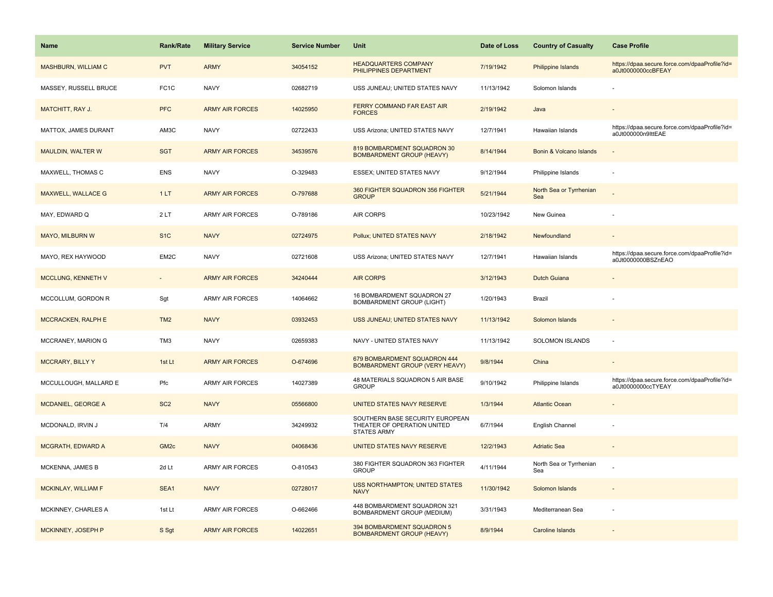| Name                      | Rank/Rate         | <b>Military Service</b> | <b>Service Number</b> | Unit                                                                                 | Date of Loss | <b>Country of Casualty</b>     | <b>Case Profile</b>                                                 |
|---------------------------|-------------------|-------------------------|-----------------------|--------------------------------------------------------------------------------------|--------------|--------------------------------|---------------------------------------------------------------------|
| MASHBURN, WILLIAM C       | <b>PVT</b>        | <b>ARMY</b>             | 34054152              | <b>HEADQUARTERS COMPANY</b><br>PHILIPPINES DEPARTMENT                                | 7/19/1942    | Philippine Islands             | https://dpaa.secure.force.com/dpaaProfile?id=<br>a0Jt0000000ccBFEAY |
| MASSEY, RUSSELL BRUCE     | FC <sub>1</sub> C | <b>NAVY</b>             | 02682719              | USS JUNEAU; UNITED STATES NAVY                                                       | 11/13/1942   | Solomon Islands                |                                                                     |
| <b>MATCHITT, RAY J.</b>   | <b>PFC</b>        | <b>ARMY AIR FORCES</b>  | 14025950              | FERRY COMMAND FAR EAST AIR<br><b>FORCES</b>                                          | 2/19/1942    | Java                           |                                                                     |
| MATTOX, JAMES DURANT      | AM3C              | <b>NAVY</b>             | 02722433              | USS Arizona; UNITED STATES NAVY                                                      | 12/7/1941    | Hawaiian Islands               | https://dpaa.secure.force.com/dpaaProfile?id=<br>a0Jt000000n9lttEAE |
| <b>MAULDIN, WALTER W</b>  | <b>SGT</b>        | <b>ARMY AIR FORCES</b>  | 34539576              | 819 BOMBARDMENT SQUADRON 30<br><b>BOMBARDMENT GROUP (HEAVY)</b>                      | 8/14/1944    | Bonin & Volcano Islands        |                                                                     |
| MAXWELL, THOMAS C         | <b>ENS</b>        | <b>NAVY</b>             | O-329483              | ESSEX; UNITED STATES NAVY                                                            | 9/12/1944    | Philippine Islands             |                                                                     |
| MAXWELL, WALLACE G        | 1LT               | <b>ARMY AIR FORCES</b>  | O-797688              | 360 FIGHTER SQUADRON 356 FIGHTER<br><b>GROUP</b>                                     | 5/21/1944    | North Sea or Tyrrhenian<br>Sea |                                                                     |
| MAY, EDWARD Q             | 2LT               | <b>ARMY AIR FORCES</b>  | O-789186              | AIR CORPS                                                                            | 10/23/1942   | New Guinea                     |                                                                     |
| MAYO, MILBURN W           | S <sub>1</sub> C  | <b>NAVY</b>             | 02724975              | Pollux; UNITED STATES NAVY                                                           | 2/18/1942    | Newfoundland                   |                                                                     |
| MAYO, REX HAYWOOD         | EM2C              | <b>NAVY</b>             | 02721608              | USS Arizona; UNITED STATES NAVY                                                      | 12/7/1941    | Hawaiian Islands               | https://dpaa.secure.force.com/dpaaProfile?id=<br>a0Jt0000000BSZnEAO |
| <b>MCCLUNG, KENNETH V</b> |                   | <b>ARMY AIR FORCES</b>  | 34240444              | <b>AIR CORPS</b>                                                                     | 3/12/1943    | <b>Dutch Guiana</b>            |                                                                     |
| MCCOLLUM, GORDON R        | Sgt               | ARMY AIR FORCES         | 14064662              | 16 BOMBARDMENT SQUADRON 27<br><b>BOMBARDMENT GROUP (LIGHT)</b>                       | 1/20/1943    | Brazil                         |                                                                     |
| <b>MCCRACKEN, RALPH E</b> | TM <sub>2</sub>   | <b>NAVY</b>             | 03932453              | USS JUNEAU; UNITED STATES NAVY                                                       | 11/13/1942   | Solomon Islands                |                                                                     |
| MCCRANEY, MARION G        | TM3               | <b>NAVY</b>             | 02659383              | NAVY - UNITED STATES NAVY                                                            | 11/13/1942   | SOLOMON ISLANDS                | $\overline{\phantom{a}}$                                            |
| <b>MCCRARY, BILLY Y</b>   | 1st Lt            | <b>ARMY AIR FORCES</b>  | O-674696              | 679 BOMBARDMENT SQUADRON 444<br><b>BOMBARDMENT GROUP (VERY HEAVY)</b>                | 9/8/1944     | China                          |                                                                     |
| MCCULLOUGH, MALLARD E     | Pfc               | ARMY AIR FORCES         | 14027389              | 48 MATERIALS SQUADRON 5 AIR BASE<br><b>GROUP</b>                                     | 9/10/1942    | Philippine Islands             | https://dpaa.secure.force.com/dpaaProfile?id=<br>a0Jt0000000ccTYEAY |
| MCDANIEL, GEORGE A        | SC <sub>2</sub>   | <b>NAVY</b>             | 05566800              | <b>UNITED STATES NAVY RESERVE</b>                                                    | 1/3/1944     | <b>Atlantic Ocean</b>          |                                                                     |
| MCDONALD, IRVIN J         | T/4               | <b>ARMY</b>             | 34249932              | SOUTHERN BASE SECURITY EUROPEAN<br>THEATER OF OPERATION UNITED<br><b>STATES ARMY</b> | 6/7/1944     | English Channel                |                                                                     |
| <b>MCGRATH, EDWARD A</b>  | GM <sub>2c</sub>  | <b>NAVY</b>             | 04068436              | UNITED STATES NAVY RESERVE                                                           | 12/2/1943    | <b>Adriatic Sea</b>            |                                                                     |
| MCKENNA, JAMES B          | 2d Lt             | ARMY AIR FORCES         | O-810543              | 380 FIGHTER SQUADRON 363 FIGHTER<br><b>GROUP</b>                                     | 4/11/1944    | North Sea or Tyrrhenian<br>Sea |                                                                     |
| MCKINLAY, WILLIAM F       | SEA1              | <b>NAVY</b>             | 02728017              | <b>USS NORTHAMPTON; UNITED STATES</b><br><b>NAVY</b>                                 | 11/30/1942   | Solomon Islands                | $\sim$                                                              |
| MCKINNEY, CHARLES A       | 1st Lt            | ARMY AIR FORCES         | O-662466              | 448 BOMBARDMENT SQUADRON 321<br>BOMBARDMENT GROUP (MEDIUM)                           | 3/31/1943    | Mediterranean Sea              |                                                                     |
| MCKINNEY, JOSEPH P        | S Sgt             | <b>ARMY AIR FORCES</b>  | 14022651              | 394 BOMBARDMENT SQUADRON 5<br><b>BOMBARDMENT GROUP (HEAVY)</b>                       | 8/9/1944     | <b>Caroline Islands</b>        |                                                                     |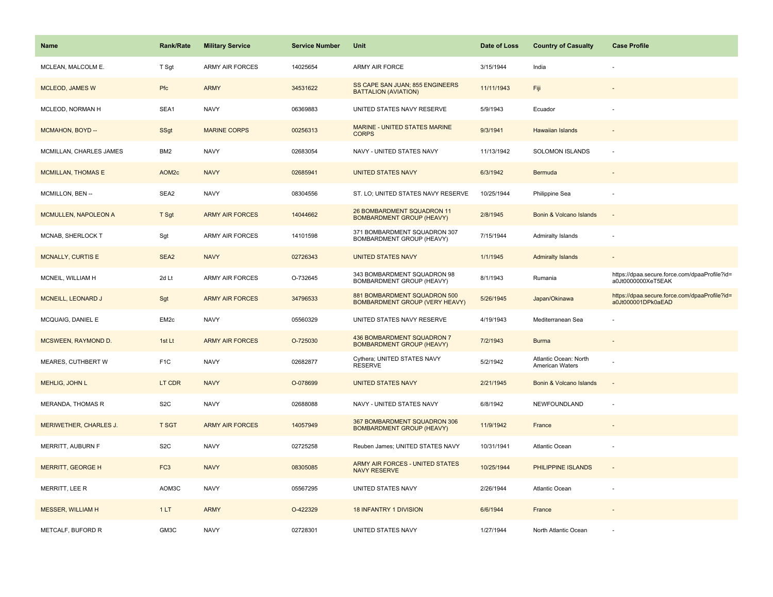| <b>Name</b>                 | <b>Rank/Rate</b>  | <b>Military Service</b> | <b>Service Number</b> | Unit                                                                  | Date of Loss | <b>Country of Casualty</b>               | <b>Case Profile</b>                                                 |
|-----------------------------|-------------------|-------------------------|-----------------------|-----------------------------------------------------------------------|--------------|------------------------------------------|---------------------------------------------------------------------|
| MCLEAN, MALCOLM E.          | T Sgt             | <b>ARMY AIR FORCES</b>  | 14025654              | <b>ARMY AIR FORCE</b>                                                 | 3/15/1944    | India                                    |                                                                     |
| <b>MCLEOD, JAMES W</b>      | Pfc               | <b>ARMY</b>             | 34531622              | SS CAPE SAN JUAN; 855 ENGINEERS<br><b>BATTALION (AVIATION)</b>        | 11/11/1943   | Fiji                                     |                                                                     |
| MCLEOD, NORMAN H            | SEA1              | <b>NAVY</b>             | 06369883              | UNITED STATES NAVY RESERVE                                            | 5/9/1943     | Ecuador                                  |                                                                     |
| MCMAHON, BOYD --            | SSgt              | <b>MARINE CORPS</b>     | 00256313              | MARINE - UNITED STATES MARINE<br><b>CORPS</b>                         | 9/3/1941     | Hawaiian Islands                         |                                                                     |
| MCMILLAN, CHARLES JAMES     | BM <sub>2</sub>   | <b>NAVY</b>             | 02683054              | NAVY - UNITED STATES NAVY                                             | 11/13/1942   | <b>SOLOMON ISLANDS</b>                   |                                                                     |
| <b>MCMILLAN, THOMAS E</b>   | AOM <sub>2c</sub> | <b>NAVY</b>             | 02685941              | <b>UNITED STATES NAVY</b>                                             | 6/3/1942     | Bermuda                                  |                                                                     |
| MCMILLON, BEN --            | SEA2              | <b>NAVY</b>             | 08304556              | ST. LO; UNITED STATES NAVY RESERVE                                    | 10/25/1944   | Philippine Sea                           |                                                                     |
| <b>MCMULLEN, NAPOLEON A</b> | T Sgt             | <b>ARMY AIR FORCES</b>  | 14044662              | 26 BOMBARDMENT SQUADRON 11<br><b>BOMBARDMENT GROUP (HEAVY)</b>        | 2/8/1945     | Bonin & Volcano Islands                  |                                                                     |
| MCNAB, SHERLOCK T           | Sgt               | ARMY AIR FORCES         | 14101598              | 371 BOMBARDMENT SQUADRON 307<br>BOMBARDMENT GROUP (HEAVY)             | 7/15/1944    | Admiralty Islands                        |                                                                     |
| <b>MCNALLY, CURTIS E</b>    | SEA <sub>2</sub>  | <b>NAVY</b>             | 02726343              | <b>UNITED STATES NAVY</b>                                             | 1/1/1945     | <b>Admiralty Islands</b>                 |                                                                     |
| MCNEIL, WILLIAM H           | 2d Lt             | <b>ARMY AIR FORCES</b>  | O-732645              | 343 BOMBARDMENT SQUADRON 98<br>BOMBARDMENT GROUP (HEAVY)              | 8/1/1943     | Rumania                                  | https://dpaa.secure.force.com/dpaaProfile?id=<br>a0Jt0000000XeT5EAK |
| <b>MCNEILL, LEONARD J</b>   | Sgt               | <b>ARMY AIR FORCES</b>  | 34796533              | 881 BOMBARDMENT SQUADRON 500<br><b>BOMBARDMENT GROUP (VERY HEAVY)</b> | 5/26/1945    | Japan/Okinawa                            | https://dpaa.secure.force.com/dpaaProfile?id=<br>a0Jt000001DPk0aEAD |
| MCQUAIG, DANIEL E           | EM <sub>2c</sub>  | <b>NAVY</b>             | 05560329              | UNITED STATES NAVY RESERVE                                            | 4/19/1943    | Mediterranean Sea                        |                                                                     |
| <b>MCSWEEN, RAYMOND D.</b>  | 1st Lt            | <b>ARMY AIR FORCES</b>  | O-725030              | 436 BOMBARDMENT SQUADRON 7<br><b>BOMBARDMENT GROUP (HEAVY)</b>        | 7/2/1943     | <b>Burma</b>                             |                                                                     |
| MEARES, CUTHBERT W          | F <sub>1</sub> C  | <b>NAVY</b>             | 02682877              | Cythera; UNITED STATES NAVY<br><b>RESERVE</b>                         | 5/2/1942     | Atlantic Ocean: North<br>American Waters |                                                                     |
| MEHLIG, JOHN L              | LT CDR            | <b>NAVY</b>             | O-078699              | <b>UNITED STATES NAVY</b>                                             | 2/21/1945    | Bonin & Volcano Islands                  |                                                                     |
| MERANDA, THOMAS R           | S <sub>2</sub> C  | <b>NAVY</b>             | 02688088              | NAVY - UNITED STATES NAVY                                             | 6/8/1942     | NEWFOUNDLAND                             |                                                                     |
| MERIWETHER, CHARLES J.      | <b>T SGT</b>      | <b>ARMY AIR FORCES</b>  | 14057949              | 367 BOMBARDMENT SQUADRON 306<br><b>BOMBARDMENT GROUP (HEAVY)</b>      | 11/9/1942    | France                                   |                                                                     |
| MERRITT, AUBURN F           | S <sub>2</sub> C  | <b>NAVY</b>             | 02725258              | Reuben James; UNITED STATES NAVY                                      | 10/31/1941   | <b>Atlantic Ocean</b>                    |                                                                     |
| <b>MERRITT, GEORGE H</b>    | FC <sub>3</sub>   | <b>NAVY</b>             | 08305085              | ARMY AIR FORCES - UNITED STATES<br><b>NAVY RESERVE</b>                | 10/25/1944   | PHILIPPINE ISLANDS                       | $\sim$                                                              |
| MERRITT, LEE R              | AOM3C             | <b>NAVY</b>             | 05567295              | UNITED STATES NAVY                                                    | 2/26/1944    | Atlantic Ocean                           |                                                                     |
| <b>MESSER, WILLIAM H</b>    | 1LT               | <b>ARMY</b>             | O-422329              | 18 INFANTRY 1 DIVISION                                                | 6/6/1944     | France                                   |                                                                     |
| METCALF, BUFORD R           | GM3C              | <b>NAVY</b>             | 02728301              | UNITED STATES NAVY                                                    | 1/27/1944    | North Atlantic Ocean                     |                                                                     |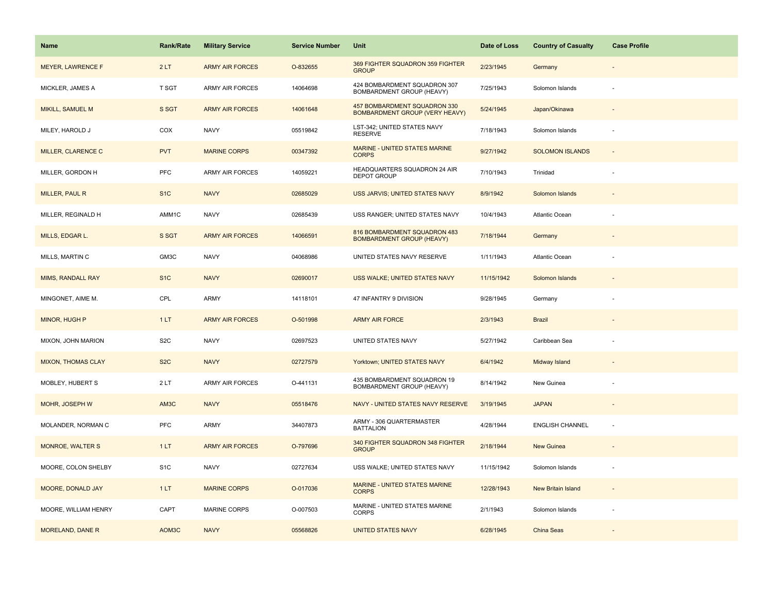| <b>Name</b>               | <b>Rank/Rate</b> | <b>Military Service</b> | <b>Service Number</b> | Unit                                                                  | Date of Loss | <b>Country of Casualty</b> | <b>Case Profile</b> |
|---------------------------|------------------|-------------------------|-----------------------|-----------------------------------------------------------------------|--------------|----------------------------|---------------------|
| <b>MEYER, LAWRENCE F</b>  | 2LT              | <b>ARMY AIR FORCES</b>  | O-832655              | 369 FIGHTER SQUADRON 359 FIGHTER<br><b>GROUP</b>                      | 2/23/1945    | Germany                    |                     |
| MICKLER, JAMES A          | T SGT            | ARMY AIR FORCES         | 14064698              | 424 BOMBARDMENT SQUADRON 307<br>BOMBARDMENT GROUP (HEAVY)             | 7/25/1943    | Solomon Islands            |                     |
| MIKILL, SAMUEL M          | S SGT            | <b>ARMY AIR FORCES</b>  | 14061648              | 457 BOMBARDMENT SQUADRON 330<br><b>BOMBARDMENT GROUP (VERY HEAVY)</b> | 5/24/1945    | Japan/Okinawa              |                     |
| MILEY, HAROLD J           | COX              | <b>NAVY</b>             | 05519842              | LST-342; UNITED STATES NAVY<br><b>RESERVE</b>                         | 7/18/1943    | Solomon Islands            |                     |
| MILLER, CLARENCE C        | <b>PVT</b>       | <b>MARINE CORPS</b>     | 00347392              | MARINE - UNITED STATES MARINE<br><b>CORPS</b>                         | 9/27/1942    | <b>SOLOMON ISLANDS</b>     |                     |
| MILLER, GORDON H          | PFC              | <b>ARMY AIR FORCES</b>  | 14059221              | HEADQUARTERS SQUADRON 24 AIR<br><b>DEPOT GROUP</b>                    | 7/10/1943    | Trinidad                   |                     |
| MILLER, PAUL R            | S <sub>1</sub> C | <b>NAVY</b>             | 02685029              | USS JARVIS; UNITED STATES NAVY                                        | 8/9/1942     | Solomon Islands            | $\sim$              |
| MILLER, REGINALD H        | AMM1C            | <b>NAVY</b>             | 02685439              | USS RANGER; UNITED STATES NAVY                                        | 10/4/1943    | Atlantic Ocean             |                     |
| MILLS, EDGAR L.           | S SGT            | <b>ARMY AIR FORCES</b>  | 14066591              | 816 BOMBARDMENT SQUADRON 483<br><b>BOMBARDMENT GROUP (HEAVY)</b>      | 7/18/1944    | Germany                    |                     |
| MILLS, MARTIN C           | GM3C             | <b>NAVY</b>             | 04068986              | UNITED STATES NAVY RESERVE                                            | 1/11/1943    | Atlantic Ocean             |                     |
| <b>MIMS, RANDALL RAY</b>  | S <sub>1</sub> C | <b>NAVY</b>             | 02690017              | USS WALKE; UNITED STATES NAVY                                         | 11/15/1942   | Solomon Islands            |                     |
| MINGONET, AIME M.         | CPL              | <b>ARMY</b>             | 14118101              | 47 INFANTRY 9 DIVISION                                                | 9/28/1945    | Germany                    |                     |
| <b>MINOR, HUGH P</b>      | 1LT              | <b>ARMY AIR FORCES</b>  | O-501998              | <b>ARMY AIR FORCE</b>                                                 | 2/3/1943     | <b>Brazil</b>              |                     |
| MIXON, JOHN MARION        | S <sub>2</sub> C | <b>NAVY</b>             | 02697523              | UNITED STATES NAVY                                                    | 5/27/1942    | Caribbean Sea              |                     |
| <b>MIXON, THOMAS CLAY</b> | S <sub>2</sub> C | <b>NAVY</b>             | 02727579              | Yorktown; UNITED STATES NAVY                                          | 6/4/1942     | Midway Island              |                     |
| MOBLEY, HUBERT S          | 2LT              | ARMY AIR FORCES         | O-441131              | 435 BOMBARDMENT SQUADRON 19<br>BOMBARDMENT GROUP (HEAVY)              | 8/14/1942    | New Guinea                 |                     |
| MOHR, JOSEPH W            | AM3C             | <b>NAVY</b>             | 05518476              | NAVY - UNITED STATES NAVY RESERVE                                     | 3/19/1945    | <b>JAPAN</b>               |                     |
| MOLANDER, NORMAN C        | PFC              | <b>ARMY</b>             | 34407873              | ARMY - 306 QUARTERMASTER<br><b>BATTALION</b>                          | 4/28/1944    | <b>ENGLISH CHANNEL</b>     | ×.                  |
| <b>MONROE, WALTER S</b>   | 1LT              | <b>ARMY AIR FORCES</b>  | O-797696              | 340 FIGHTER SQUADRON 348 FIGHTER<br><b>GROUP</b>                      | 2/18/1944    | New Guinea                 |                     |
| MOORE, COLON SHELBY       | S <sub>1</sub> C | <b>NAVY</b>             | 02727634              | USS WALKE; UNITED STATES NAVY                                         | 11/15/1942   | Solomon Islands            |                     |
| MOORE, DONALD JAY         | 1LT              | <b>MARINE CORPS</b>     | O-017036              | MARINE - UNITED STATES MARINE<br><b>CORPS</b>                         | 12/28/1943   | New Britain Island         | $\sim$              |
| MOORE, WILLIAM HENRY      | CAPT             | <b>MARINE CORPS</b>     | O-007503              | MARINE - UNITED STATES MARINE<br><b>CORPS</b>                         | 2/1/1943     | Solomon Islands            |                     |
| MORELAND, DANE R          | AOM3C            | <b>NAVY</b>             | 05568826              | <b>UNITED STATES NAVY</b>                                             | 6/28/1945    | China Seas                 |                     |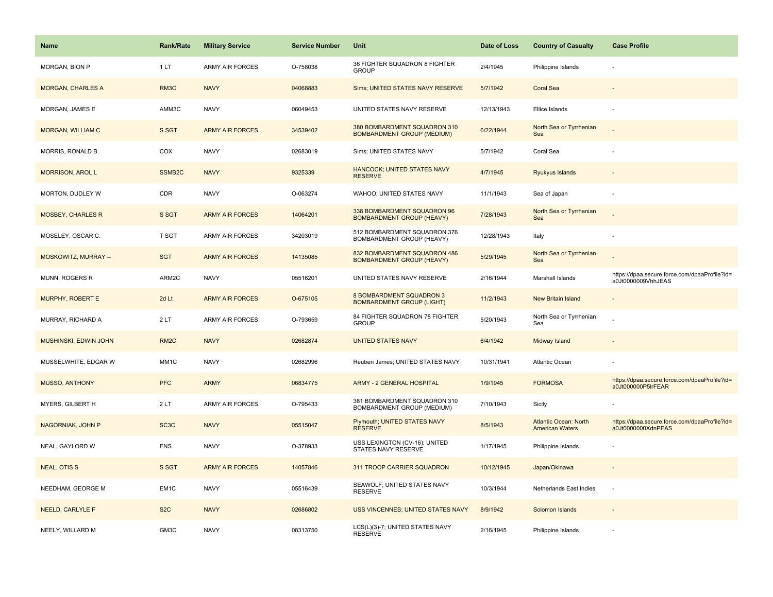| <b>Name</b>                 | <b>Rank/Rate</b>   | <b>Military Service</b> | <b>Service Number</b> | Unit                                                              | Date of Loss | <b>Country of Casualty</b>                             | <b>Case Profile</b>                                                 |
|-----------------------------|--------------------|-------------------------|-----------------------|-------------------------------------------------------------------|--------------|--------------------------------------------------------|---------------------------------------------------------------------|
| MORGAN, BION P              | 1LT                | <b>ARMY AIR FORCES</b>  | O-758038              | 36 FIGHTER SQUADRON 8 FIGHTER<br><b>GROUP</b>                     | 2/4/1945     | Philippine Islands                                     |                                                                     |
| <b>MORGAN, CHARLES A</b>    | RM3C               | <b>NAVY</b>             | 04068883              | Sims; UNITED STATES NAVY RESERVE                                  | 5/7/1942     | <b>Coral Sea</b>                                       |                                                                     |
| MORGAN, JAMES E             | AMM3C              | <b>NAVY</b>             | 06049453              | UNITED STATES NAVY RESERVE                                        | 12/13/1943   | Ellice Islands                                         |                                                                     |
| <b>MORGAN, WILLIAM C</b>    | S SGT              | <b>ARMY AIR FORCES</b>  | 34539402              | 380 BOMBARDMENT SQUADRON 310<br><b>BOMBARDMENT GROUP (MEDIUM)</b> | 6/22/1944    | North Sea or Tyrrhenian<br>Sea                         |                                                                     |
| MORRIS, RONALD B            | COX                | <b>NAVY</b>             | 02683019              | Sims; UNITED STATES NAVY                                          | 5/7/1942     | Coral Sea                                              |                                                                     |
| <b>MORRISON, AROL L</b>     | SSMB <sub>2C</sub> | <b>NAVY</b>             | 9325339               | <b>HANCOCK; UNITED STATES NAVY</b><br><b>RESERVE</b>              | 4/7/1945     | Ryukyus Islands                                        |                                                                     |
| MORTON, DUDLEY W            | CDR                | <b>NAVY</b>             | O-063274              | WAHOO; UNITED STATES NAVY                                         | 11/1/1943    | Sea of Japan                                           |                                                                     |
| <b>MOSBEY, CHARLES R</b>    | S SGT              | <b>ARMY AIR FORCES</b>  | 14064201              | 338 BOMBARDMENT SQUADRON 96<br><b>BOMBARDMENT GROUP (HEAVY)</b>   | 7/28/1943    | North Sea or Tyrrhenian<br>Sea                         |                                                                     |
| MOSELEY, OSCAR C.           | T SGT              | ARMY AIR FORCES         | 34203019              | 512 BOMBARDMENT SQUADRON 376<br>BOMBARDMENT GROUP (HEAVY)         | 12/28/1943   | Italy                                                  |                                                                     |
| <b>MOSKOWITZ, MURRAY --</b> | <b>SGT</b>         | <b>ARMY AIR FORCES</b>  | 14135085              | 832 BOMBARDMENT SQUADRON 486<br><b>BOMBARDMENT GROUP (HEAVY)</b>  | 5/29/1945    | North Sea or Tyrrhenian<br>Sea                         |                                                                     |
| MUNN, ROGERS R              | ARM2C              | <b>NAVY</b>             | 05516201              | UNITED STATES NAVY RESERVE                                        | 2/16/1944    | Marshall Islands                                       | https://dpaa.secure.force.com/dpaaProfile?id=<br>a0Jt0000009VhhJEAS |
| MURPHY, ROBERT E            | 2d Lt              | <b>ARMY AIR FORCES</b>  | O-675105              | 8 BOMBARDMENT SQUADRON 3<br><b>BOMBARDMENT GROUP (LIGHT)</b>      | 11/2/1943    | <b>New Britain Island</b>                              |                                                                     |
| MURRAY, RICHARD A           | 2LT                | <b>ARMY AIR FORCES</b>  | O-793659              | 84 FIGHTER SQUADRON 78 FIGHTER<br><b>GROUP</b>                    | 5/20/1943    | North Sea or Tyrrhenian<br>Sea                         |                                                                     |
| MUSHINSKI, EDWIN JOHN       | RM <sub>2</sub> C  | <b>NAVY</b>             | 02682874              | <b>UNITED STATES NAVY</b>                                         | 6/4/1942     | Midway Island                                          |                                                                     |
| MUSSELWHITE, EDGAR W        | MM1C               | <b>NAVY</b>             | 02682996              | Reuben James; UNITED STATES NAVY                                  | 10/31/1941   | Atlantic Ocean                                         |                                                                     |
| <b>MUSSO, ANTHONY</b>       | <b>PFC</b>         | <b>ARMY</b>             | 06834775              | <b>ARMY - 2 GENERAL HOSPITAL</b>                                  | 1/9/1945     | <b>FORMOSA</b>                                         | https://dpaa.secure.force.com/dpaaProfile?id=<br>a0Jt000000P5lrFEAR |
| MYERS, GILBERT H            | 2LT                | <b>ARMY AIR FORCES</b>  | O-795433              | 381 BOMBARDMENT SQUADRON 310<br>BOMBARDMENT GROUP (MEDIUM)        | 7/10/1943    | Sicily                                                 |                                                                     |
| NAGORNIAK, JOHN P           | SC <sub>3</sub> C  | <b>NAVY</b>             | 05515047              | <b>Plymouth; UNITED STATES NAVY</b><br><b>RESERVE</b>             | 8/5/1943     | <b>Atlantic Ocean: North</b><br><b>American Waters</b> | https://dpaa.secure.force.com/dpaaProfile?id=<br>a0Jt0000000XdnPEAS |
| NEAL, GAYLORD W             | <b>ENS</b>         | <b>NAVY</b>             | O-378933              | USS LEXINGTON (CV-16); UNITED<br><b>STATES NAVY RESERVE</b>       | 1/17/1945    | Philippine Islands                                     |                                                                     |
| <b>NEAL, OTISS</b>          | S SGT              | <b>ARMY AIR FORCES</b>  | 14057846              | 311 TROOP CARRIER SQUADRON                                        | 10/12/1945   | Japan/Okinawa                                          |                                                                     |
| NEEDHAM, GEORGE M           | EM1C               | <b>NAVY</b>             | 05516439              | SEAWOLF; UNITED STATES NAVY<br><b>RESERVE</b>                     | 10/3/1944    | Netherlands East Indies                                |                                                                     |
| <b>NEELD, CARLYLE F</b>     | S <sub>2</sub> C   | <b>NAVY</b>             | 02686802              | USS VINCENNES; UNITED STATES NAVY                                 | 8/9/1942     | Solomon Islands                                        |                                                                     |
| NEELY, WILLARD M            | GM3C               | <b>NAVY</b>             | 08313750              | LCS(L)(3)-7; UNITED STATES NAVY<br><b>RESERVE</b>                 | 2/16/1945    | Philippine Islands                                     |                                                                     |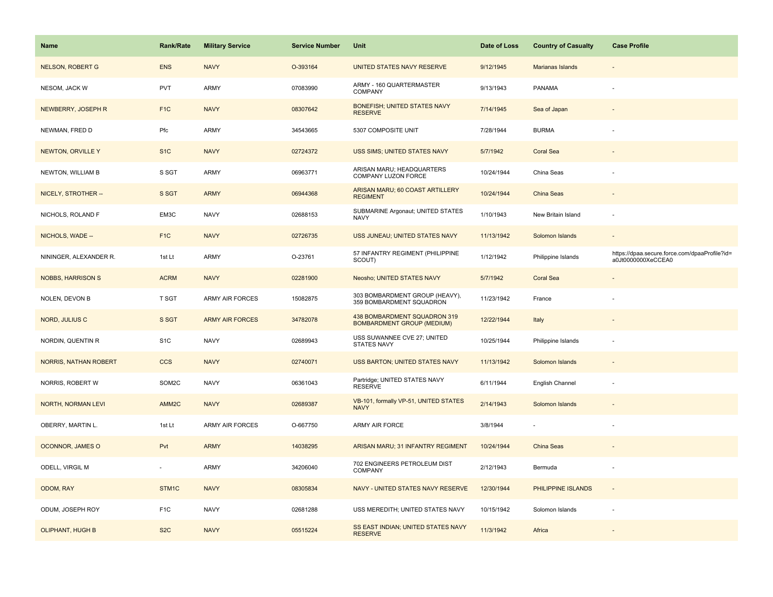| Name                         | Rank/Rate         | <b>Military Service</b> | <b>Service Number</b> | Unit                                                              | Date of Loss | <b>Country of Casualty</b> | <b>Case Profile</b>                                                 |
|------------------------------|-------------------|-------------------------|-----------------------|-------------------------------------------------------------------|--------------|----------------------------|---------------------------------------------------------------------|
| <b>NELSON, ROBERT G</b>      | <b>ENS</b>        | <b>NAVY</b>             | O-393164              | UNITED STATES NAVY RESERVE                                        | 9/12/1945    | Marianas Islands           |                                                                     |
| NESOM, JACK W                | <b>PVT</b>        | <b>ARMY</b>             | 07083990              | ARMY - 160 QUARTERMASTER<br>COMPANY                               | 9/13/1943    | PANAMA                     |                                                                     |
| NEWBERRY, JOSEPH R           | F <sub>1</sub> C  | <b>NAVY</b>             | 08307642              | <b>BONEFISH; UNITED STATES NAVY</b><br><b>RESERVE</b>             | 7/14/1945    | Sea of Japan               |                                                                     |
| NEWMAN, FRED D               | Pfc               | ARMY                    | 34543665              | 5307 COMPOSITE UNIT                                               | 7/28/1944    | <b>BURMA</b>               |                                                                     |
| <b>NEWTON, ORVILLE Y</b>     | S <sub>1</sub> C  | <b>NAVY</b>             | 02724372              | USS SIMS; UNITED STATES NAVY                                      | 5/7/1942     | <b>Coral Sea</b>           |                                                                     |
| NEWTON, WILLIAM B            | S SGT             | <b>ARMY</b>             | 06963771              | ARISAN MARU; HEADQUARTERS<br>COMPANY LUZON FORCE                  | 10/24/1944   | China Seas                 |                                                                     |
| NICELY, STROTHER --          | S SGT             | <b>ARMY</b>             | 06944368              | ARISAN MARU; 60 COAST ARTILLERY<br><b>REGIMENT</b>                | 10/24/1944   | China Seas                 | $\overline{\phantom{a}}$                                            |
| NICHOLS, ROLAND F            | EM3C              | <b>NAVY</b>             | 02688153              | SUBMARINE Argonaut; UNITED STATES<br><b>NAVY</b>                  | 1/10/1943    | New Britain Island         | ÷,                                                                  |
| NICHOLS, WADE --             | F <sub>1</sub> C  | <b>NAVY</b>             | 02726735              | USS JUNEAU; UNITED STATES NAVY                                    | 11/13/1942   | Solomon Islands            |                                                                     |
| NININGER, ALEXANDER R.       | 1st Lt            | ARMY                    | O-23761               | 57 INFANTRY REGIMENT (PHILIPPINE<br>SCOUT)                        | 1/12/1942    | Philippine Islands         | https://dpaa.secure.force.com/dpaaProfile?id=<br>a0Jt0000000XeCCEA0 |
| <b>NOBBS, HARRISON S</b>     | <b>ACRM</b>       | <b>NAVY</b>             | 02281900              | Neosho; UNITED STATES NAVY                                        | 5/7/1942     | <b>Coral Sea</b>           |                                                                     |
| NOLEN, DEVON B               | T SGT             | <b>ARMY AIR FORCES</b>  | 15082875              | 303 BOMBARDMENT GROUP (HEAVY),<br>359 BOMBARDMENT SQUADRON        | 11/23/1942   | France                     |                                                                     |
| NORD, JULIUS C               | S SGT             | <b>ARMY AIR FORCES</b>  | 34782078              | 438 BOMBARDMENT SQUADRON 319<br><b>BOMBARDMENT GROUP (MEDIUM)</b> | 12/22/1944   | Italy                      |                                                                     |
| NORDIN, QUENTIN R            | S <sub>1</sub> C  | <b>NAVY</b>             | 02689943              | USS SUWANNEE CVE 27; UNITED<br><b>STATES NAVY</b>                 | 10/25/1944   | Philippine Islands         |                                                                     |
| <b>NORRIS, NATHAN ROBERT</b> | <b>CCS</b>        | <b>NAVY</b>             | 02740071              | USS BARTON; UNITED STATES NAVY                                    | 11/13/1942   | Solomon Islands            |                                                                     |
| NORRIS, ROBERT W             | SOM2C             | <b>NAVY</b>             | 06361043              | Partridge; UNITED STATES NAVY<br><b>RESERVE</b>                   | 6/11/1944    | English Channel            | ÷                                                                   |
| <b>NORTH, NORMAN LEVI</b>    | AMM <sub>2C</sub> | <b>NAVY</b>             | 02689387              | VB-101, formally VP-51, UNITED STATES<br><b>NAVY</b>              | 2/14/1943    | Solomon Islands            |                                                                     |
| OBERRY, MARTIN L.            | 1st Lt            | ARMY AIR FORCES         | O-667750              | ARMY AIR FORCE                                                    | 3/8/1944     |                            |                                                                     |
| <b>OCONNOR, JAMES O</b>      | Pvt               | <b>ARMY</b>             | 14038295              | ARISAN MARU; 31 INFANTRY REGIMENT                                 | 10/24/1944   | <b>China Seas</b>          |                                                                     |
| ODELL, VIRGIL M              |                   | ARMY                    | 34206040              | 702 ENGINEERS PETROLEUM DIST<br>COMPANY                           | 2/12/1943    | Bermuda                    | ÷,                                                                  |
| ODOM, RAY                    | STM1C             | <b>NAVY</b>             | 08305834              | NAVY - UNITED STATES NAVY RESERVE                                 | 12/30/1944   | PHILIPPINE ISLANDS         | $\sim$                                                              |
| ODUM, JOSEPH ROY             | F <sub>1</sub> C  | <b>NAVY</b>             | 02681288              | USS MEREDITH; UNITED STATES NAVY                                  | 10/15/1942   | Solomon Islands            |                                                                     |
| <b>OLIPHANT, HUGH B</b>      | S <sub>2</sub> C  | <b>NAVY</b>             | 05515224              | SS EAST INDIAN; UNITED STATES NAVY<br><b>RESERVE</b>              | 11/3/1942    | Africa                     |                                                                     |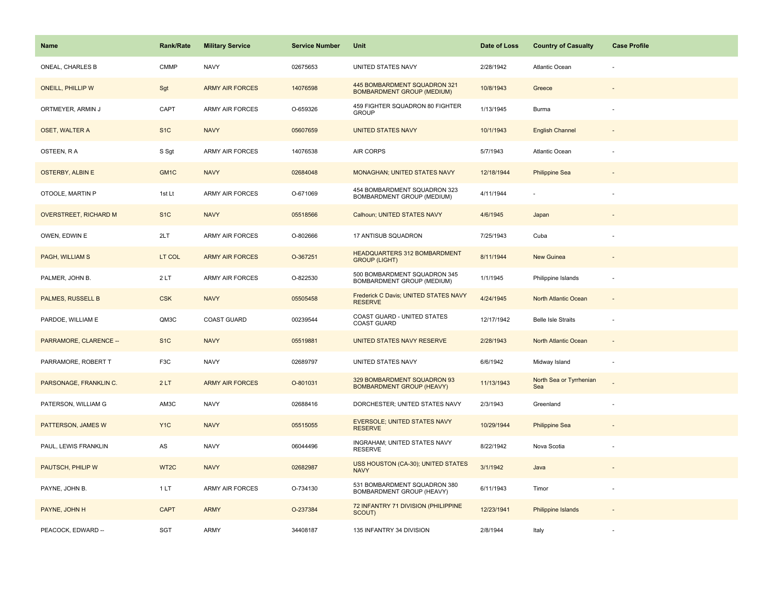| <b>Name</b>                  | Rank/Rate         | <b>Military Service</b> | <b>Service Number</b> | Unit                                                              | Date of Loss | <b>Country of Casualty</b>     | <b>Case Profile</b> |
|------------------------------|-------------------|-------------------------|-----------------------|-------------------------------------------------------------------|--------------|--------------------------------|---------------------|
| ONEAL, CHARLES B             | <b>CMMP</b>       | <b>NAVY</b>             | 02675653              | UNITED STATES NAVY                                                | 2/28/1942    | Atlantic Ocean                 |                     |
| <b>ONEILL, PHILLIP W</b>     | Sgt               | <b>ARMY AIR FORCES</b>  | 14076598              | 445 BOMBARDMENT SQUADRON 321<br><b>BOMBARDMENT GROUP (MEDIUM)</b> | 10/8/1943    | Greece                         |                     |
| ORTMEYER, ARMIN J            | CAPT              | ARMY AIR FORCES         | O-659326              | 459 FIGHTER SQUADRON 80 FIGHTER<br><b>GROUP</b>                   | 1/13/1945    | Burma                          |                     |
| <b>OSET, WALTER A</b>        | S <sub>1</sub> C  | <b>NAVY</b>             | 05607659              | <b>UNITED STATES NAVY</b>                                         | 10/1/1943    | <b>English Channel</b>         |                     |
| OSTEEN, RA                   | S Sgt             | <b>ARMY AIR FORCES</b>  | 14076538              | AIR CORPS                                                         | 5/7/1943     | Atlantic Ocean                 |                     |
| <b>OSTERBY, ALBIN E</b>      | GM <sub>1</sub> C | <b>NAVY</b>             | 02684048              | <b>MONAGHAN; UNITED STATES NAVY</b>                               | 12/18/1944   | <b>Philippine Sea</b>          |                     |
| OTOOLE, MARTIN P             | 1st Lt            | <b>ARMY AIR FORCES</b>  | O-671069              | 454 BOMBARDMENT SQUADRON 323<br>BOMBARDMENT GROUP (MEDIUM)        | 4/11/1944    | $\sim$                         |                     |
| <b>OVERSTREET, RICHARD M</b> | S <sub>1</sub> C  | <b>NAVY</b>             | 05518566              | Calhoun; UNITED STATES NAVY                                       | 4/6/1945     | Japan                          |                     |
| OWEN, EDWIN E                | 2LT               | ARMY AIR FORCES         | O-802666              | 17 ANTISUB SQUADRON                                               | 7/25/1943    | Cuba                           |                     |
| PAGH, WILLIAM S              | LT COL            | <b>ARMY AIR FORCES</b>  | O-367251              | HEADQUARTERS 312 BOMBARDMENT<br><b>GROUP (LIGHT)</b>              | 8/11/1944    | <b>New Guinea</b>              |                     |
| PALMER, JOHN B.              | 2LT               | <b>ARMY AIR FORCES</b>  | O-822530              | 500 BOMBARDMENT SQUADRON 345<br>BOMBARDMENT GROUP (MEDIUM)        | 1/1/1945     | Philippine Islands             |                     |
| PALMES, RUSSELL B            | <b>CSK</b>        | <b>NAVY</b>             | 05505458              | Frederick C Davis; UNITED STATES NAVY<br><b>RESERVE</b>           | 4/24/1945    | North Atlantic Ocean           | $\blacksquare$      |
| PARDOE, WILLIAM E            | QM3C              | <b>COAST GUARD</b>      | 00239544              | COAST GUARD - UNITED STATES<br><b>COAST GUARD</b>                 | 12/17/1942   | <b>Belle Isle Straits</b>      |                     |
| PARRAMORE, CLARENCE --       | S <sub>1</sub> C  | <b>NAVY</b>             | 05519881              | UNITED STATES NAVY RESERVE                                        | 2/28/1943    | North Atlantic Ocean           | $\sim$              |
| PARRAMORE, ROBERT T          | F3C               | <b>NAVY</b>             | 02689797              | UNITED STATES NAVY                                                | 6/6/1942     | Midway Island                  | ÷,                  |
| PARSONAGE, FRANKLIN C.       | 2LT               | <b>ARMY AIR FORCES</b>  | O-801031              | 329 BOMBARDMENT SQUADRON 93<br><b>BOMBARDMENT GROUP (HEAVY)</b>   | 11/13/1943   | North Sea or Tyrrhenian<br>Sea |                     |
| PATERSON, WILLIAM G          | AM3C              | <b>NAVY</b>             | 02688416              | DORCHESTER; UNITED STATES NAVY                                    | 2/3/1943     | Greenland                      |                     |
| PATTERSON, JAMES W           | Y <sub>1</sub> C  | <b>NAVY</b>             | 05515055              | EVERSOLE; UNITED STATES NAVY<br><b>RESERVE</b>                    | 10/29/1944   | <b>Philippine Sea</b>          |                     |
| PAUL, LEWIS FRANKLIN         | AS                | <b>NAVY</b>             | 06044496              | INGRAHAM; UNITED STATES NAVY<br><b>RESERVE</b>                    | 8/22/1942    | Nova Scotia                    |                     |
| PAUTSCH, PHILIP W            | WT2C              | <b>NAVY</b>             | 02682987              | USS HOUSTON (CA-30); UNITED STATES<br><b>NAVY</b>                 | 3/1/1942     | Java                           |                     |
| PAYNE, JOHN B.               | 1LT               | <b>ARMY AIR FORCES</b>  | O-734130              | 531 BOMBARDMENT SQUADRON 380<br>BOMBARDMENT GROUP (HEAVY)         | 6/11/1943    | Timor                          | ÷,                  |
| PAYNE, JOHN H                | <b>CAPT</b>       | <b>ARMY</b>             | O-237384              | 72 INFANTRY 71 DIVISION (PHILIPPINE<br>SCOUT)                     | 12/23/1941   | Philippine Islands             |                     |
| PEACOCK, EDWARD --           | SGT               | ARMY                    | 34408187              | 135 INFANTRY 34 DIVISION                                          | 2/8/1944     | Italy                          |                     |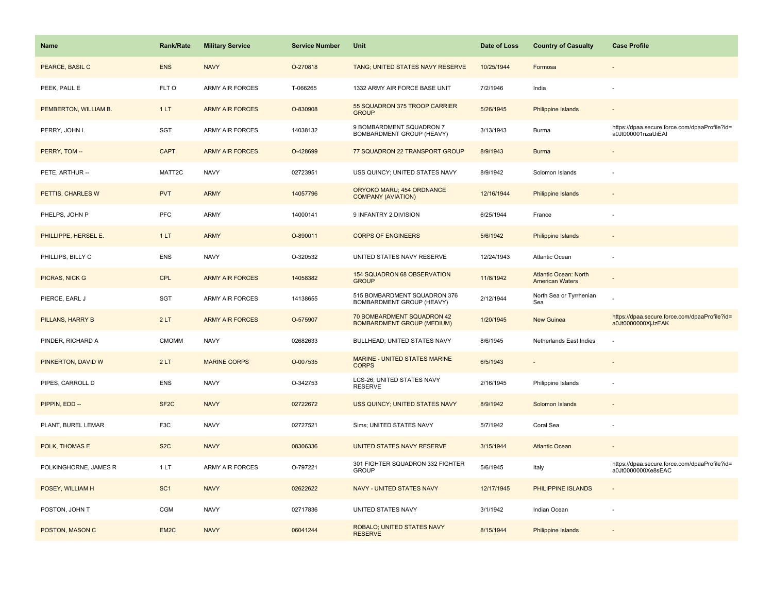| <b>Name</b>           | <b>Rank/Rate</b>  | <b>Military Service</b> | <b>Service Number</b> | Unit                                                            | Date of Loss | <b>Country of Casualty</b>                      | <b>Case Profile</b>                                                 |
|-----------------------|-------------------|-------------------------|-----------------------|-----------------------------------------------------------------|--------------|-------------------------------------------------|---------------------------------------------------------------------|
| PEARCE, BASIL C       | <b>ENS</b>        | <b>NAVY</b>             | O-270818              | TANG; UNITED STATES NAVY RESERVE                                | 10/25/1944   | Formosa                                         |                                                                     |
| PEEK, PAUL E          | FLT O             | <b>ARMY AIR FORCES</b>  | T-066265              | 1332 ARMY AIR FORCE BASE UNIT                                   | 7/2/1946     | India                                           |                                                                     |
| PEMBERTON, WILLIAM B. | 1LT               | <b>ARMY AIR FORCES</b>  | O-830908              | 55 SQUADRON 375 TROOP CARRIER<br><b>GROUP</b>                   | 5/26/1945    | <b>Philippine Islands</b>                       |                                                                     |
| PERRY, JOHN I.        | SGT               | <b>ARMY AIR FORCES</b>  | 14038132              | 9 BOMBARDMENT SQUADRON 7<br>BOMBARDMENT GROUP (HEAVY)           | 3/13/1943    | Burma                                           | https://dpaa.secure.force.com/dpaaProfile?id=<br>a0Jt000001nzaUiEAI |
| PERRY, TOM --         | <b>CAPT</b>       | <b>ARMY AIR FORCES</b>  | O-428699              | 77 SQUADRON 22 TRANSPORT GROUP                                  | 8/9/1943     | <b>Burma</b>                                    |                                                                     |
| PETE, ARTHUR --       | MATT2C            | <b>NAVY</b>             | 02723951              | USS QUINCY; UNITED STATES NAVY                                  | 8/9/1942     | Solomon Islands                                 |                                                                     |
| PETTIS, CHARLES W     | <b>PVT</b>        | <b>ARMY</b>             | 14057796              | ORYOKO MARU; 454 ORDNANCE<br><b>COMPANY (AVIATION)</b>          | 12/16/1944   | Philippine Islands                              |                                                                     |
| PHELPS, JOHN P        | <b>PFC</b>        | ARMY                    | 14000141              | 9 INFANTRY 2 DIVISION                                           | 6/25/1944    | France                                          |                                                                     |
| PHILLIPPE, HERSEL E.  | 1LT               | <b>ARMY</b>             | O-890011              | <b>CORPS OF ENGINEERS</b>                                       | 5/6/1942     | Philippine Islands                              |                                                                     |
| PHILLIPS, BILLY C     | <b>ENS</b>        | <b>NAVY</b>             | O-320532              | UNITED STATES NAVY RESERVE                                      | 12/24/1943   | Atlantic Ocean                                  |                                                                     |
| <b>PICRAS, NICK G</b> | <b>CPL</b>        | <b>ARMY AIR FORCES</b>  | 14058382              | 154 SQUADRON 68 OBSERVATION<br><b>GROUP</b>                     | 11/8/1942    | Atlantic Ocean: North<br><b>American Waters</b> |                                                                     |
| PIERCE, EARL J        | <b>SGT</b>        | ARMY AIR FORCES         | 14138655              | 515 BOMBARDMENT SQUADRON 376<br>BOMBARDMENT GROUP (HEAVY)       | 2/12/1944    | North Sea or Tyrrhenian<br>Sea                  |                                                                     |
| PILLANS, HARRY B      | 2LT               | <b>ARMY AIR FORCES</b>  | O-575907              | 70 BOMBARDMENT SQUADRON 42<br><b>BOMBARDMENT GROUP (MEDIUM)</b> | 1/20/1945    | <b>New Guinea</b>                               | https://dpaa.secure.force.com/dpaaProfile?id=<br>a0Jt0000000XjJzEAK |
| PINDER, RICHARD A     | <b>CMOMM</b>      | <b>NAVY</b>             | 02682633              | BULLHEAD; UNITED STATES NAVY                                    | 8/6/1945     | Netherlands East Indies                         |                                                                     |
| PINKERTON, DAVID W    | 2LT               | <b>MARINE CORPS</b>     | O-007535              | MARINE - UNITED STATES MARINE<br><b>CORPS</b>                   | 6/5/1943     |                                                 |                                                                     |
| PIPES, CARROLL D      | <b>ENS</b>        | <b>NAVY</b>             | O-342753              | LCS-26; UNITED STATES NAVY<br><b>RESERVE</b>                    | 2/16/1945    | Philippine Islands                              |                                                                     |
| PIPPIN, EDD --        | SF <sub>2</sub> C | <b>NAVY</b>             | 02722672              | USS QUINCY; UNITED STATES NAVY                                  | 8/9/1942     | Solomon Islands                                 |                                                                     |
| PLANT, BUREL LEMAR    | F <sub>3</sub> C  | <b>NAVY</b>             | 02727521              | Sims; UNITED STATES NAVY                                        | 5/7/1942     | Coral Sea                                       |                                                                     |
| POLK, THOMAS E        | S <sub>2</sub> C  | <b>NAVY</b>             | 08306336              | UNITED STATES NAVY RESERVE                                      | 3/15/1944    | <b>Atlantic Ocean</b>                           |                                                                     |
| POLKINGHORNE, JAMES R | 1LT               | <b>ARMY AIR FORCES</b>  | O-797221              | 301 FIGHTER SQUADRON 332 FIGHTER<br><b>GROUP</b>                | 5/6/1945     | Italy                                           | https://dpaa.secure.force.com/dpaaProfile?id=<br>a0Jt0000000Xe8sEAC |
| POSEY, WILLIAM H      | SC <sub>1</sub>   | <b>NAVY</b>             | 02622622              | <b>NAVY - UNITED STATES NAVY</b>                                | 12/17/1945   | PHILIPPINE ISLANDS                              |                                                                     |
| POSTON, JOHN T        | CGM               | <b>NAVY</b>             | 02717836              | UNITED STATES NAVY                                              | 3/1/1942     | Indian Ocean                                    |                                                                     |
| POSTON, MASON C       | EM <sub>2</sub> C | <b>NAVY</b>             | 06041244              | ROBALO; UNITED STATES NAVY<br><b>RESERVE</b>                    | 8/15/1944    | Philippine Islands                              |                                                                     |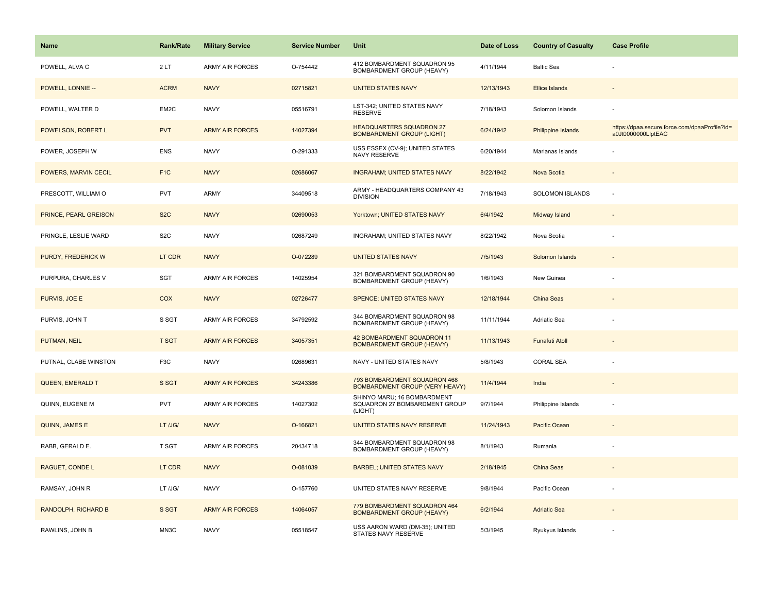| Name                    | <b>Rank/Rate</b> | <b>Military Service</b> | <b>Service Number</b> | Unit                                                                    | Date of Loss | <b>Country of Casualty</b> | <b>Case Profile</b>                                                 |
|-------------------------|------------------|-------------------------|-----------------------|-------------------------------------------------------------------------|--------------|----------------------------|---------------------------------------------------------------------|
| POWELL, ALVA C          | 2LT              | <b>ARMY AIR FORCES</b>  | O-754442              | 412 BOMBARDMENT SQUADRON 95<br>BOMBARDMENT GROUP (HEAVY)                | 4/11/1944    | <b>Baltic Sea</b>          |                                                                     |
| POWELL, LONNIE --       | <b>ACRM</b>      | <b>NAVY</b>             | 02715821              | <b>UNITED STATES NAVY</b>                                               | 12/13/1943   | <b>Ellice Islands</b>      |                                                                     |
| POWELL, WALTER D        | EM2C             | <b>NAVY</b>             | 05516791              | LST-342; UNITED STATES NAVY<br><b>RESERVE</b>                           | 7/18/1943    | Solomon Islands            |                                                                     |
| POWELSON, ROBERT L      | <b>PVT</b>       | <b>ARMY AIR FORCES</b>  | 14027394              | <b>HEADQUARTERS SQUADRON 27</b><br><b>BOMBARDMENT GROUP (LIGHT)</b>     | 6/24/1942    | Philippine Islands         | https://dpaa.secure.force.com/dpaaProfile?id=<br>a0Jt0000000LlptEAC |
| POWER, JOSEPH W         | <b>ENS</b>       | <b>NAVY</b>             | O-291333              | USS ESSEX (CV-9); UNITED STATES<br><b>NAVY RESERVE</b>                  | 6/20/1944    | Marianas Islands           |                                                                     |
| POWERS, MARVIN CECIL    | F <sub>1</sub> C | <b>NAVY</b>             | 02686067              | <b>INGRAHAM; UNITED STATES NAVY</b>                                     | 8/22/1942    | Nova Scotia                |                                                                     |
| PRESCOTT, WILLIAM O     | PVT              | ARMY                    | 34409518              | ARMY - HEADQUARTERS COMPANY 43<br><b>DIVISION</b>                       | 7/18/1943    | SOLOMON ISLANDS            | ÷,                                                                  |
| PRINCE, PEARL GREISON   | S <sub>2</sub> C | <b>NAVY</b>             | 02690053              | Yorktown; UNITED STATES NAVY                                            | 6/4/1942     | Midway Island              |                                                                     |
| PRINGLE, LESLIE WARD    | S <sub>2</sub> C | <b>NAVY</b>             | 02687249              | INGRAHAM; UNITED STATES NAVY                                            | 8/22/1942    | Nova Scotia                |                                                                     |
| PURDY, FREDERICK W      | LT CDR           | <b>NAVY</b>             | O-072289              | <b>UNITED STATES NAVY</b>                                               | 7/5/1943     | Solomon Islands            |                                                                     |
| PURPURA, CHARLES V      | SGT              | ARMY AIR FORCES         | 14025954              | 321 BOMBARDMENT SQUADRON 90<br>BOMBARDMENT GROUP (HEAVY)                | 1/6/1943     | New Guinea                 |                                                                     |
| PURVIS, JOE E           | COX              | <b>NAVY</b>             | 02726477              | SPENCE; UNITED STATES NAVY                                              | 12/18/1944   | China Seas                 | $\overline{\phantom{a}}$                                            |
| PURVIS, JOHN T          | S SGT            | ARMY AIR FORCES         | 34792592              | 344 BOMBARDMENT SQUADRON 98<br>BOMBARDMENT GROUP (HEAVY)                | 11/11/1944   | Adriatic Sea               |                                                                     |
| PUTMAN, NEIL            | <b>T SGT</b>     | <b>ARMY AIR FORCES</b>  | 34057351              | 42 BOMBARDMENT SQUADRON 11<br><b>BOMBARDMENT GROUP (HEAVY)</b>          | 11/13/1943   | <b>Funafuti Atoll</b>      |                                                                     |
| PUTNAL, CLABE WINSTON   | F3C              | <b>NAVY</b>             | 02689631              | NAVY - UNITED STATES NAVY                                               | 5/8/1943     | <b>CORAL SEA</b>           |                                                                     |
| <b>QUEEN, EMERALD T</b> | S SGT            | <b>ARMY AIR FORCES</b>  | 34243386              | 793 BOMBARDMENT SQUADRON 468<br><b>BOMBARDMENT GROUP (VERY HEAVY)</b>   | 11/4/1944    | India                      |                                                                     |
| QUINN, EUGENE M         | <b>PVT</b>       | ARMY AIR FORCES         | 14027302              | SHINYO MARU; 16 BOMBARDMENT<br>SQUADRON 27 BOMBARDMENT GROUP<br>(LIGHT) | 9/7/1944     | Philippine Islands         |                                                                     |
| <b>QUINN, JAMES E</b>   | LT /JG/          | <b>NAVY</b>             | O-166821              | UNITED STATES NAVY RESERVE                                              | 11/24/1943   | Pacific Ocean              |                                                                     |
| RABB, GERALD E.         | T SGT            | ARMY AIR FORCES         | 20434718              | 344 BOMBARDMENT SQUADRON 98<br>BOMBARDMENT GROUP (HEAVY)                | 8/1/1943     | Rumania                    |                                                                     |
| RAGUET, CONDE L         | LT CDR           | <b>NAVY</b>             | O-081039              | <b>BARBEL; UNITED STATES NAVY</b>                                       | 2/18/1945    | China Seas                 |                                                                     |
| RAMSAY, JOHN R          | LT /JG/          | <b>NAVY</b>             | O-157760              | UNITED STATES NAVY RESERVE                                              | 9/8/1944     | Pacific Ocean              |                                                                     |
| RANDOLPH, RICHARD B     | S SGT            | <b>ARMY AIR FORCES</b>  | 14064057              | 779 BOMBARDMENT SQUADRON 464<br><b>BOMBARDMENT GROUP (HEAVY)</b>        | 6/2/1944     | <b>Adriatic Sea</b>        |                                                                     |
| RAWLINS, JOHN B         | MN3C             | <b>NAVY</b>             | 05518547              | USS AARON WARD (DM-35); UNITED<br>STATES NAVY RESERVE                   | 5/3/1945     | Ryukyus Islands            |                                                                     |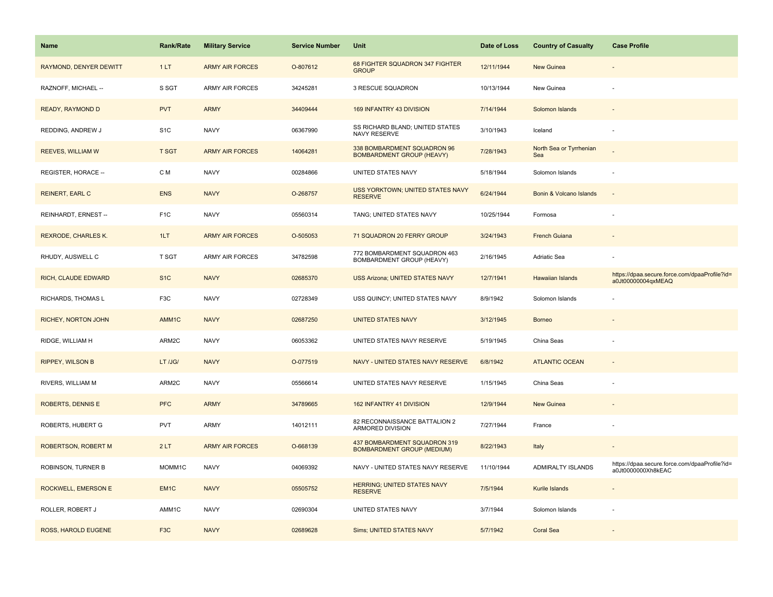| <b>Name</b>                | <b>Rank/Rate</b> | <b>Military Service</b> | <b>Service Number</b> | Unit                                                              | Date of Loss | <b>Country of Casualty</b>     | <b>Case Profile</b>                                                 |
|----------------------------|------------------|-------------------------|-----------------------|-------------------------------------------------------------------|--------------|--------------------------------|---------------------------------------------------------------------|
| RAYMOND, DENYER DEWITT     | 1LT              | <b>ARMY AIR FORCES</b>  | O-807612              | 68 FIGHTER SQUADRON 347 FIGHTER<br><b>GROUP</b>                   | 12/11/1944   | New Guinea                     |                                                                     |
| RAZNOFF, MICHAEL --        | S SGT            | <b>ARMY AIR FORCES</b>  | 34245281              | 3 RESCUE SQUADRON                                                 | 10/13/1944   | New Guinea                     |                                                                     |
| <b>READY, RAYMOND D</b>    | <b>PVT</b>       | <b>ARMY</b>             | 34409444              | 169 INFANTRY 43 DIVISION                                          | 7/14/1944    | Solomon Islands                |                                                                     |
| REDDING, ANDREW J          | S <sub>1</sub> C | <b>NAVY</b>             | 06367990              | SS RICHARD BLAND; UNITED STATES<br>NAVY RESERVE                   | 3/10/1943    | Iceland                        |                                                                     |
| <b>REEVES, WILLIAM W</b>   | <b>T SGT</b>     | <b>ARMY AIR FORCES</b>  | 14064281              | 338 BOMBARDMENT SQUADRON 96<br><b>BOMBARDMENT GROUP (HEAVY)</b>   | 7/28/1943    | North Sea or Tyrrhenian<br>Sea |                                                                     |
| REGISTER, HORACE --        | C M              | <b>NAVY</b>             | 00284866              | UNITED STATES NAVY                                                | 5/18/1944    | Solomon Islands                |                                                                     |
| <b>REINERT, EARL C</b>     | <b>ENS</b>       | <b>NAVY</b>             | O-268757              | <b>USS YORKTOWN; UNITED STATES NAVY</b><br><b>RESERVE</b>         | 6/24/1944    | Bonin & Volcano Islands        | $\sim$                                                              |
| REINHARDT, ERNEST --       | F <sub>1</sub> C | <b>NAVY</b>             | 05560314              | TANG; UNITED STATES NAVY                                          | 10/25/1944   | Formosa                        |                                                                     |
| REXRODE, CHARLES K.        | 1LT              | <b>ARMY AIR FORCES</b>  | O-505053              | 71 SQUADRON 20 FERRY GROUP                                        | 3/24/1943    | <b>French Guiana</b>           |                                                                     |
| RHUDY, AUSWELL C           | T SGT            | <b>ARMY AIR FORCES</b>  | 34782598              | 772 BOMBARDMENT SQUADRON 463<br>BOMBARDMENT GROUP (HEAVY)         | 2/16/1945    | Adriatic Sea                   |                                                                     |
| <b>RICH, CLAUDE EDWARD</b> | S <sub>1</sub> C | <b>NAVY</b>             | 02685370              | <b>USS Arizona; UNITED STATES NAVY</b>                            | 12/7/1941    | <b>Hawaiian Islands</b>        | https://dpaa.secure.force.com/dpaaProfile?id=<br>a0Jt00000004qxMEAQ |
| RICHARDS, THOMAS L         | F <sub>3</sub> C | <b>NAVY</b>             | 02728349              | USS QUINCY; UNITED STATES NAVY                                    | 8/9/1942     | Solomon Islands                |                                                                     |
| RICHEY, NORTON JOHN        | AMM1C            | <b>NAVY</b>             | 02687250              | <b>UNITED STATES NAVY</b>                                         | 3/12/1945    | <b>Borneo</b>                  |                                                                     |
| RIDGE, WILLIAM H           | ARM2C            | <b>NAVY</b>             | 06053362              | UNITED STATES NAVY RESERVE                                        | 5/19/1945    | China Seas                     |                                                                     |
| <b>RIPPEY, WILSON B</b>    | LT /JG/          | <b>NAVY</b>             | O-077519              | NAVY - UNITED STATES NAVY RESERVE                                 | 6/8/1942     | <b>ATLANTIC OCEAN</b>          |                                                                     |
| RIVERS, WILLIAM M          | ARM2C            | <b>NAVY</b>             | 05566614              | UNITED STATES NAVY RESERVE                                        | 1/15/1945    | China Seas                     |                                                                     |
| <b>ROBERTS, DENNIS E</b>   | <b>PFC</b>       | <b>ARMY</b>             | 34789665              | 162 INFANTRY 41 DIVISION                                          | 12/9/1944    | <b>New Guinea</b>              |                                                                     |
| ROBERTS, HUBERT G          | <b>PVT</b>       | ARMY                    | 14012111              | 82 RECONNAISSANCE BATTALION 2<br>ARMORED DIVISION                 | 7/27/1944    | France                         |                                                                     |
| <b>ROBERTSON, ROBERT M</b> | 2LT              | <b>ARMY AIR FORCES</b>  | O-668139              | 437 BOMBARDMENT SQUADRON 319<br><b>BOMBARDMENT GROUP (MEDIUM)</b> | 8/22/1943    | Italy                          |                                                                     |
| ROBINSON, TURNER B         | MOMM1C           | <b>NAVY</b>             | 04069392              | NAVY - UNITED STATES NAVY RESERVE                                 | 11/10/1944   | ADMIRALTY ISLANDS              | https://dpaa.secure.force.com/dpaaProfile?id=<br>a0Jt0000000Xh8kEAC |
| ROCKWELL, EMERSON E        | EM <sub>1C</sub> | <b>NAVY</b>             | 05505752              | <b>HERRING; UNITED STATES NAVY</b><br><b>RESERVE</b>              | 7/5/1944     | Kurile Islands                 |                                                                     |
| ROLLER, ROBERT J           | AMM1C            | <b>NAVY</b>             | 02690304              | UNITED STATES NAVY                                                | 3/7/1944     | Solomon Islands                |                                                                     |
| ROSS, HAROLD EUGENE        | F <sub>3</sub> C | <b>NAVY</b>             | 02689628              | <b>Sims; UNITED STATES NAVY</b>                                   | 5/7/1942     | <b>Coral Sea</b>               |                                                                     |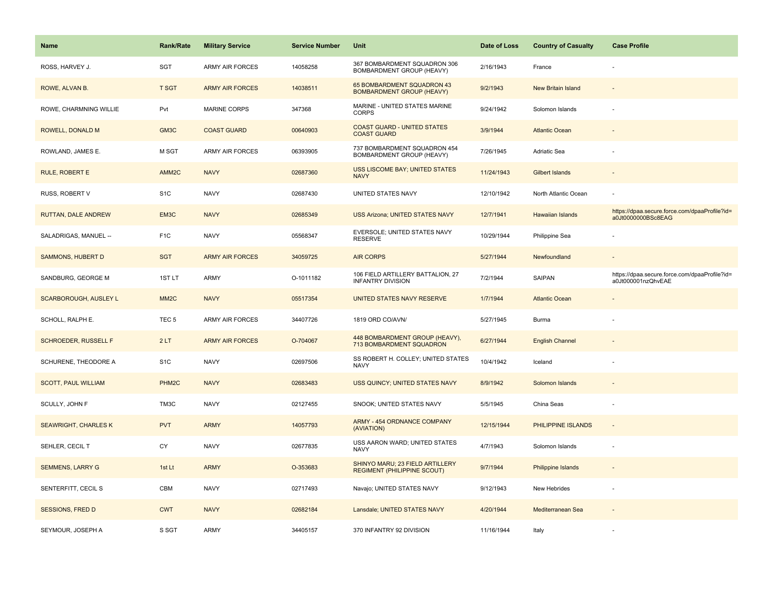| <b>Name</b>                  | Rank/Rate         | <b>Military Service</b> | <b>Service Number</b> | Unit                                                                  | Date of Loss | <b>Country of Casualty</b> | <b>Case Profile</b>                                                 |
|------------------------------|-------------------|-------------------------|-----------------------|-----------------------------------------------------------------------|--------------|----------------------------|---------------------------------------------------------------------|
| ROSS, HARVEY J.              | SGT               | <b>ARMY AIR FORCES</b>  | 14058258              | 367 BOMBARDMENT SQUADRON 306<br>BOMBARDMENT GROUP (HEAVY)             | 2/16/1943    | France                     |                                                                     |
| ROWE, ALVAN B.               | <b>T SGT</b>      | <b>ARMY AIR FORCES</b>  | 14038511              | 65 BOMBARDMENT SQUADRON 43<br><b>BOMBARDMENT GROUP (HEAVY)</b>        | 9/2/1943     | <b>New Britain Island</b>  |                                                                     |
| ROWE, CHARMNING WILLIE       | Pvt               | <b>MARINE CORPS</b>     | 347368                | MARINE - UNITED STATES MARINE<br><b>CORPS</b>                         | 9/24/1942    | Solomon Islands            |                                                                     |
| ROWELL, DONALD M             | GM3C              | <b>COAST GUARD</b>      | 00640903              | <b>COAST GUARD - UNITED STATES</b><br><b>COAST GUARD</b>              | 3/9/1944     | <b>Atlantic Ocean</b>      |                                                                     |
| ROWLAND, JAMES E.            | M SGT             | <b>ARMY AIR FORCES</b>  | 06393905              | 737 BOMBARDMENT SQUADRON 454<br>BOMBARDMENT GROUP (HEAVY)             | 7/26/1945    | Adriatic Sea               |                                                                     |
| <b>RULE, ROBERT E</b>        | AMM <sub>2C</sub> | <b>NAVY</b>             | 02687360              | USS LISCOME BAY; UNITED STATES<br><b>NAVY</b>                         | 11/24/1943   | Gilbert Islands            |                                                                     |
| RUSS, ROBERT V               | S <sub>1</sub> C  | <b>NAVY</b>             | 02687430              | UNITED STATES NAVY                                                    | 12/10/1942   | North Atlantic Ocean       |                                                                     |
| <b>RUTTAN, DALE ANDREW</b>   | EM3C              | <b>NAVY</b>             | 02685349              | <b>USS Arizona; UNITED STATES NAVY</b>                                | 12/7/1941    | <b>Hawaiian Islands</b>    | https://dpaa.secure.force.com/dpaaProfile?id=<br>a0Jt0000000BSc8EAG |
| SALADRIGAS, MANUEL --        | F <sub>1</sub> C  | <b>NAVY</b>             | 05568347              | EVERSOLE; UNITED STATES NAVY<br><b>RESERVE</b>                        | 10/29/1944   | Philippine Sea             |                                                                     |
| <b>SAMMONS, HUBERT D</b>     | <b>SGT</b>        | <b>ARMY AIR FORCES</b>  | 34059725              | <b>AIR CORPS</b>                                                      | 5/27/1944    | Newfoundland               |                                                                     |
| SANDBURG, GEORGE M           | 1ST LT            | <b>ARMY</b>             | O-1011182             | 106 FIELD ARTILLERY BATTALION, 27<br><b>INFANTRY DIVISION</b>         | 7/2/1944     | SAIPAN                     | https://dpaa.secure.force.com/dpaaProfile?id=<br>a0Jt000001nzQhvEAE |
| <b>SCARBOROUGH, AUSLEY L</b> | MM <sub>2</sub> C | <b>NAVY</b>             | 05517354              | UNITED STATES NAVY RESERVE                                            | 1/7/1944     | <b>Atlantic Ocean</b>      |                                                                     |
| SCHOLL, RALPH E.             | TEC <sub>5</sub>  | <b>ARMY AIR FORCES</b>  | 34407726              | 1819 ORD CO/AVN/                                                      | 5/27/1945    | Burma                      |                                                                     |
| <b>SCHROEDER, RUSSELL F</b>  | 2LT               | <b>ARMY AIR FORCES</b>  | O-704067              | 448 BOMBARDMENT GROUP (HEAVY),<br>713 BOMBARDMENT SQUADRON            | 6/27/1944    | <b>English Channel</b>     |                                                                     |
| SCHURENE, THEODORE A         | S <sub>1</sub> C  | <b>NAVY</b>             | 02697506              | SS ROBERT H. COLLEY; UNITED STATES<br><b>NAVY</b>                     | 10/4/1942    | Iceland                    |                                                                     |
| <b>SCOTT, PAUL WILLIAM</b>   | PHM <sub>2C</sub> | <b>NAVY</b>             | 02683483              | USS QUINCY; UNITED STATES NAVY                                        | 8/9/1942     | Solomon Islands            |                                                                     |
| SCULLY, JOHN F               | TM3C              | <b>NAVY</b>             | 02127455              | SNOOK; UNITED STATES NAVY                                             | 5/5/1945     | China Seas                 |                                                                     |
| <b>SEAWRIGHT, CHARLES K</b>  | <b>PVT</b>        | <b>ARMY</b>             | 14057793              | ARMY - 454 ORDNANCE COMPANY<br>(AVIATION)                             | 12/15/1944   | PHILIPPINE ISLANDS         | $\sim$                                                              |
| SEHLER, CECIL T              | CY                | <b>NAVY</b>             | 02677835              | USS AARON WARD; UNITED STATES<br><b>NAVY</b>                          | 4/7/1943     | Solomon Islands            | ÷.                                                                  |
| <b>SEMMENS, LARRY G</b>      | 1st Lt            | <b>ARMY</b>             | O-353683              | SHINYO MARU; 23 FIELD ARTILLERY<br><b>REGIMENT (PHILIPPINE SCOUT)</b> | 9/7/1944     | <b>Philippine Islands</b>  |                                                                     |
| SENTERFITT, CECIL S          | CBM               | <b>NAVY</b>             | 02717493              | Navajo; UNITED STATES NAVY                                            | 9/12/1943    | New Hebrides               |                                                                     |
| <b>SESSIONS, FRED D</b>      | <b>CWT</b>        | <b>NAVY</b>             | 02682184              | Lansdale; UNITED STATES NAVY                                          | 4/20/1944    | Mediterranean Sea          |                                                                     |
| SEYMOUR, JOSEPH A            | S SGT             | ARMY                    | 34405157              | 370 INFANTRY 92 DIVISION                                              | 11/16/1944   | Italy                      |                                                                     |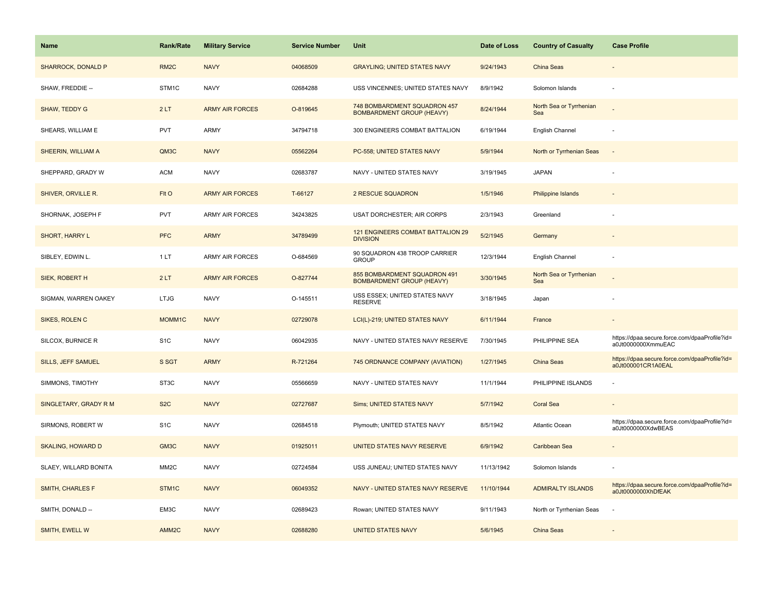| <b>Name</b>               | <b>Rank/Rate</b>  | <b>Military Service</b> | <b>Service Number</b> | Unit                                                             | Date of Loss | <b>Country of Casualty</b>     | <b>Case Profile</b>                                                 |
|---------------------------|-------------------|-------------------------|-----------------------|------------------------------------------------------------------|--------------|--------------------------------|---------------------------------------------------------------------|
| <b>SHARROCK, DONALD P</b> | RM <sub>2</sub> C | <b>NAVY</b>             | 04068509              | <b>GRAYLING; UNITED STATES NAVY</b>                              | 9/24/1943    | China Seas                     |                                                                     |
| SHAW, FREDDIE --          | STM1C             | <b>NAVY</b>             | 02684288              | USS VINCENNES; UNITED STATES NAVY                                | 8/9/1942     | Solomon Islands                |                                                                     |
| SHAW, TEDDY G             | 2LT               | <b>ARMY AIR FORCES</b>  | O-819645              | 748 BOMBARDMENT SQUADRON 457<br><b>BOMBARDMENT GROUP (HEAVY)</b> | 8/24/1944    | North Sea or Tyrrhenian<br>Sea |                                                                     |
| SHEARS, WILLIAM E         | <b>PVT</b>        | ARMY                    | 34794718              | 300 ENGINEERS COMBAT BATTALION                                   | 6/19/1944    | English Channel                |                                                                     |
| SHEERIN, WILLIAM A        | QM3C              | <b>NAVY</b>             | 05562264              | PC-558; UNITED STATES NAVY                                       | 5/9/1944     | North or Tyrrhenian Seas       |                                                                     |
| SHEPPARD, GRADY W         | <b>ACM</b>        | <b>NAVY</b>             | 02683787              | NAVY - UNITED STATES NAVY                                        | 3/19/1945    | <b>JAPAN</b>                   |                                                                     |
| SHIVER, ORVILLE R.        | FIt O             | <b>ARMY AIR FORCES</b>  | T-66127               | 2 RESCUE SQUADRON                                                | 1/5/1946     | <b>Philippine Islands</b>      |                                                                     |
| SHORNAK, JOSEPH F         | <b>PVT</b>        | <b>ARMY AIR FORCES</b>  | 34243825              | USAT DORCHESTER; AIR CORPS                                       | 2/3/1943     | Greenland                      |                                                                     |
| SHORT, HARRY L            | <b>PFC</b>        | <b>ARMY</b>             | 34789499              | <b>121 ENGINEERS COMBAT BATTALION 29</b><br><b>DIVISION</b>      | 5/2/1945     | Germany                        |                                                                     |
| SIBLEY, EDWIN L.          | 1LT               | ARMY AIR FORCES         | O-684569              | 90 SQUADRON 438 TROOP CARRIER<br><b>GROUP</b>                    | 12/3/1944    | English Channel                |                                                                     |
| <b>SIEK, ROBERT H</b>     | 2LT               | <b>ARMY AIR FORCES</b>  | O-827744              | 855 BOMBARDMENT SQUADRON 491<br><b>BOMBARDMENT GROUP (HEAVY)</b> | 3/30/1945    | North Sea or Tyrrhenian<br>Sea |                                                                     |
| SIGMAN, WARREN OAKEY      | <b>LTJG</b>       | <b>NAVY</b>             | O-145511              | USS ESSEX; UNITED STATES NAVY<br><b>RESERVE</b>                  | 3/18/1945    | Japan                          |                                                                     |
| SIKES, ROLEN C            | MOMM1C            | <b>NAVY</b>             | 02729078              | LCI(L)-219; UNITED STATES NAVY                                   | 6/11/1944    | France                         |                                                                     |
| SILCOX, BURNICE R         | S <sub>1</sub> C  | <b>NAVY</b>             | 06042935              | NAVY - UNITED STATES NAVY RESERVE                                | 7/30/1945    | PHILIPPINE SEA                 | https://dpaa.secure.force.com/dpaaProfile?id=<br>a0Jt0000000XmmuEAC |
| SILLS, JEFF SAMUEL        | S SGT             | <b>ARMY</b>             | R-721264              | 745 ORDNANCE COMPANY (AVIATION)                                  | 1/27/1945    | China Seas                     | https://dpaa.secure.force.com/dpaaProfile?id=<br>a0Jt000001CR1A0EAL |
| SIMMONS, TIMOTHY          | ST3C              | <b>NAVY</b>             | 05566659              | NAVY - UNITED STATES NAVY                                        | 11/1/1944    | PHILIPPINE ISLANDS             |                                                                     |
| SINGLETARY, GRADY R M     | S <sub>2</sub> C  | <b>NAVY</b>             | 02727687              | <b>Sims; UNITED STATES NAVY</b>                                  | 5/7/1942     | <b>Coral Sea</b>               |                                                                     |
| SIRMONS, ROBERT W         | S <sub>1</sub> C  | <b>NAVY</b>             | 02684518              | Plymouth; UNITED STATES NAVY                                     | 8/5/1942     | Atlantic Ocean                 | https://dpaa.secure.force.com/dpaaProfile?id=<br>a0Jt0000000XdwBEAS |
| <b>SKALING, HOWARD D</b>  | GM3C              | <b>NAVY</b>             | 01925011              | UNITED STATES NAVY RESERVE                                       | 6/9/1942     | Caribbean Sea                  |                                                                     |
| SLAEY, WILLARD BONITA     | MM <sub>2</sub> C | <b>NAVY</b>             | 02724584              | USS JUNEAU; UNITED STATES NAVY                                   | 11/13/1942   | Solomon Islands                |                                                                     |
| <b>SMITH, CHARLES F</b>   | STM1C             | <b>NAVY</b>             | 06049352              | NAVY - UNITED STATES NAVY RESERVE                                | 11/10/1944   | <b>ADMIRALTY ISLANDS</b>       | https://dpaa.secure.force.com/dpaaProfile?id=<br>a0Jt0000000XhDfEAK |
| SMITH, DONALD --          | EM3C              | <b>NAVY</b>             | 02689423              | Rowan; UNITED STATES NAVY                                        | 9/11/1943    | North or Tyrrhenian Seas       |                                                                     |
| SMITH, EWELL W            | AMM <sub>2C</sub> | <b>NAVY</b>             | 02688280              | <b>UNITED STATES NAVY</b>                                        | 5/6/1945     | China Seas                     |                                                                     |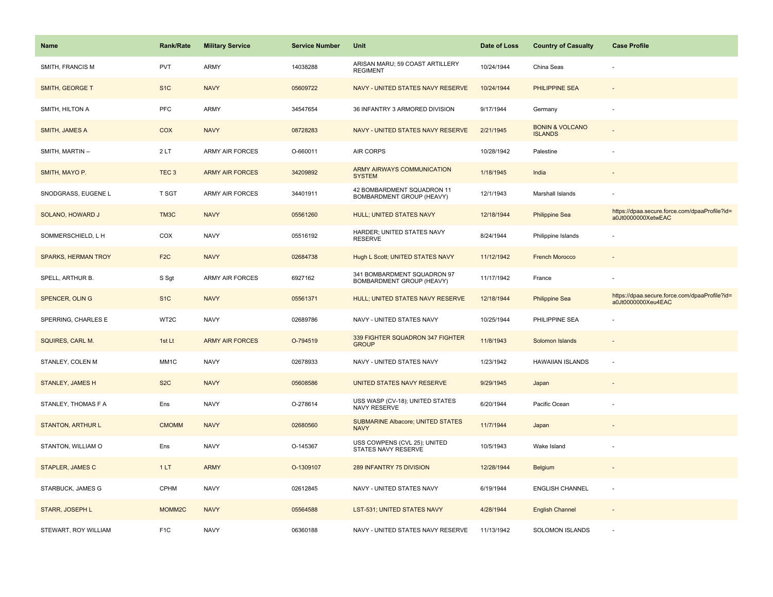| <b>Name</b>                | <b>Rank/Rate</b>   | <b>Military Service</b> | <b>Service Number</b> | Unit                                                     | Date of Loss | <b>Country of Casualty</b>                   | <b>Case Profile</b>                                                 |
|----------------------------|--------------------|-------------------------|-----------------------|----------------------------------------------------------|--------------|----------------------------------------------|---------------------------------------------------------------------|
| SMITH, FRANCIS M           | <b>PVT</b>         | ARMY                    | 14038288              | ARISAN MARU; 59 COAST ARTILLERY<br><b>REGIMENT</b>       | 10/24/1944   | China Seas                                   |                                                                     |
| SMITH, GEORGE T            | S <sub>1</sub> C   | <b>NAVY</b>             | 05609722              | NAVY - UNITED STATES NAVY RESERVE                        | 10/24/1944   | <b>PHILIPPINE SEA</b>                        |                                                                     |
| SMITH, HILTON A            | <b>PFC</b>         | ARMY                    | 34547654              | 36 INFANTRY 3 ARMORED DIVISION                           | 9/17/1944    | Germany                                      |                                                                     |
| <b>SMITH, JAMES A</b>      | COX                | <b>NAVY</b>             | 08728283              | NAVY - UNITED STATES NAVY RESERVE                        | 2/21/1945    | <b>BONIN &amp; VOLCANO</b><br><b>ISLANDS</b> |                                                                     |
| SMITH, MARTIN --           | 2LT                | <b>ARMY AIR FORCES</b>  | O-660011              | <b>AIR CORPS</b>                                         | 10/28/1942   | Palestine                                    |                                                                     |
| SMITH, MAYO P.             | TEC <sub>3</sub>   | <b>ARMY AIR FORCES</b>  | 34209892              | ARMY AIRWAYS COMMUNICATION<br><b>SYSTEM</b>              | 1/18/1945    | India                                        |                                                                     |
| SNODGRASS, EUGENE L        | T SGT              | <b>ARMY AIR FORCES</b>  | 34401911              | 42 BOMBARDMENT SQUADRON 11<br>BOMBARDMENT GROUP (HEAVY)  | 12/1/1943    | Marshall Islands                             |                                                                     |
| SOLANO, HOWARD J           | TM3C               | <b>NAVY</b>             | 05561260              | <b>HULL; UNITED STATES NAVY</b>                          | 12/18/1944   | <b>Philippine Sea</b>                        | https://dpaa.secure.force.com/dpaaProfile?id=<br>a0Jt0000000XetwEAC |
| SOMMERSCHIELD, L H         | COX                | <b>NAVY</b>             | 05516192              | HARDER; UNITED STATES NAVY<br><b>RESERVE</b>             | 8/24/1944    | Philippine Islands                           |                                                                     |
| <b>SPARKS, HERMAN TROY</b> | F <sub>2</sub> C   | <b>NAVY</b>             | 02684738              | Hugh L Scott; UNITED STATES NAVY                         | 11/12/1942   | <b>French Morocco</b>                        |                                                                     |
| SPELL, ARTHUR B.           | S Sgt              | <b>ARMY AIR FORCES</b>  | 6927162               | 341 BOMBARDMENT SQUADRON 97<br>BOMBARDMENT GROUP (HEAVY) | 11/17/1942   | France                                       |                                                                     |
| SPENCER, OLIN G            | S <sub>1C</sub>    | <b>NAVY</b>             | 05561371              | HULL; UNITED STATES NAVY RESERVE                         | 12/18/1944   | <b>Philippine Sea</b>                        | https://dpaa.secure.force.com/dpaaProfile?id=<br>a0Jt0000000Xeu4EAC |
| SPERRING, CHARLES E        | WT2C               | <b>NAVY</b>             | 02689786              | NAVY - UNITED STATES NAVY                                | 10/25/1944   | PHILIPPINE SEA                               |                                                                     |
| SQUIRES, CARL M.           | 1st Lt             | <b>ARMY AIR FORCES</b>  | O-794519              | 339 FIGHTER SQUADRON 347 FIGHTER<br><b>GROUP</b>         | 11/8/1943    | Solomon Islands                              |                                                                     |
| STANLEY, COLEN M           | MM1C               | <b>NAVY</b>             | 02678933              | NAVY - UNITED STATES NAVY                                | 1/23/1942    | <b>HAWAIIAN ISLANDS</b>                      | $\overline{a}$                                                      |
| STANLEY, JAMES H           | S <sub>2</sub> C   | <b>NAVY</b>             | 05608586              | UNITED STATES NAVY RESERVE                               | 9/29/1945    | Japan                                        |                                                                     |
| STANLEY, THOMAS F A        | Ens                | <b>NAVY</b>             | O-278614              | USS WASP (CV-18); UNITED STATES<br>NAVY RESERVE          | 6/20/1944    | Pacific Ocean                                |                                                                     |
| <b>STANTON, ARTHUR L</b>   | <b>CMOMM</b>       | <b>NAVY</b>             | 02680560              | <b>SUBMARINE Albacore; UNITED STATES</b><br><b>NAVY</b>  | 11/7/1944    | Japan                                        |                                                                     |
| STANTON, WILLIAM O         | Ens                | <b>NAVY</b>             | O-145367              | USS COWPENS (CVL 25); UNITED<br>STATES NAVY RESERVE      | 10/5/1943    | Wake Island                                  |                                                                     |
| <b>STAPLER, JAMES C</b>    | 1LT                | <b>ARMY</b>             | O-1309107             | 289 INFANTRY 75 DIVISION                                 | 12/28/1944   | <b>Belgium</b>                               |                                                                     |
| STARBUCK, JAMES G          | CPHM               | <b>NAVY</b>             | 02612845              | NAVY - UNITED STATES NAVY                                | 6/19/1944    | <b>ENGLISH CHANNEL</b>                       |                                                                     |
| STARR, JOSEPH L            | MOMM <sub>2C</sub> | <b>NAVY</b>             | 05564588              | LST-531; UNITED STATES NAVY                              | 4/28/1944    | <b>English Channel</b>                       |                                                                     |
| STEWART, ROY WILLIAM       | F <sub>1</sub> C   | <b>NAVY</b>             | 06360188              | NAVY - UNITED STATES NAVY RESERVE                        | 11/13/1942   | <b>SOLOMON ISLANDS</b>                       |                                                                     |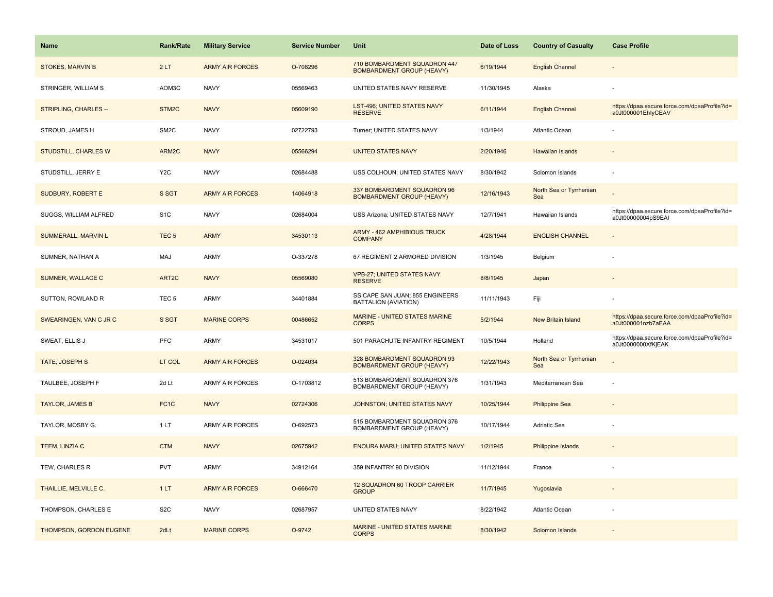| Name                        | <b>Rank/Rate</b>  | <b>Military Service</b> | <b>Service Number</b> | Unit                                                             | Date of Loss | <b>Country of Casualty</b>     | <b>Case Profile</b>                                                 |
|-----------------------------|-------------------|-------------------------|-----------------------|------------------------------------------------------------------|--------------|--------------------------------|---------------------------------------------------------------------|
| <b>STOKES, MARVIN B</b>     | 2LT               | <b>ARMY AIR FORCES</b>  | O-708296              | 710 BOMBARDMENT SQUADRON 447<br><b>BOMBARDMENT GROUP (HEAVY)</b> | 6/19/1944    | <b>English Channel</b>         |                                                                     |
| STRINGER, WILLIAM S         | AOM3C             | <b>NAVY</b>             | 05569463              | UNITED STATES NAVY RESERVE                                       | 11/30/1945   | Alaska                         |                                                                     |
| STRIPLING, CHARLES --       | STM <sub>2C</sub> | <b>NAVY</b>             | 05609190              | LST-496; UNITED STATES NAVY<br><b>RESERVE</b>                    | 6/11/1944    | <b>English Channel</b>         | https://dpaa.secure.force.com/dpaaProfile?id=<br>a0Jt000001EhlyCEAV |
| STROUD, JAMES H             | SM <sub>2</sub> C | <b>NAVY</b>             | 02722793              | Turner; UNITED STATES NAVY                                       | 1/3/1944     | Atlantic Ocean                 |                                                                     |
| <b>STUDSTILL, CHARLES W</b> | ARM2C             | <b>NAVY</b>             | 05566294              | <b>UNITED STATES NAVY</b>                                        | 2/20/1946    | <b>Hawaiian Islands</b>        |                                                                     |
| STUDSTILL, JERRY E          | Y <sub>2</sub> C  | <b>NAVY</b>             | 02684488              | USS COLHOUN; UNITED STATES NAVY                                  | 8/30/1942    | Solomon Islands                |                                                                     |
| SUDBURY, ROBERT E           | S SGT             | <b>ARMY AIR FORCES</b>  | 14064918              | 337 BOMBARDMENT SQUADRON 96<br><b>BOMBARDMENT GROUP (HEAVY)</b>  | 12/16/1943   | North Sea or Tyrrhenian<br>Sea |                                                                     |
| SUGGS, WILLIAM ALFRED       | S <sub>1</sub> C  | <b>NAVY</b>             | 02684004              | USS Arizona; UNITED STATES NAVY                                  | 12/7/1941    | Hawaiian Islands               | https://dpaa.secure.force.com/dpaaProfile?id=<br>a0Jt00000004pS9EAI |
| <b>SUMMERALL, MARVIN L</b>  | TEC <sub>5</sub>  | <b>ARMY</b>             | 34530113              | ARMY - 462 AMPHIBIOUS TRUCK<br><b>COMPANY</b>                    | 4/28/1944    | <b>ENGLISH CHANNEL</b>         |                                                                     |
| SUMNER, NATHAN A            | <b>MAJ</b>        | <b>ARMY</b>             | O-337278              | 67 REGIMENT 2 ARMORED DIVISION                                   | 1/3/1945     | Belgium                        |                                                                     |
| <b>SUMNER, WALLACE C</b>    | ART <sub>2C</sub> | <b>NAVY</b>             | 05569080              | <b>VPB-27; UNITED STATES NAVY</b><br><b>RESERVE</b>              | 8/8/1945     | Japan                          |                                                                     |
| SUTTON, ROWLAND R           | TEC <sub>5</sub>  | <b>ARMY</b>             | 34401884              | SS CAPE SAN JUAN; 855 ENGINEERS<br>BATTALION (AVIATION)          | 11/11/1943   | Fiji                           |                                                                     |
| SWEARINGEN, VAN C JR C      | S SGT             | <b>MARINE CORPS</b>     | 00486652              | MARINE - UNITED STATES MARINE<br><b>CORPS</b>                    | 5/2/1944     | <b>New Britain Island</b>      | https://dpaa.secure.force.com/dpaaProfile?id=<br>a0Jt000001nzb7aEAA |
| SWEAT, ELLIS J              | PFC               | <b>ARMY</b>             | 34531017              | 501 PARACHUTE INFANTRY REGIMENT                                  | 10/5/1944    | Holland                        | https://dpaa.secure.force.com/dpaaProfile?id=<br>a0Jt0000000XfKjEAK |
| TATE, JOSEPH S              | LT COL            | <b>ARMY AIR FORCES</b>  | O-024034              | 328 BOMBARDMENT SQUADRON 93<br><b>BOMBARDMENT GROUP (HEAVY)</b>  | 12/22/1943   | North Sea or Tyrrhenian<br>Sea |                                                                     |
| TAULBEE, JOSEPH F           | 2d Lt             | <b>ARMY AIR FORCES</b>  | O-1703812             | 513 BOMBARDMENT SQUADRON 376<br>BOMBARDMENT GROUP (HEAVY)        | 1/31/1943    | Mediterranean Sea              |                                                                     |
| <b>TAYLOR, JAMES B</b>      | FC <sub>1</sub> C | <b>NAVY</b>             | 02724306              | JOHNSTON; UNITED STATES NAVY                                     | 10/25/1944   | <b>Philippine Sea</b>          |                                                                     |
| TAYLOR, MOSBY G.            | 1LT               | ARMY AIR FORCES         | O-692573              | 515 BOMBARDMENT SQUADRON 376<br>BOMBARDMENT GROUP (HEAVY)        | 10/17/1944   | Adriatic Sea                   |                                                                     |
| TEEM, LINZIA C              | <b>CTM</b>        | <b>NAVY</b>             | 02675942              | ENOURA MARU; UNITED STATES NAVY                                  | 1/2/1945     | <b>Philippine Islands</b>      |                                                                     |
| TEW, CHARLES R              | <b>PVT</b>        | <b>ARMY</b>             | 34912164              | 359 INFANTRY 90 DIVISION                                         | 11/12/1944   | France                         |                                                                     |
| THAILLIE, MELVILLE C.       | 1LT               | <b>ARMY AIR FORCES</b>  | O-666470              | 12 SQUADRON 60 TROOP CARRIER<br><b>GROUP</b>                     | 11/7/1945    | Yugoslavia                     |                                                                     |
| THOMPSON, CHARLES E         | S <sub>2</sub> C  | <b>NAVY</b>             | 02687957              | UNITED STATES NAVY                                               | 8/22/1942    | <b>Atlantic Ocean</b>          |                                                                     |
| THOMPSON, GORDON EUGENE     | 2dLt              | <b>MARINE CORPS</b>     | O-9742                | <b>MARINE - UNITED STATES MARINE</b><br><b>CORPS</b>             | 8/30/1942    | Solomon Islands                |                                                                     |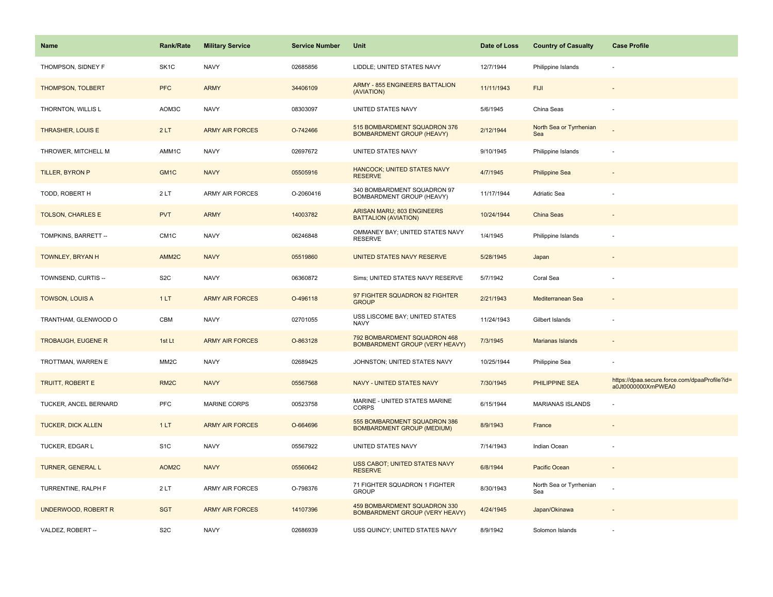| <b>Name</b>                | <b>Rank/Rate</b>  | <b>Military Service</b> | <b>Service Number</b> | Unit                                                                  | Date of Loss | <b>Country of Casualty</b>     | <b>Case Profile</b>                                                 |
|----------------------------|-------------------|-------------------------|-----------------------|-----------------------------------------------------------------------|--------------|--------------------------------|---------------------------------------------------------------------|
| THOMPSON, SIDNEY F         | SK <sub>1</sub> C | <b>NAVY</b>             | 02685856              | LIDDLE; UNITED STATES NAVY                                            | 12/7/1944    | Philippine Islands             |                                                                     |
| <b>THOMPSON, TOLBERT</b>   | <b>PFC</b>        | <b>ARMY</b>             | 34406109              | <b>ARMY - 855 ENGINEERS BATTALION</b><br>(AVIATION)                   | 11/11/1943   | <b>FIJI</b>                    |                                                                     |
| THORNTON, WILLIS L         | AOM3C             | <b>NAVY</b>             | 08303097              | UNITED STATES NAVY                                                    | 5/6/1945     | China Seas                     |                                                                     |
| THRASHER, LOUIS E          | 2LT               | <b>ARMY AIR FORCES</b>  | O-742466              | 515 BOMBARDMENT SQUADRON 376<br><b>BOMBARDMENT GROUP (HEAVY)</b>      | 2/12/1944    | North Sea or Tyrrhenian<br>Sea |                                                                     |
| THROWER, MITCHELL M        | AMM1C             | <b>NAVY</b>             | 02697672              | UNITED STATES NAVY                                                    | 9/10/1945    | Philippine Islands             |                                                                     |
| TILLER, BYRON P            | GM <sub>1C</sub>  | <b>NAVY</b>             | 05505916              | <b>HANCOCK; UNITED STATES NAVY</b><br><b>RESERVE</b>                  | 4/7/1945     | <b>Philippine Sea</b>          |                                                                     |
| TODD, ROBERT H             | 2LT               | <b>ARMY AIR FORCES</b>  | O-2060416             | 340 BOMBARDMENT SQUADRON 97<br>BOMBARDMENT GROUP (HEAVY)              | 11/17/1944   | <b>Adriatic Sea</b>            |                                                                     |
| <b>TOLSON, CHARLES E</b>   | <b>PVT</b>        | <b>ARMY</b>             | 14003782              | ARISAN MARU; 803 ENGINEERS<br><b>BATTALION (AVIATION)</b>             | 10/24/1944   | <b>China Seas</b>              |                                                                     |
| TOMPKINS, BARRETT --       | CM <sub>1</sub> C | <b>NAVY</b>             | 06246848              | OMMANEY BAY; UNITED STATES NAVY<br><b>RESERVE</b>                     | 1/4/1945     | Philippine Islands             |                                                                     |
| TOWNLEY, BRYAN H           | AMM <sub>2C</sub> | <b>NAVY</b>             | 05519860              | UNITED STATES NAVY RESERVE                                            | 5/28/1945    | Japan                          |                                                                     |
| TOWNSEND, CURTIS --        | S <sub>2</sub> C  | <b>NAVY</b>             | 06360872              | Sims; UNITED STATES NAVY RESERVE                                      | 5/7/1942     | Coral Sea                      |                                                                     |
| <b>TOWSON, LOUIS A</b>     | 1LT               | <b>ARMY AIR FORCES</b>  | O-496118              | 97 FIGHTER SQUADRON 82 FIGHTER<br><b>GROUP</b>                        | 2/21/1943    | Mediterranean Sea              |                                                                     |
| TRANTHAM, GLENWOOD O       | <b>CBM</b>        | <b>NAVY</b>             | 02701055              | USS LISCOME BAY; UNITED STATES<br><b>NAVY</b>                         | 11/24/1943   | Gilbert Islands                |                                                                     |
| <b>TROBAUGH, EUGENE R</b>  | 1st Lt            | <b>ARMY AIR FORCES</b>  | O-863128              | 792 BOMBARDMENT SQUADRON 468<br><b>BOMBARDMENT GROUP (VERY HEAVY)</b> | 7/3/1945     | <b>Marianas Islands</b>        |                                                                     |
| TROTTMAN, WARREN E         | MM <sub>2</sub> C | <b>NAVY</b>             | 02689425              | JOHNSTON; UNITED STATES NAVY                                          | 10/25/1944   | Philippine Sea                 |                                                                     |
| <b>TRUITT, ROBERT E</b>    | RM <sub>2</sub> C | <b>NAVY</b>             | 05567568              | <b>NAVY - UNITED STATES NAVY</b>                                      | 7/30/1945    | PHILIPPINE SEA                 | https://dpaa.secure.force.com/dpaaProfile?id=<br>a0Jt0000000XmPWEA0 |
| TUCKER, ANCEL BERNARD      | PFC               | <b>MARINE CORPS</b>     | 00523758              | MARINE - UNITED STATES MARINE<br><b>CORPS</b>                         | 6/15/1944    | <b>MARIANAS ISLANDS</b>        |                                                                     |
| <b>TUCKER, DICK ALLEN</b>  | 1LT               | <b>ARMY AIR FORCES</b>  | O-664696              | 555 BOMBARDMENT SQUADRON 386<br><b>BOMBARDMENT GROUP (MEDIUM)</b>     | 8/9/1943     | France                         |                                                                     |
| TUCKER, EDGAR L            | S <sub>1</sub> C  | <b>NAVY</b>             | 05567922              | UNITED STATES NAVY                                                    | 7/14/1943    | Indian Ocean                   |                                                                     |
| <b>TURNER, GENERAL L</b>   | AOM2C             | <b>NAVY</b>             | 05560642              | USS CABOT; UNITED STATES NAVY<br><b>RESERVE</b>                       | 6/8/1944     | Pacific Ocean                  | $\sim$                                                              |
| TURRENTINE, RALPH F        | 2LT               | <b>ARMY AIR FORCES</b>  | O-798376              | 71 FIGHTER SQUADRON 1 FIGHTER<br><b>GROUP</b>                         | 8/30/1943    | North Sea or Tyrrhenian<br>Sea |                                                                     |
| <b>UNDERWOOD, ROBERT R</b> | <b>SGT</b>        | <b>ARMY AIR FORCES</b>  | 14107396              | 459 BOMBARDMENT SQUADRON 330<br><b>BOMBARDMENT GROUP (VERY HEAVY)</b> | 4/24/1945    | Japan/Okinawa                  |                                                                     |
| VALDEZ, ROBERT --          | S <sub>2</sub> C  | <b>NAVY</b>             | 02686939              | USS QUINCY; UNITED STATES NAVY                                        | 8/9/1942     | Solomon Islands                |                                                                     |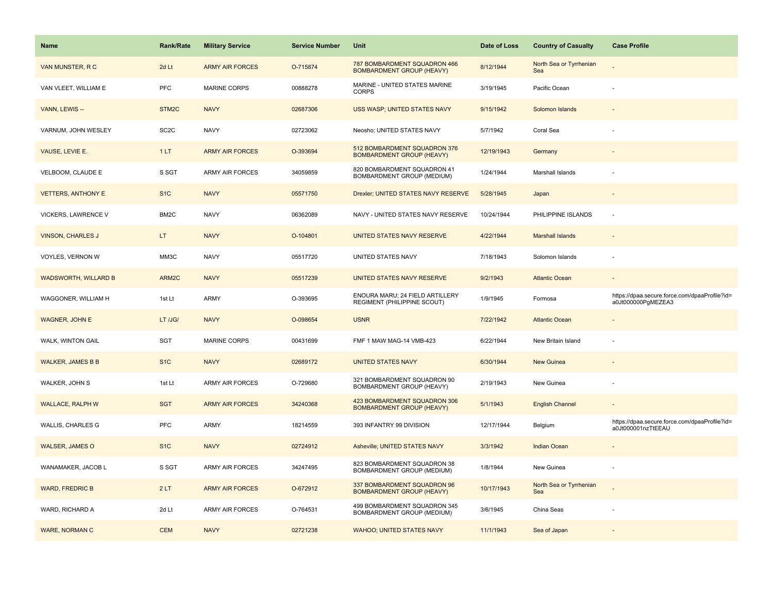| Name                        | <b>Rank/Rate</b>   | <b>Military Service</b> | <b>Service Number</b> | Unit                                                             | Date of Loss | <b>Country of Casualty</b>     | <b>Case Profile</b>                                                 |
|-----------------------------|--------------------|-------------------------|-----------------------|------------------------------------------------------------------|--------------|--------------------------------|---------------------------------------------------------------------|
| VAN MUNSTER, R C            | 2d Lt              | <b>ARMY AIR FORCES</b>  | O-715874              | 787 BOMBARDMENT SQUADRON 466<br><b>BOMBARDMENT GROUP (HEAVY)</b> | 8/12/1944    | North Sea or Tyrrhenian<br>Sea |                                                                     |
| VAN VLEET, WILLIAM E        | PFC                | <b>MARINE CORPS</b>     | 00888278              | MARINE - UNITED STATES MARINE<br><b>CORPS</b>                    | 3/19/1945    | Pacific Ocean                  |                                                                     |
| VANN, LEWIS --              | STM <sub>2</sub> C | <b>NAVY</b>             | 02687306              | USS WASP; UNITED STATES NAVY                                     | 9/15/1942    | Solomon Islands                |                                                                     |
| VARNUM, JOHN WESLEY         | SC <sub>2</sub> C  | <b>NAVY</b>             | 02723062              | Neosho; UNITED STATES NAVY                                       | 5/7/1942     | Coral Sea                      |                                                                     |
| VAUSE, LEVIE E.             | 1LT                | <b>ARMY AIR FORCES</b>  | O-393694              | 512 BOMBARDMENT SQUADRON 376<br><b>BOMBARDMENT GROUP (HEAVY)</b> | 12/19/1943   | Germany                        |                                                                     |
| VELBOOM, CLAUDE E           | S SGT              | ARMY AIR FORCES         | 34059859              | 820 BOMBARDMENT SQUADRON 41<br>BOMBARDMENT GROUP (MEDIUM)        | 1/24/1944    | Marshall Islands               |                                                                     |
| <b>VETTERS, ANTHONY E</b>   | S <sub>1</sub> C   | <b>NAVY</b>             | 05571750              | Drexler; UNITED STATES NAVY RESERVE                              | 5/28/1945    | Japan                          | $\overline{\phantom{a}}$                                            |
| VICKERS, LAWRENCE V         | BM2C               | <b>NAVY</b>             | 06362089              | NAVY - UNITED STATES NAVY RESERVE                                | 10/24/1944   | PHILIPPINE ISLANDS             | $\sim$                                                              |
| <b>VINSON, CHARLES J</b>    | LT.                | <b>NAVY</b>             | O-104801              | UNITED STATES NAVY RESERVE                                       | 4/22/1944    | <b>Marshall Islands</b>        |                                                                     |
| VOYLES, VERNON W            | MM3C               | <b>NAVY</b>             | 05517720              | UNITED STATES NAVY                                               | 7/18/1943    | Solomon Islands                |                                                                     |
| <b>WADSWORTH, WILLARD B</b> | ARM2C              | <b>NAVY</b>             | 05517239              | UNITED STATES NAVY RESERVE                                       | 9/2/1943     | <b>Atlantic Ocean</b>          |                                                                     |
| WAGGONER, WILLIAM H         | 1st Lt             | ARMY                    | O-393695              | ENOURA MARU; 24 FIELD ARTILLERY<br>REGIMENT (PHILIPPINE SCOUT)   | 1/9/1945     | Formosa                        | https://dpaa.secure.force.com/dpaaProfile?id=<br>a0Jt000000PgMEZEA3 |
| <b>WAGNER, JOHN E</b>       | LT /JG/            | <b>NAVY</b>             | O-098654              | <b>USNR</b>                                                      | 7/22/1942    | <b>Atlantic Ocean</b>          |                                                                     |
| WALK, WINTON GAIL           | SGT                | MARINE CORPS            | 00431699              | FMF 1 MAW MAG-14 VMB-423                                         | 6/22/1944    | New Britain Island             |                                                                     |
| <b>WALKER, JAMES B B</b>    | S <sub>1C</sub>    | <b>NAVY</b>             | 02689172              | <b>UNITED STATES NAVY</b>                                        | 6/30/1944    | <b>New Guinea</b>              |                                                                     |
| WALKER, JOHN S              | 1st Lt             | <b>ARMY AIR FORCES</b>  | O-729680              | 321 BOMBARDMENT SQUADRON 90<br>BOMBARDMENT GROUP (HEAVY)         | 2/19/1943    | New Guinea                     |                                                                     |
| <b>WALLACE, RALPH W</b>     | <b>SGT</b>         | <b>ARMY AIR FORCES</b>  | 34240368              | 423 BOMBARDMENT SQUADRON 306<br><b>BOMBARDMENT GROUP (HEAVY)</b> | 5/1/1943     | <b>English Channel</b>         |                                                                     |
| WALLIS, CHARLES G           | <b>PFC</b>         | ARMY                    | 18214559              | 393 INFANTRY 99 DIVISION                                         | 12/17/1944   | Belgium                        | https://dpaa.secure.force.com/dpaaProfile?id=<br>a0Jt000001nzTtEEAU |
| <b>WALSER, JAMES O</b>      | S <sub>1</sub> C   | <b>NAVY</b>             | 02724912              | Asheville; UNITED STATES NAVY                                    | 3/3/1942     | <b>Indian Ocean</b>            |                                                                     |
| WANAMAKER, JACOB L          | S SGT              | <b>ARMY AIR FORCES</b>  | 34247495              | 823 BOMBARDMENT SQUADRON 38<br>BOMBARDMENT GROUP (MEDIUM)        | 1/8/1944     | New Guinea                     |                                                                     |
| <b>WARD, FREDRIC B</b>      | 2LT                | <b>ARMY AIR FORCES</b>  | O-672912              | 337 BOMBARDMENT SQUADRON 96<br><b>BOMBARDMENT GROUP (HEAVY)</b>  | 10/17/1943   | North Sea or Tyrrhenian<br>Sea |                                                                     |
| WARD, RICHARD A             | 2d Lt              | <b>ARMY AIR FORCES</b>  | O-764531              | 499 BOMBARDMENT SQUADRON 345<br>BOMBARDMENT GROUP (MEDIUM)       | 3/6/1945     | China Seas                     |                                                                     |
| <b>WARE, NORMAN C</b>       | <b>CEM</b>         | <b>NAVY</b>             | 02721238              | <b>WAHOO; UNITED STATES NAVY</b>                                 | 11/1/1943    | Sea of Japan                   |                                                                     |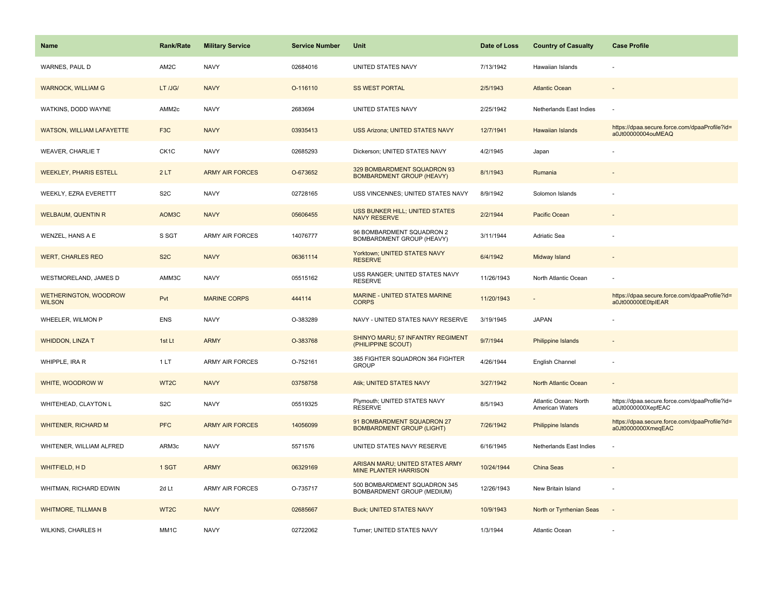| <b>Name</b>                                   | <b>Rank/Rate</b>  | <b>Military Service</b> | <b>Service Number</b> | Unit                                                            | Date of Loss | <b>Country of Casualty</b>               | <b>Case Profile</b>                                                 |
|-----------------------------------------------|-------------------|-------------------------|-----------------------|-----------------------------------------------------------------|--------------|------------------------------------------|---------------------------------------------------------------------|
| WARNES, PAUL D                                | AM2C              | <b>NAVY</b>             | 02684016              | UNITED STATES NAVY                                              | 7/13/1942    | Hawaiian Islands                         |                                                                     |
| <b>WARNOCK, WILLIAM G</b>                     | LT /JG/           | <b>NAVY</b>             | O-116110              | <b>SS WEST PORTAL</b>                                           | 2/5/1943     | <b>Atlantic Ocean</b>                    |                                                                     |
| WATKINS, DODD WAYNE                           | AMM <sub>2c</sub> | <b>NAVY</b>             | 2683694               | UNITED STATES NAVY                                              | 2/25/1942    | Netherlands East Indies                  |                                                                     |
| <b>WATSON, WILLIAM LAFAYETTE</b>              | F <sub>3</sub> C  | <b>NAVY</b>             | 03935413              | USS Arizona; UNITED STATES NAVY                                 | 12/7/1941    | Hawaiian Islands                         | https://dpaa.secure.force.com/dpaaProfile?id=<br>a0Jt00000004ouMEAQ |
| <b>WEAVER, CHARLIE T</b>                      | CK <sub>1</sub> C | <b>NAVY</b>             | 02685293              | Dickerson; UNITED STATES NAVY                                   | 4/2/1945     | Japan                                    |                                                                     |
| <b>WEEKLEY, PHARIS ESTELL</b>                 | 2LT               | <b>ARMY AIR FORCES</b>  | O-673652              | 329 BOMBARDMENT SQUADRON 93<br><b>BOMBARDMENT GROUP (HEAVY)</b> | 8/1/1943     | Rumania                                  |                                                                     |
| WEEKLY, EZRA EVERETTT                         | S <sub>2</sub> C  | <b>NAVY</b>             | 02728165              | USS VINCENNES; UNITED STATES NAVY                               | 8/9/1942     | Solomon Islands                          |                                                                     |
| <b>WELBAUM, QUENTIN R</b>                     | AOM3C             | <b>NAVY</b>             | 05606455              | USS BUNKER HILL; UNITED STATES<br><b>NAVY RESERVE</b>           | 2/2/1944     | Pacific Ocean                            |                                                                     |
| WENZEL, HANS A E                              | S SGT             | <b>ARMY AIR FORCES</b>  | 14076777              | 96 BOMBARDMENT SQUADRON 2<br>BOMBARDMENT GROUP (HEAVY)          | 3/11/1944    | <b>Adriatic Sea</b>                      |                                                                     |
| <b>WERT, CHARLES REO</b>                      | S <sub>2</sub> C  | <b>NAVY</b>             | 06361114              | Yorktown; UNITED STATES NAVY<br><b>RESERVE</b>                  | 6/4/1942     | Midway Island                            |                                                                     |
| WESTMORELAND, JAMES D                         | AMM3C             | <b>NAVY</b>             | 05515162              | USS RANGER; UNITED STATES NAVY<br><b>RESERVE</b>                | 11/26/1943   | North Atlantic Ocean                     |                                                                     |
| <b>WETHERINGTON, WOODROW</b><br><b>WILSON</b> | Pvt               | <b>MARINE CORPS</b>     | 444114                | MARINE - UNITED STATES MARINE<br><b>CORPS</b>                   | 11/20/1943   |                                          | https://dpaa.secure.force.com/dpaaProfile?id=<br>a0Jt000000E0tplEAR |
| WHEELER, WILMON P                             | ENS               | <b>NAVY</b>             | O-383289              | NAVY - UNITED STATES NAVY RESERVE                               | 3/19/1945    | <b>JAPAN</b>                             |                                                                     |
| <b>WHIDDON, LINZA T</b>                       | 1st Lt            | <b>ARMY</b>             | O-383768              | SHINYO MARU; 57 INFANTRY REGIMENT<br>(PHILIPPINE SCOUT)         | 9/7/1944     | <b>Philippine Islands</b>                |                                                                     |
| WHIPPLE, IRA R                                | 1LT               | <b>ARMY AIR FORCES</b>  | O-752161              | 385 FIGHTER SQUADRON 364 FIGHTER<br><b>GROUP</b>                | 4/26/1944    | English Channel                          |                                                                     |
| WHITE, WOODROW W                              | WT2C              | <b>NAVY</b>             | 03758758              | Atik; UNITED STATES NAVY                                        | 3/27/1942    | North Atlantic Ocean                     |                                                                     |
| WHITEHEAD, CLAYTON L                          | S <sub>2</sub> C  | <b>NAVY</b>             | 05519325              | Plymouth; UNITED STATES NAVY<br><b>RESERVE</b>                  | 8/5/1943     | Atlantic Ocean: North<br>American Waters | https://dpaa.secure.force.com/dpaaProfile?id=<br>a0Jt0000000XepfEAC |
| <b>WHITENER, RICHARD M</b>                    | <b>PFC</b>        | <b>ARMY AIR FORCES</b>  | 14056099              | 91 BOMBARDMENT SQUADRON 27<br><b>BOMBARDMENT GROUP (LIGHT)</b>  | 7/26/1942    | Philippine Islands                       | https://dpaa.secure.force.com/dpaaProfile?id=<br>a0Jt0000000XmeqEAC |
| WHITENER, WILLIAM ALFRED                      | ARM3c             | <b>NAVY</b>             | 5571576               | UNITED STATES NAVY RESERVE                                      | 6/16/1945    | Netherlands East Indies                  |                                                                     |
| WHITFIELD, HD                                 | 1 SGT             | <b>ARMY</b>             | 06329169              | ARISAN MARU; UNITED STATES ARMY<br><b>MINE PLANTER HARRISON</b> | 10/24/1944   | China Seas                               |                                                                     |
| WHITMAN, RICHARD EDWIN                        | 2d Lt             | <b>ARMY AIR FORCES</b>  | O-735717              | 500 BOMBARDMENT SQUADRON 345<br>BOMBARDMENT GROUP (MEDIUM)      | 12/26/1943   | New Britain Island                       |                                                                     |
| <b>WHITMORE, TILLMAN B</b>                    | WT <sub>2</sub> C | <b>NAVY</b>             | 02685667              | <b>Buck; UNITED STATES NAVY</b>                                 | 10/9/1943    | North or Tyrrhenian Seas                 | $\sim$                                                              |
| WILKINS, CHARLES H                            | MM1C              | <b>NAVY</b>             | 02722062              | Turner; UNITED STATES NAVY                                      | 1/3/1944     | Atlantic Ocean                           |                                                                     |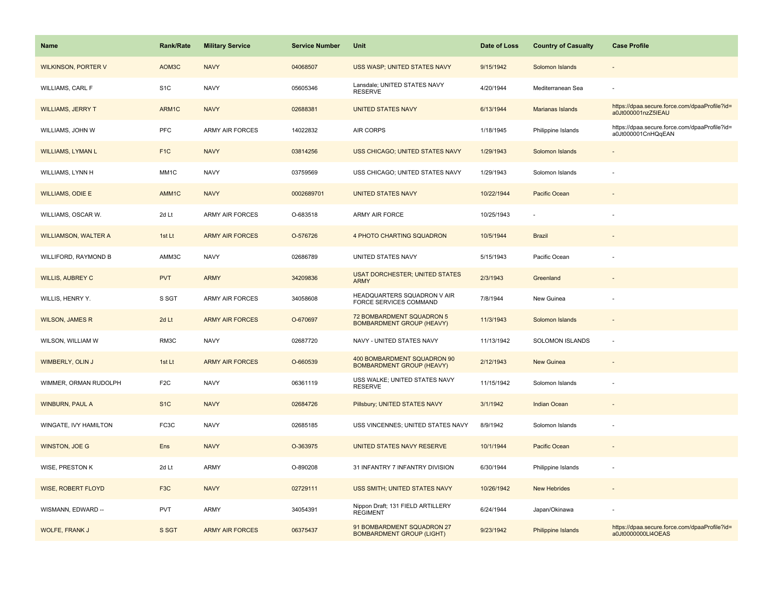| Name                        | <b>Rank/Rate</b> | <b>Military Service</b> | <b>Service Number</b> | Unit                                                            | Date of Loss | <b>Country of Casualty</b> | <b>Case Profile</b>                                                 |
|-----------------------------|------------------|-------------------------|-----------------------|-----------------------------------------------------------------|--------------|----------------------------|---------------------------------------------------------------------|
| <b>WILKINSON, PORTER V</b>  | AOM3C            | <b>NAVY</b>             | 04068507              | USS WASP; UNITED STATES NAVY                                    | 9/15/1942    | Solomon Islands            |                                                                     |
| WILLIAMS, CARL F            | S <sub>1</sub> C | <b>NAVY</b>             | 05605346              | Lansdale; UNITED STATES NAVY<br><b>RESERVE</b>                  | 4/20/1944    | Mediterranean Sea          |                                                                     |
| <b>WILLIAMS, JERRY T</b>    | ARM1C            | <b>NAVY</b>             | 02688381              | <b>UNITED STATES NAVY</b>                                       | 6/13/1944    | Marianas Islands           | https://dpaa.secure.force.com/dpaaProfile?id=<br>a0Jt000001nzZ5IEAU |
| WILLIAMS, JOHN W            | PFC              | <b>ARMY AIR FORCES</b>  | 14022832              | AIR CORPS                                                       | 1/18/1945    | Philippine Islands         | https://dpaa.secure.force.com/dpaaProfile?id=<br>a0Jt000001CnHQqEAN |
| <b>WILLIAMS, LYMAN L</b>    | F <sub>1C</sub>  | <b>NAVY</b>             | 03814256              | USS CHICAGO; UNITED STATES NAVY                                 | 1/29/1943    | Solomon Islands            |                                                                     |
| WILLIAMS, LYNN H            | MM1C             | <b>NAVY</b>             | 03759569              | USS CHICAGO; UNITED STATES NAVY                                 | 1/29/1943    | Solomon Islands            |                                                                     |
| <b>WILLIAMS, ODIE E</b>     | AMM1C            | <b>NAVY</b>             | 0002689701            | <b>UNITED STATES NAVY</b>                                       | 10/22/1944   | Pacific Ocean              |                                                                     |
| WILLIAMS, OSCAR W.          | 2d Lt            | <b>ARMY AIR FORCES</b>  | O-683518              | ARMY AIR FORCE                                                  | 10/25/1943   |                            |                                                                     |
| <b>WILLIAMSON, WALTER A</b> | 1st Lt           | <b>ARMY AIR FORCES</b>  | O-576726              | 4 PHOTO CHARTING SQUADRON                                       | 10/5/1944    | <b>Brazil</b>              |                                                                     |
| WILLIFORD, RAYMOND B        | AMM3C            | <b>NAVY</b>             | 02686789              | <b>UNITED STATES NAVY</b>                                       | 5/15/1943    | Pacific Ocean              |                                                                     |
| <b>WILLIS, AUBREY C</b>     | <b>PVT</b>       | <b>ARMY</b>             | 34209836              | <b>USAT DORCHESTER; UNITED STATES</b><br><b>ARMY</b>            | 2/3/1943     | Greenland                  |                                                                     |
| WILLIS, HENRY Y.            | S SGT            | <b>ARMY AIR FORCES</b>  | 34058608              | HEADQUARTERS SQUADRON V AIR<br>FORCE SERVICES COMMAND           | 7/8/1944     | New Guinea                 |                                                                     |
| <b>WILSON, JAMES R</b>      | 2d Lt            | <b>ARMY AIR FORCES</b>  | O-670697              | 72 BOMBARDMENT SQUADRON 5<br><b>BOMBARDMENT GROUP (HEAVY)</b>   | 11/3/1943    | Solomon Islands            |                                                                     |
| WILSON, WILLIAM W           | RM3C             | <b>NAVY</b>             | 02687720              | NAVY - UNITED STATES NAVY                                       | 11/13/1942   | <b>SOLOMON ISLANDS</b>     |                                                                     |
| WIMBERLY, OLIN J            | 1st Lt           | <b>ARMY AIR FORCES</b>  | O-660539              | 400 BOMBARDMENT SQUADRON 90<br><b>BOMBARDMENT GROUP (HEAVY)</b> | 2/12/1943    | New Guinea                 |                                                                     |
| WIMMER, ORMAN RUDOLPH       | F <sub>2C</sub>  | <b>NAVY</b>             | 06361119              | USS WALKE; UNITED STATES NAVY<br><b>RESERVE</b>                 | 11/15/1942   | Solomon Islands            |                                                                     |
| <b>WINBURN, PAUL A</b>      | S <sub>1</sub> C | <b>NAVY</b>             | 02684726              | Pillsbury; UNITED STATES NAVY                                   | 3/1/1942     | <b>Indian Ocean</b>        |                                                                     |
| WINGATE, IVY HAMILTON       | FC3C             | <b>NAVY</b>             | 02685185              | USS VINCENNES; UNITED STATES NAVY                               | 8/9/1942     | Solomon Islands            |                                                                     |
| <b>WINSTON, JOE G</b>       | Ens              | <b>NAVY</b>             | O-363975              | UNITED STATES NAVY RESERVE                                      | 10/1/1944    | Pacific Ocean              |                                                                     |
| WISE, PRESTON K             | 2d Lt            | ARMY                    | O-890208              | 31 INFANTRY 7 INFANTRY DIVISION                                 | 6/30/1944    | Philippine Islands         |                                                                     |
| <b>WISE, ROBERT FLOYD</b>   | F <sub>3</sub> C | <b>NAVY</b>             | 02729111              | USS SMITH; UNITED STATES NAVY                                   | 10/26/1942   | <b>New Hebrides</b>        |                                                                     |
| WISMANN, EDWARD --          | <b>PVT</b>       | <b>ARMY</b>             | 34054391              | Nippon Draft; 131 FIELD ARTILLERY<br><b>REGIMENT</b>            | 6/24/1944    | Japan/Okinawa              |                                                                     |
| <b>WOLFE, FRANK J</b>       | S SGT            | <b>ARMY AIR FORCES</b>  | 06375437              | 91 BOMBARDMENT SQUADRON 27<br><b>BOMBARDMENT GROUP (LIGHT)</b>  | 9/23/1942    | <b>Philippine Islands</b>  | https://dpaa.secure.force.com/dpaaProfile?id=<br>a0Jt0000000LI4OEAS |